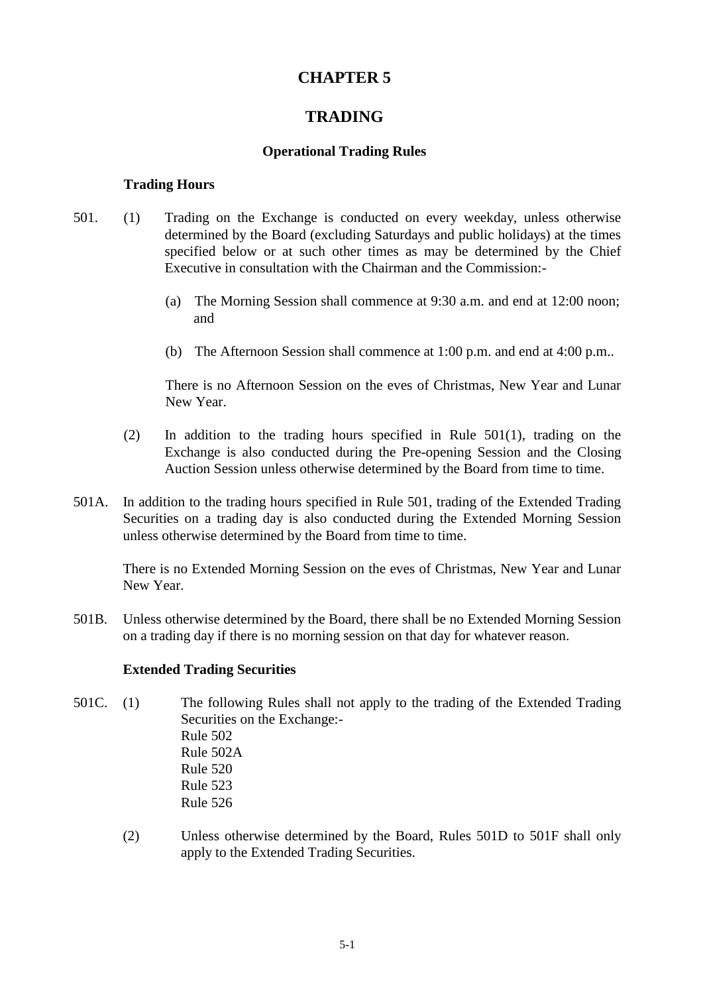# **CHAPTER 5**

# **TRADING**

### **Operational Trading Rules**

### **Trading Hours**

- 501. (1) Trading on the Exchange is conducted on every weekday, unless otherwise determined by the Board (excluding Saturdays and public holidays) at the times specified below or at such other times as may be determined by the Chief Executive in consultation with the Chairman and the Commission:-
	- (a) The Morning Session shall commence at 9:30 a.m. and end at 12:00 noon; and
	- (b) The Afternoon Session shall commence at 1:00 p.m. and end at 4:00 p.m..

There is no Afternoon Session on the eves of Christmas, New Year and Lunar New Year.

- (2) In addition to the trading hours specified in Rule 501(1), trading on the Exchange is also conducted during the Pre-opening Session and the Closing Auction Session unless otherwise determined by the Board from time to time.
- 501A. In addition to the trading hours specified in Rule 501, trading of the Extended Trading Securities on a trading day is also conducted during the Extended Morning Session unless otherwise determined by the Board from time to time.

There is no Extended Morning Session on the eves of Christmas, New Year and Lunar New Year.

501B. Unless otherwise determined by the Board, there shall be no Extended Morning Session on a trading day if there is no morning session on that day for whatever reason.

### **Extended Trading Securities**

- 501C. (1) The following Rules shall not apply to the trading of the Extended Trading Securities on the Exchange:- Rule 502 Rule 502A Rule 520 Rule 523 Rule 526
	- (2) Unless otherwise determined by the Board, Rules 501D to 501F shall only apply to the Extended Trading Securities.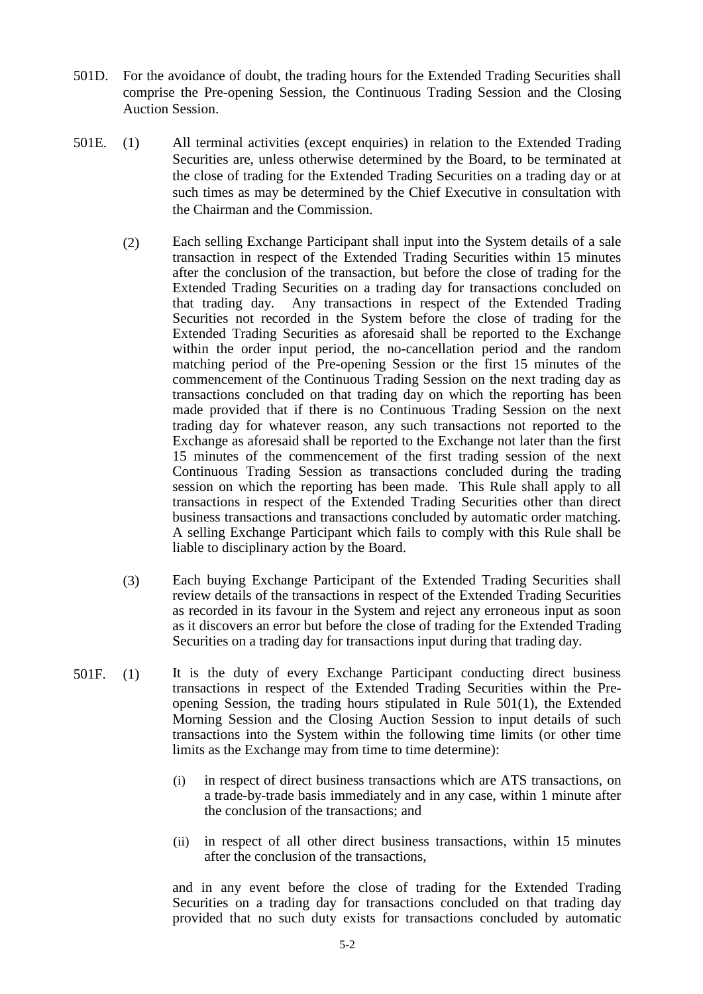- 501D. For the avoidance of doubt, the trading hours for the Extended Trading Securities shall comprise the Pre-opening Session, the Continuous Trading Session and the Closing Auction Session.
- 501E. (1) All terminal activities (except enquiries) in relation to the Extended Trading Securities are, unless otherwise determined by the Board, to be terminated at the close of trading for the Extended Trading Securities on a trading day or at such times as may be determined by the Chief Executive in consultation with the Chairman and the Commission.
	- (2) Each selling Exchange Participant shall input into the System details of a sale transaction in respect of the Extended Trading Securities within 15 minutes after the conclusion of the transaction, but before the close of trading for the Extended Trading Securities on a trading day for transactions concluded on that trading day. Any transactions in respect of the Extended Trading Securities not recorded in the System before the close of trading for the Extended Trading Securities as aforesaid shall be reported to the Exchange within the order input period, the no-cancellation period and the random matching period of the Pre-opening Session or the first 15 minutes of the commencement of the Continuous Trading Session on the next trading day as transactions concluded on that trading day on which the reporting has been made provided that if there is no Continuous Trading Session on the next trading day for whatever reason, any such transactions not reported to the Exchange as aforesaid shall be reported to the Exchange not later than the first 15 minutes of the commencement of the first trading session of the next Continuous Trading Session as transactions concluded during the trading session on which the reporting has been made. This Rule shall apply to all transactions in respect of the Extended Trading Securities other than direct business transactions and transactions concluded by automatic order matching. A selling Exchange Participant which fails to comply with this Rule shall be liable to disciplinary action by the Board.
	- (3) Each buying Exchange Participant of the Extended Trading Securities shall review details of the transactions in respect of the Extended Trading Securities as recorded in its favour in the System and reject any erroneous input as soon as it discovers an error but before the close of trading for the Extended Trading Securities on a trading day for transactions input during that trading day.
- 501F. (1) It is the duty of every Exchange Participant conducting direct business transactions in respect of the Extended Trading Securities within the Preopening Session, the trading hours stipulated in Rule 501(1), the Extended Morning Session and the Closing Auction Session to input details of such transactions into the System within the following time limits (or other time limits as the Exchange may from time to time determine):
	- (i) in respect of direct business transactions which are ATS transactions, on a trade-by-trade basis immediately and in any case, within 1 minute after the conclusion of the transactions; and
	- (ii) in respect of all other direct business transactions, within 15 minutes after the conclusion of the transactions,

and in any event before the close of trading for the Extended Trading Securities on a trading day for transactions concluded on that trading day provided that no such duty exists for transactions concluded by automatic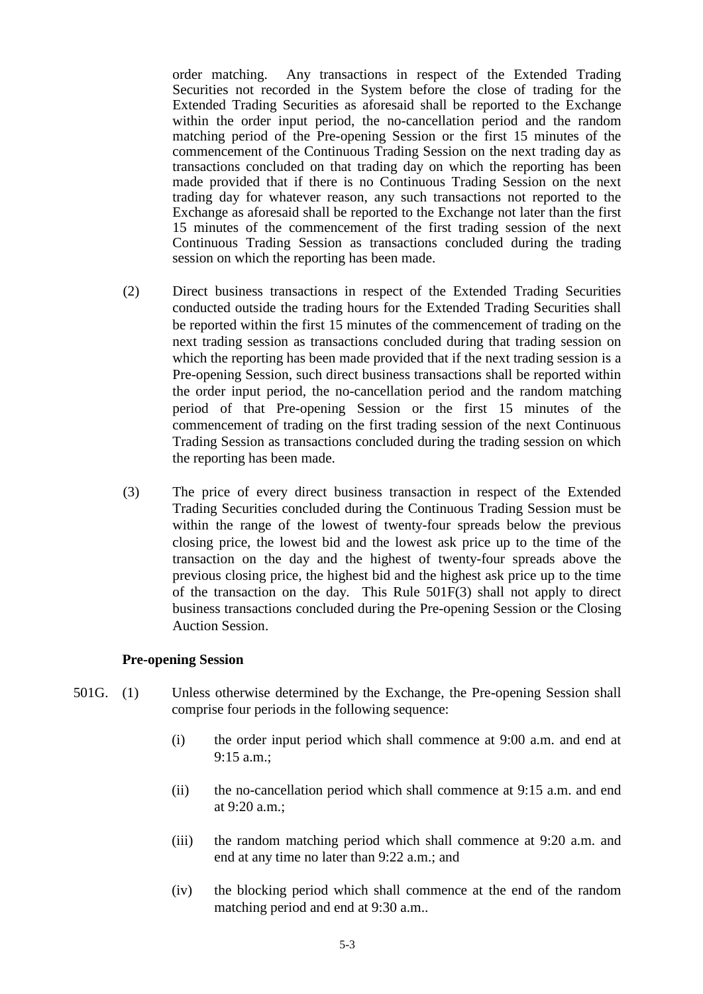order matching. Any transactions in respect of the Extended Trading Securities not recorded in the System before the close of trading for the Extended Trading Securities as aforesaid shall be reported to the Exchange within the order input period, the no-cancellation period and the random matching period of the Pre-opening Session or the first 15 minutes of the commencement of the Continuous Trading Session on the next trading day as transactions concluded on that trading day on which the reporting has been made provided that if there is no Continuous Trading Session on the next trading day for whatever reason, any such transactions not reported to the Exchange as aforesaid shall be reported to the Exchange not later than the first 15 minutes of the commencement of the first trading session of the next Continuous Trading Session as transactions concluded during the trading session on which the reporting has been made.

- (2) Direct business transactions in respect of the Extended Trading Securities conducted outside the trading hours for the Extended Trading Securities shall be reported within the first 15 minutes of the commencement of trading on the next trading session as transactions concluded during that trading session on which the reporting has been made provided that if the next trading session is a Pre-opening Session, such direct business transactions shall be reported within the order input period, the no-cancellation period and the random matching period of that Pre-opening Session or the first 15 minutes of the commencement of trading on the first trading session of the next Continuous Trading Session as transactions concluded during the trading session on which the reporting has been made.
- (3) The price of every direct business transaction in respect of the Extended Trading Securities concluded during the Continuous Trading Session must be within the range of the lowest of twenty-four spreads below the previous closing price, the lowest bid and the lowest ask price up to the time of the transaction on the day and the highest of twenty-four spreads above the previous closing price, the highest bid and the highest ask price up to the time of the transaction on the day. This Rule 501F(3) shall not apply to direct business transactions concluded during the Pre-opening Session or the Closing Auction Session.

### **Pre-opening Session**

- 501G. (1) Unless otherwise determined by the Exchange, the Pre-opening Session shall comprise four periods in the following sequence:
	- (i) the order input period which shall commence at 9:00 a.m. and end at 9:15 a.m.;
	- (ii) the no-cancellation period which shall commence at 9:15 a.m. and end at 9:20 a.m.;
	- (iii) the random matching period which shall commence at 9:20 a.m. and end at any time no later than 9:22 a.m.; and
	- (iv) the blocking period which shall commence at the end of the random matching period and end at 9:30 a.m..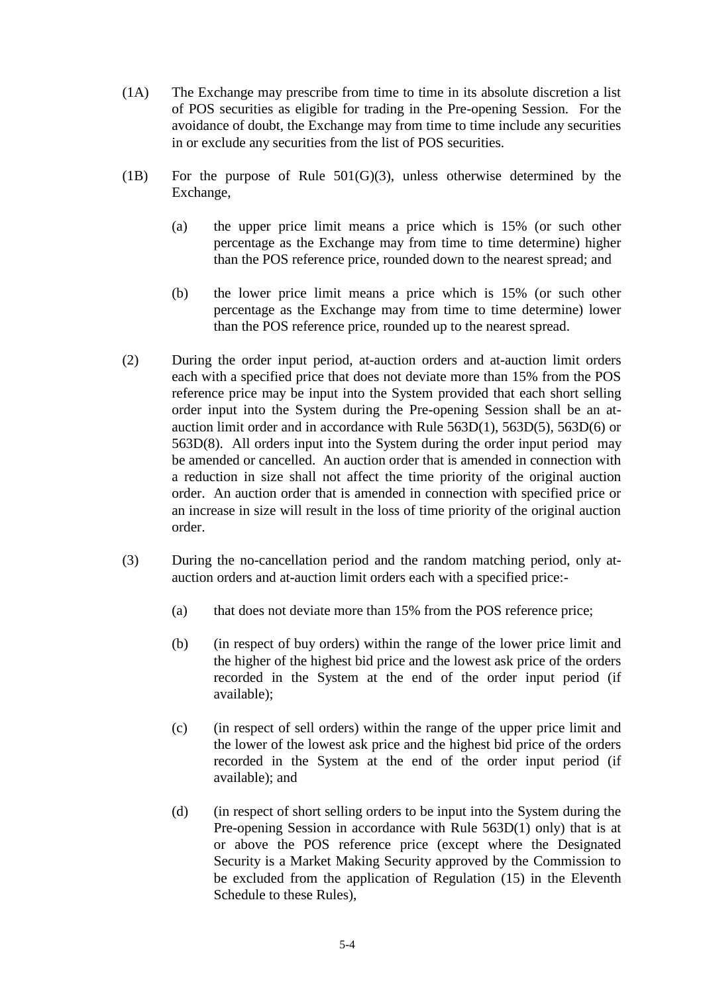- (1A) The Exchange may prescribe from time to time in its absolute discretion a list of POS securities as eligible for trading in the Pre-opening Session. For the avoidance of doubt, the Exchange may from time to time include any securities in or exclude any securities from the list of POS securities.
- (1B) For the purpose of Rule 501(G)(3), unless otherwise determined by the Exchange,
	- (a) the upper price limit means a price which is 15% (or such other percentage as the Exchange may from time to time determine) higher than the POS reference price, rounded down to the nearest spread; and
	- (b) the lower price limit means a price which is 15% (or such other percentage as the Exchange may from time to time determine) lower than the POS reference price, rounded up to the nearest spread.
- (2) During the order input period, at-auction orders and at-auction limit orders each with a specified price that does not deviate more than 15% from the POS reference price may be input into the System provided that each short selling order input into the System during the Pre-opening Session shall be an atauction limit order and in accordance with Rule 563D(1), 563D(5), 563D(6) or 563D(8). All orders input into the System during the order input period may be amended or cancelled. An auction order that is amended in connection with a reduction in size shall not affect the time priority of the original auction order. An auction order that is amended in connection with specified price or an increase in size will result in the loss of time priority of the original auction order.
- (3) During the no-cancellation period and the random matching period, only atauction orders and at-auction limit orders each with a specified price:-
	- (a) that does not deviate more than 15% from the POS reference price;
	- (b) (in respect of buy orders) within the range of the lower price limit and the higher of the highest bid price and the lowest ask price of the orders recorded in the System at the end of the order input period (if available);
	- (c) (in respect of sell orders) within the range of the upper price limit and the lower of the lowest ask price and the highest bid price of the orders recorded in the System at the end of the order input period (if available); and
	- (d) (in respect of short selling orders to be input into the System during the Pre-opening Session in accordance with Rule 563D(1) only) that is at or above the POS reference price (except where the Designated Security is a Market Making Security approved by the Commission to be excluded from the application of Regulation (15) in the Eleventh Schedule to these Rules),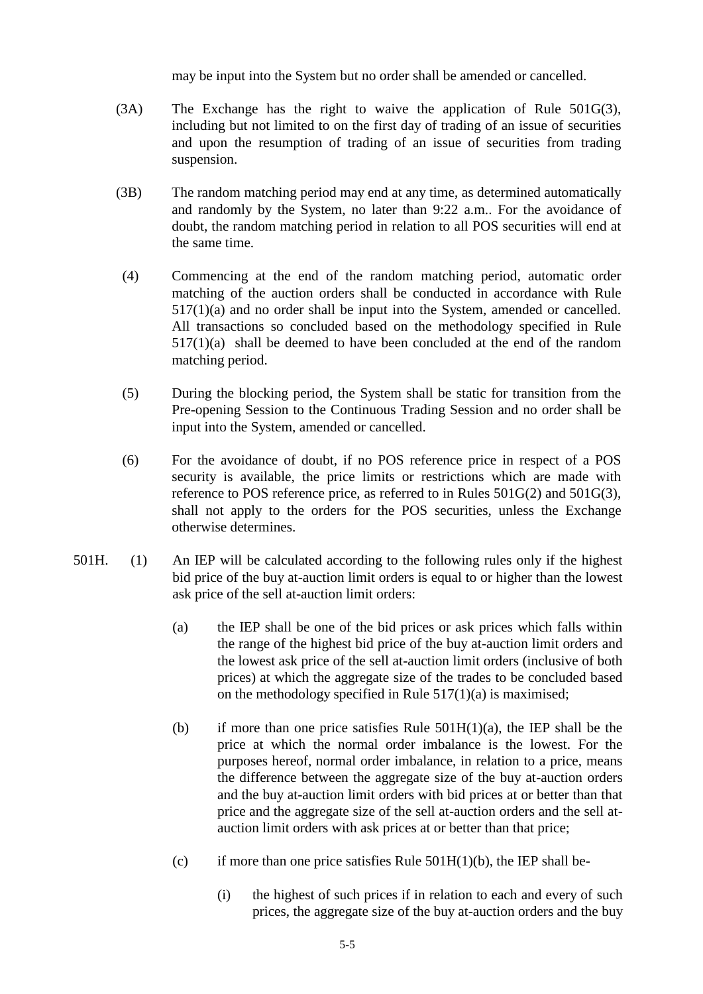may be input into the System but no order shall be amended or cancelled.

- (3A) The Exchange has the right to waive the application of Rule 501G(3), including but not limited to on the first day of trading of an issue of securities and upon the resumption of trading of an issue of securities from trading suspension.
- (3B) The random matching period may end at any time, as determined automatically and randomly by the System, no later than 9:22 a.m.. For the avoidance of doubt, the random matching period in relation to all POS securities will end at the same time.
- (4) Commencing at the end of the random matching period, automatic order matching of the auction orders shall be conducted in accordance with Rule 517(1)(a) and no order shall be input into the System, amended or cancelled. All transactions so concluded based on the methodology specified in Rule  $517(1)(a)$  shall be deemed to have been concluded at the end of the random matching period.
- (5) During the blocking period, the System shall be static for transition from the Pre-opening Session to the Continuous Trading Session and no order shall be input into the System, amended or cancelled.
- (6) For the avoidance of doubt, if no POS reference price in respect of a POS security is available, the price limits or restrictions which are made with reference to POS reference price, as referred to in Rules  $501G(2)$  and  $501G(3)$ , shall not apply to the orders for the POS securities, unless the Exchange otherwise determines.
- 501H. (1) An IEP will be calculated according to the following rules only if the highest bid price of the buy at-auction limit orders is equal to or higher than the lowest ask price of the sell at-auction limit orders:
	- (a) the IEP shall be one of the bid prices or ask prices which falls within the range of the highest bid price of the buy at-auction limit orders and the lowest ask price of the sell at-auction limit orders (inclusive of both prices) at which the aggregate size of the trades to be concluded based on the methodology specified in Rule 517(1)(a) is maximised;
	- (b) if more than one price satisfies Rule  $501H(1)(a)$ , the IEP shall be the price at which the normal order imbalance is the lowest. For the purposes hereof, normal order imbalance, in relation to a price, means the difference between the aggregate size of the buy at-auction orders and the buy at-auction limit orders with bid prices at or better than that price and the aggregate size of the sell at-auction orders and the sell atauction limit orders with ask prices at or better than that price;
	- (c) if more than one price satisfies Rule  $501H(1)(b)$ , the IEP shall be-
		- (i) the highest of such prices if in relation to each and every of such prices, the aggregate size of the buy at-auction orders and the buy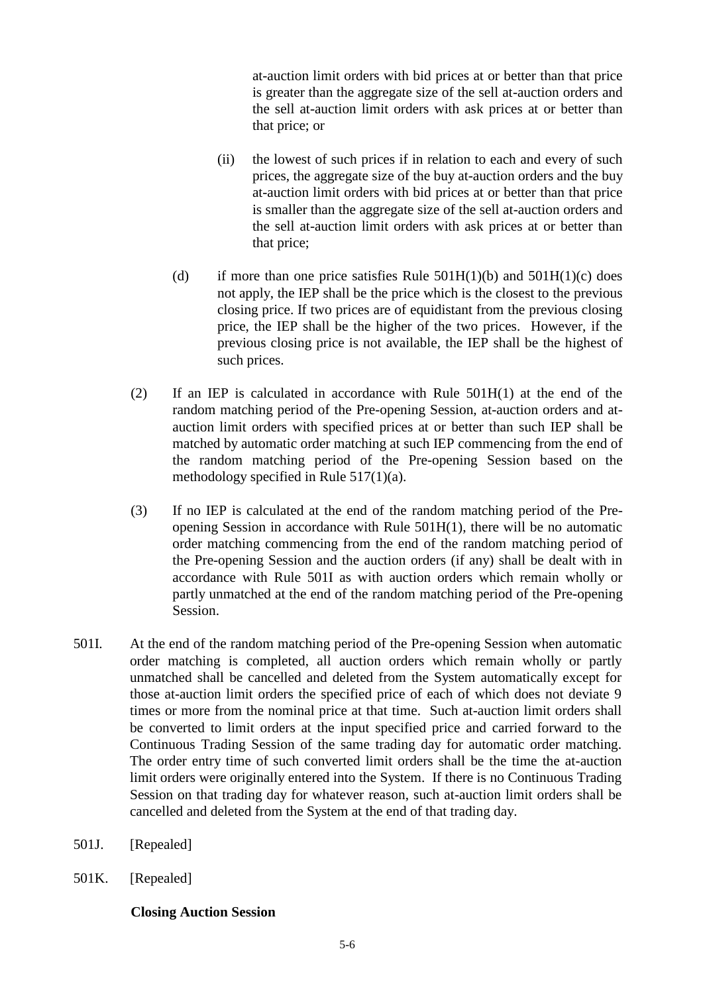at-auction limit orders with bid prices at or better than that price is greater than the aggregate size of the sell at-auction orders and the sell at-auction limit orders with ask prices at or better than that price; or

- (ii) the lowest of such prices if in relation to each and every of such prices, the aggregate size of the buy at-auction orders and the buy at-auction limit orders with bid prices at or better than that price is smaller than the aggregate size of the sell at-auction orders and the sell at-auction limit orders with ask prices at or better than that price;
- (d) if more than one price satisfies Rule  $501H(1)(b)$  and  $501H(1)(c)$  does not apply, the IEP shall be the price which is the closest to the previous closing price. If two prices are of equidistant from the previous closing price, the IEP shall be the higher of the two prices. However, if the previous closing price is not available, the IEP shall be the highest of such prices.
- (2) If an IEP is calculated in accordance with Rule 501H(1) at the end of the random matching period of the Pre-opening Session, at-auction orders and atauction limit orders with specified prices at or better than such IEP shall be matched by automatic order matching at such IEP commencing from the end of the random matching period of the Pre-opening Session based on the methodology specified in Rule 517(1)(a).
- (3) If no IEP is calculated at the end of the random matching period of the Preopening Session in accordance with Rule 501H(1), there will be no automatic order matching commencing from the end of the random matching period of the Pre-opening Session and the auction orders (if any) shall be dealt with in accordance with Rule 501I as with auction orders which remain wholly or partly unmatched at the end of the random matching period of the Pre-opening Session.
- 501I. At the end of the random matching period of the Pre-opening Session when automatic order matching is completed, all auction orders which remain wholly or partly unmatched shall be cancelled and deleted from the System automatically except for those at-auction limit orders the specified price of each of which does not deviate 9 times or more from the nominal price at that time. Such at-auction limit orders shall be converted to limit orders at the input specified price and carried forward to the Continuous Trading Session of the same trading day for automatic order matching. The order entry time of such converted limit orders shall be the time the at-auction limit orders were originally entered into the System. If there is no Continuous Trading Session on that trading day for whatever reason, such at-auction limit orders shall be cancelled and deleted from the System at the end of that trading day.
- 501J. [Repealed]
- 501K. [Repealed]

## **Closing Auction Session**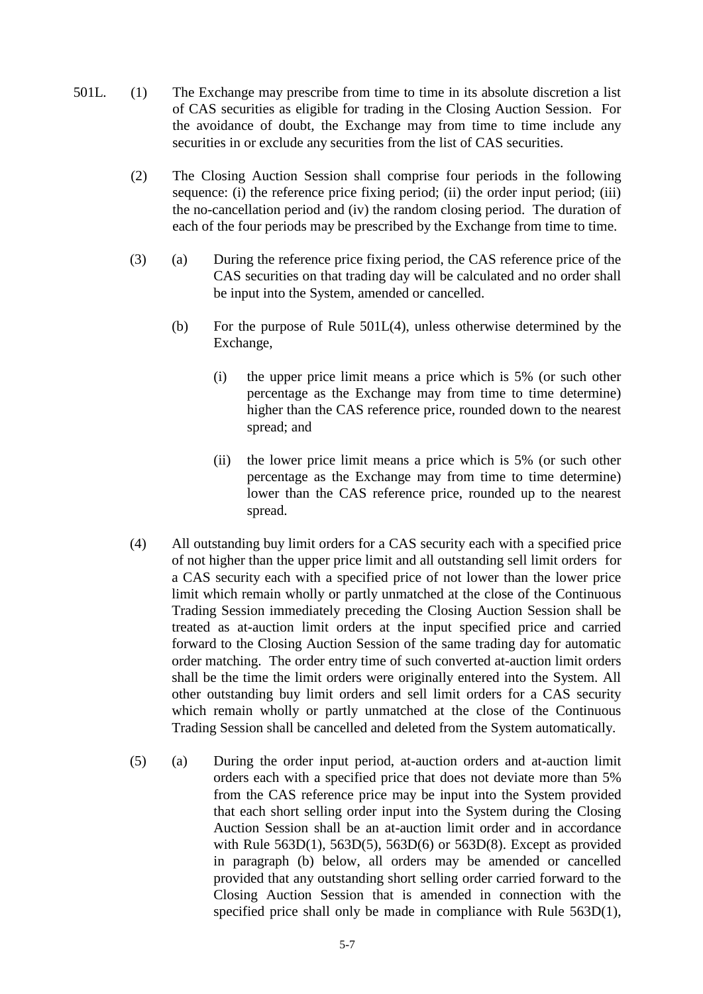- 501L. (1) The Exchange may prescribe from time to time in its absolute discretion a list of CAS securities as eligible for trading in the Closing Auction Session. For the avoidance of doubt, the Exchange may from time to time include any securities in or exclude any securities from the list of CAS securities.
	- (2) The Closing Auction Session shall comprise four periods in the following sequence: (i) the reference price fixing period; (ii) the order input period; (iii) the no-cancellation period and (iv) the random closing period. The duration of each of the four periods may be prescribed by the Exchange from time to time.
	- (3) (a) During the reference price fixing period, the CAS reference price of the CAS securities on that trading day will be calculated and no order shall be input into the System, amended or cancelled.
		- (b) For the purpose of Rule 501L(4), unless otherwise determined by the Exchange,
			- (i) the upper price limit means a price which is 5% (or such other percentage as the Exchange may from time to time determine) higher than the CAS reference price, rounded down to the nearest spread; and
			- (ii) the lower price limit means a price which is 5% (or such other percentage as the Exchange may from time to time determine) lower than the CAS reference price, rounded up to the nearest spread.
	- (4) All outstanding buy limit orders for a CAS security each with a specified price of not higher than the upper price limit and all outstanding sell limit orders for a CAS security each with a specified price of not lower than the lower price limit which remain wholly or partly unmatched at the close of the Continuous Trading Session immediately preceding the Closing Auction Session shall be treated as at-auction limit orders at the input specified price and carried forward to the Closing Auction Session of the same trading day for automatic order matching. The order entry time of such converted at-auction limit orders shall be the time the limit orders were originally entered into the System. All other outstanding buy limit orders and sell limit orders for a CAS security which remain wholly or partly unmatched at the close of the Continuous Trading Session shall be cancelled and deleted from the System automatically.
	- (5) (a) During the order input period, at-auction orders and at-auction limit orders each with a specified price that does not deviate more than 5% from the CAS reference price may be input into the System provided that each short selling order input into the System during the Closing Auction Session shall be an at-auction limit order and in accordance with Rule 563D(1), 563D(5), 563D(6) or 563D(8). Except as provided in paragraph (b) below, all orders may be amended or cancelled provided that any outstanding short selling order carried forward to the Closing Auction Session that is amended in connection with the specified price shall only be made in compliance with Rule 563D(1),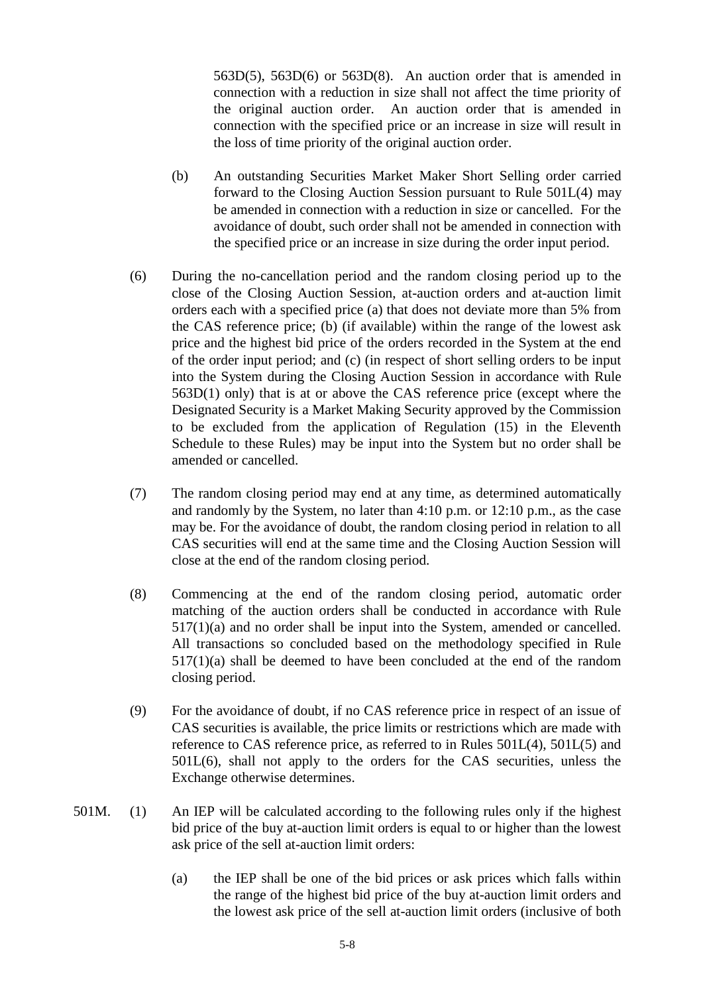563D(5), 563D(6) or 563D(8). An auction order that is amended in connection with a reduction in size shall not affect the time priority of the original auction order. An auction order that is amended in connection with the specified price or an increase in size will result in the loss of time priority of the original auction order.

- (b) An outstanding Securities Market Maker Short Selling order carried forward to the Closing Auction Session pursuant to Rule 501L(4) may be amended in connection with a reduction in size or cancelled. For the avoidance of doubt, such order shall not be amended in connection with the specified price or an increase in size during the order input period.
- (6) During the no-cancellation period and the random closing period up to the close of the Closing Auction Session, at-auction orders and at-auction limit orders each with a specified price (a) that does not deviate more than 5% from the CAS reference price; (b) (if available) within the range of the lowest ask price and the highest bid price of the orders recorded in the System at the end of the order input period; and (c) (in respect of short selling orders to be input into the System during the Closing Auction Session in accordance with Rule 563D(1) only) that is at or above the CAS reference price (except where the Designated Security is a Market Making Security approved by the Commission to be excluded from the application of Regulation (15) in the Eleventh Schedule to these Rules) may be input into the System but no order shall be amended or cancelled.
- (7) The random closing period may end at any time, as determined automatically and randomly by the System, no later than 4:10 p.m. or 12:10 p.m., as the case may be. For the avoidance of doubt, the random closing period in relation to all CAS securities will end at the same time and the Closing Auction Session will close at the end of the random closing period.
- (8) Commencing at the end of the random closing period, automatic order matching of the auction orders shall be conducted in accordance with Rule 517(1)(a) and no order shall be input into the System, amended or cancelled. All transactions so concluded based on the methodology specified in Rule  $517(1)(a)$  shall be deemed to have been concluded at the end of the random closing period.
- (9) For the avoidance of doubt, if no CAS reference price in respect of an issue of CAS securities is available, the price limits or restrictions which are made with reference to CAS reference price, as referred to in Rules 501L(4), 501L(5) and 501L(6), shall not apply to the orders for the CAS securities, unless the Exchange otherwise determines.
- 501M. (1) An IEP will be calculated according to the following rules only if the highest bid price of the buy at-auction limit orders is equal to or higher than the lowest ask price of the sell at-auction limit orders:
	- (a) the IEP shall be one of the bid prices or ask prices which falls within the range of the highest bid price of the buy at-auction limit orders and the lowest ask price of the sell at-auction limit orders (inclusive of both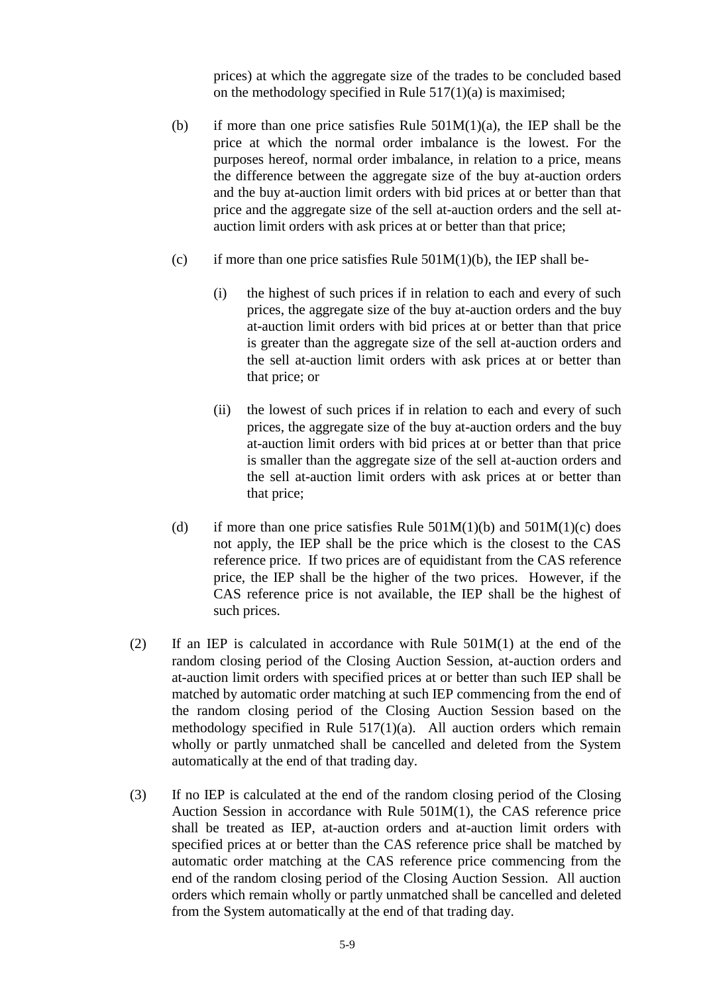prices) at which the aggregate size of the trades to be concluded based on the methodology specified in Rule 517(1)(a) is maximised;

- (b) if more than one price satisfies Rule  $501M(1)(a)$ , the IEP shall be the price at which the normal order imbalance is the lowest. For the purposes hereof, normal order imbalance, in relation to a price, means the difference between the aggregate size of the buy at-auction orders and the buy at-auction limit orders with bid prices at or better than that price and the aggregate size of the sell at-auction orders and the sell atauction limit orders with ask prices at or better than that price;
- (c) if more than one price satisfies Rule  $501M(1)(b)$ , the IEP shall be-
	- (i) the highest of such prices if in relation to each and every of such prices, the aggregate size of the buy at-auction orders and the buy at-auction limit orders with bid prices at or better than that price is greater than the aggregate size of the sell at-auction orders and the sell at-auction limit orders with ask prices at or better than that price; or
	- (ii) the lowest of such prices if in relation to each and every of such prices, the aggregate size of the buy at-auction orders and the buy at-auction limit orders with bid prices at or better than that price is smaller than the aggregate size of the sell at-auction orders and the sell at-auction limit orders with ask prices at or better than that price;
- (d) if more than one price satisfies Rule  $501M(1)(b)$  and  $501M(1)(c)$  does not apply, the IEP shall be the price which is the closest to the CAS reference price. If two prices are of equidistant from the CAS reference price, the IEP shall be the higher of the two prices. However, if the CAS reference price is not available, the IEP shall be the highest of such prices.
- (2) If an IEP is calculated in accordance with Rule  $501M(1)$  at the end of the random closing period of the Closing Auction Session, at-auction orders and at-auction limit orders with specified prices at or better than such IEP shall be matched by automatic order matching at such IEP commencing from the end of the random closing period of the Closing Auction Session based on the methodology specified in Rule 517(1)(a). All auction orders which remain wholly or partly unmatched shall be cancelled and deleted from the System automatically at the end of that trading day.
- (3) If no IEP is calculated at the end of the random closing period of the Closing Auction Session in accordance with Rule 501M(1), the CAS reference price shall be treated as IEP, at-auction orders and at-auction limit orders with specified prices at or better than the CAS reference price shall be matched by automatic order matching at the CAS reference price commencing from the end of the random closing period of the Closing Auction Session. All auction orders which remain wholly or partly unmatched shall be cancelled and deleted from the System automatically at the end of that trading day.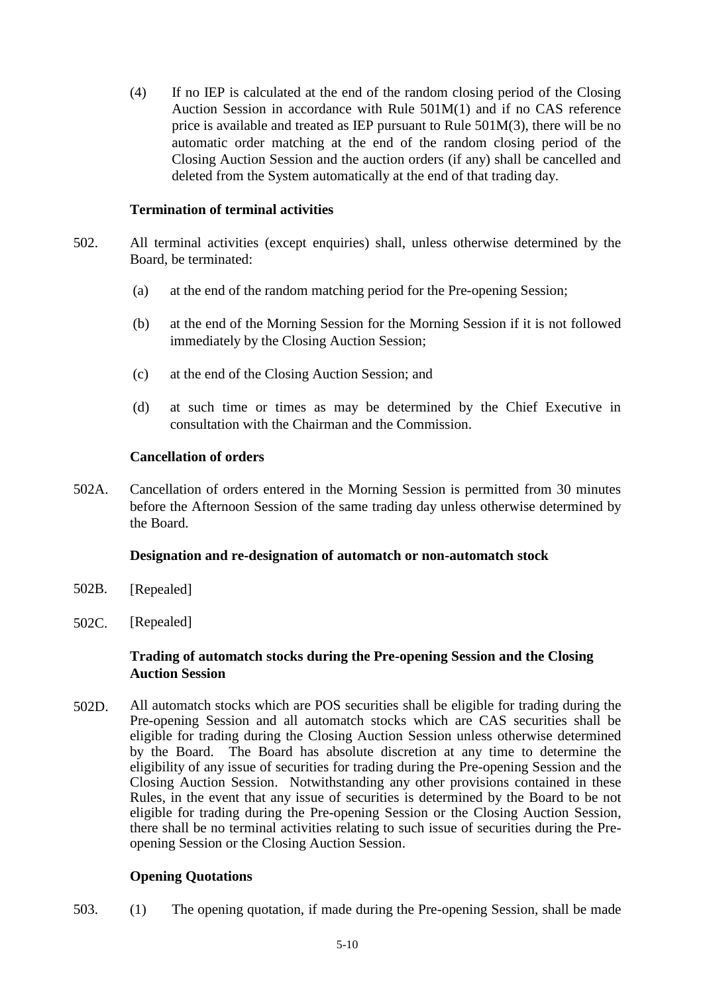(4) If no IEP is calculated at the end of the random closing period of the Closing Auction Session in accordance with Rule 501M(1) and if no CAS reference price is available and treated as IEP pursuant to Rule 501M(3), there will be no automatic order matching at the end of the random closing period of the Closing Auction Session and the auction orders (if any) shall be cancelled and deleted from the System automatically at the end of that trading day.

### **Termination of terminal activities**

- 502. All terminal activities (except enquiries) shall, unless otherwise determined by the Board, be terminated:
	- (a) at the end of the random matching period for the Pre-opening Session;
	- (b) at the end of the Morning Session for the Morning Session if it is not followed immediately by the Closing Auction Session;
	- (c) at the end of the Closing Auction Session; and
	- (d) at such time or times as may be determined by the Chief Executive in consultation with the Chairman and the Commission.

### **Cancellation of orders**

502A. Cancellation of orders entered in the Morning Session is permitted from 30 minutes before the Afternoon Session of the same trading day unless otherwise determined by the Board.

### **Designation and re-designation of automatch or non-automatch stock**

- 502B. [Repealed]
- 502C. [Repealed]

## **Trading of automatch stocks during the Pre-opening Session and the Closing Auction Session**

502D. All automatch stocks which are POS securities shall be eligible for trading during the Pre-opening Session and all automatch stocks which are CAS securities shall be eligible for trading during the Closing Auction Session unless otherwise determined by the Board. The Board has absolute discretion at any time to determine the eligibility of any issue of securities for trading during the Pre-opening Session and the Closing Auction Session. Notwithstanding any other provisions contained in these Rules, in the event that any issue of securities is determined by the Board to be not eligible for trading during the Pre-opening Session or the Closing Auction Session, there shall be no terminal activities relating to such issue of securities during the Preopening Session or the Closing Auction Session.

## **Opening Quotations**

503. (1) The opening quotation, if made during the Pre-opening Session, shall be made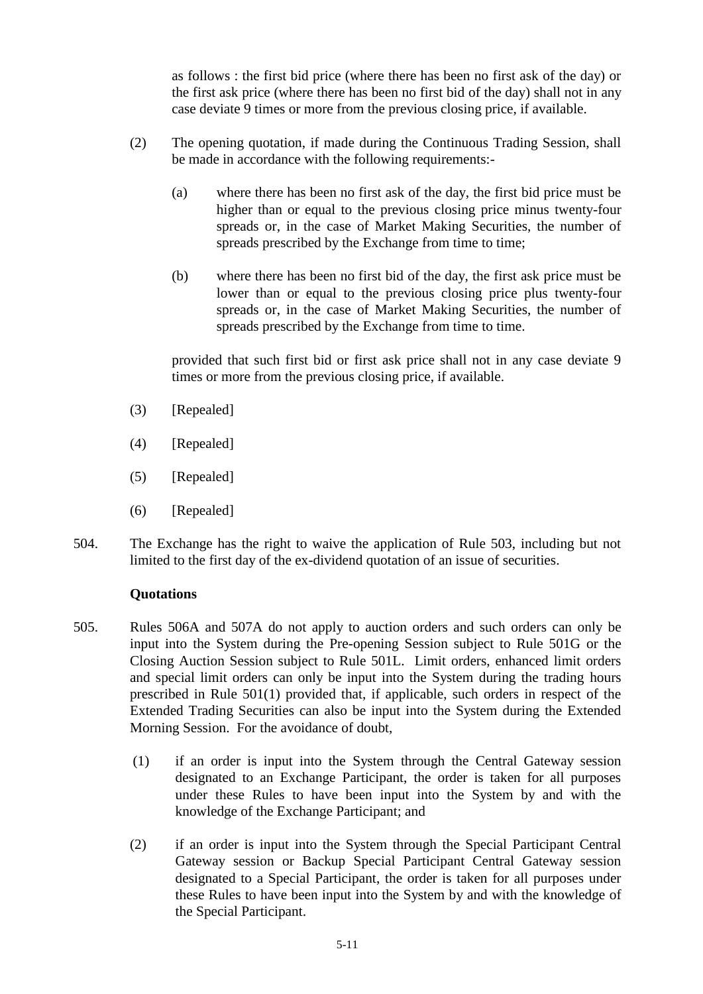as follows : the first bid price (where there has been no first ask of the day) or the first ask price (where there has been no first bid of the day) shall not in any case deviate 9 times or more from the previous closing price, if available.

- (2) The opening quotation, if made during the Continuous Trading Session, shall be made in accordance with the following requirements:-
	- (a) where there has been no first ask of the day, the first bid price must be higher than or equal to the previous closing price minus twenty-four spreads or, in the case of Market Making Securities, the number of spreads prescribed by the Exchange from time to time;
	- (b) where there has been no first bid of the day, the first ask price must be lower than or equal to the previous closing price plus twenty-four spreads or, in the case of Market Making Securities, the number of spreads prescribed by the Exchange from time to time.

provided that such first bid or first ask price shall not in any case deviate 9 times or more from the previous closing price, if available.

- (3) [Repealed]
- (4) [Repealed]
- (5) [Repealed]
- (6) [Repealed]
- 504. The Exchange has the right to waive the application of Rule 503, including but not limited to the first day of the ex-dividend quotation of an issue of securities.

## **Quotations**

- 505. Rules 506A and 507A do not apply to auction orders and such orders can only be input into the System during the Pre-opening Session subject to Rule 501G or the Closing Auction Session subject to Rule 501L. Limit orders, enhanced limit orders and special limit orders can only be input into the System during the trading hours prescribed in Rule 501(1) provided that, if applicable, such orders in respect of the Extended Trading Securities can also be input into the System during the Extended Morning Session. For the avoidance of doubt,
	- (1) if an order is input into the System through the Central Gateway session designated to an Exchange Participant, the order is taken for all purposes under these Rules to have been input into the System by and with the knowledge of the Exchange Participant; and
	- (2) if an order is input into the System through the Special Participant Central Gateway session or Backup Special Participant Central Gateway session designated to a Special Participant, the order is taken for all purposes under these Rules to have been input into the System by and with the knowledge of the Special Participant.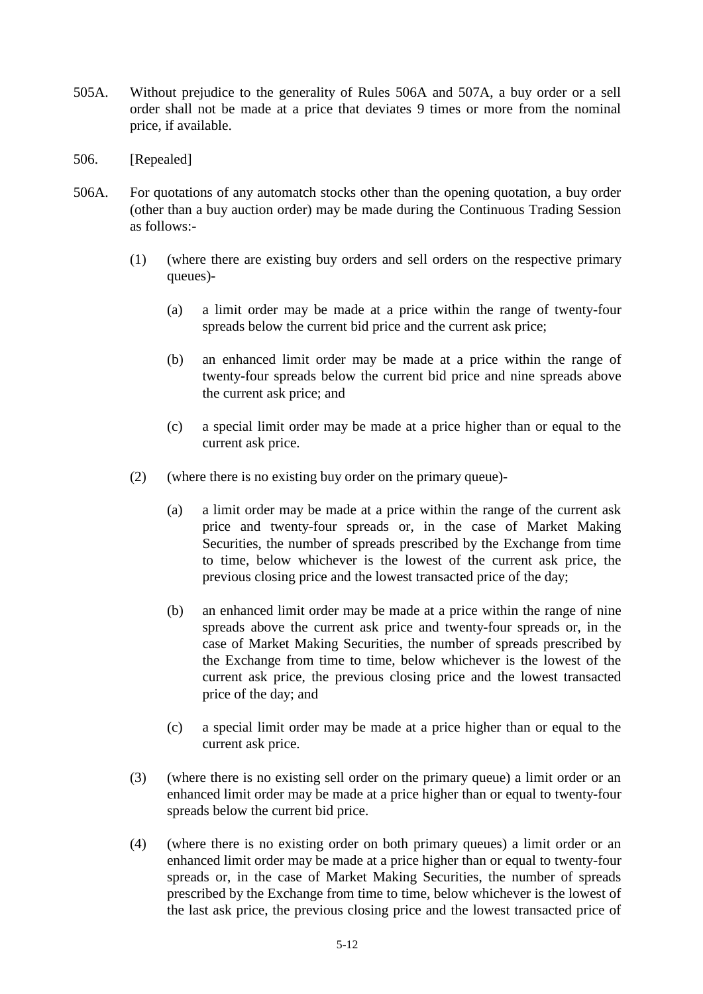- 505A. Without prejudice to the generality of Rules 506A and 507A, a buy order or a sell order shall not be made at a price that deviates 9 times or more from the nominal price, if available.
- 506. [Repealed]
- 506A. For quotations of any automatch stocks other than the opening quotation, a buy order (other than a buy auction order) may be made during the Continuous Trading Session as follows:-
	- (1) (where there are existing buy orders and sell orders on the respective primary queues)-
		- (a) a limit order may be made at a price within the range of twenty-four spreads below the current bid price and the current ask price;
		- (b) an enhanced limit order may be made at a price within the range of twenty-four spreads below the current bid price and nine spreads above the current ask price; and
		- (c) a special limit order may be made at a price higher than or equal to the current ask price.
	- (2) (where there is no existing buy order on the primary queue)-
		- (a) a limit order may be made at a price within the range of the current ask price and twenty-four spreads or, in the case of Market Making Securities, the number of spreads prescribed by the Exchange from time to time, below whichever is the lowest of the current ask price, the previous closing price and the lowest transacted price of the day;
		- (b) an enhanced limit order may be made at a price within the range of nine spreads above the current ask price and twenty-four spreads or, in the case of Market Making Securities, the number of spreads prescribed by the Exchange from time to time, below whichever is the lowest of the current ask price, the previous closing price and the lowest transacted price of the day; and
		- (c) a special limit order may be made at a price higher than or equal to the current ask price.
	- (3) (where there is no existing sell order on the primary queue) a limit order or an enhanced limit order may be made at a price higher than or equal to twenty-four spreads below the current bid price.
	- (4) (where there is no existing order on both primary queues) a limit order or an enhanced limit order may be made at a price higher than or equal to twenty-four spreads or, in the case of Market Making Securities, the number of spreads prescribed by the Exchange from time to time, below whichever is the lowest of the last ask price, the previous closing price and the lowest transacted price of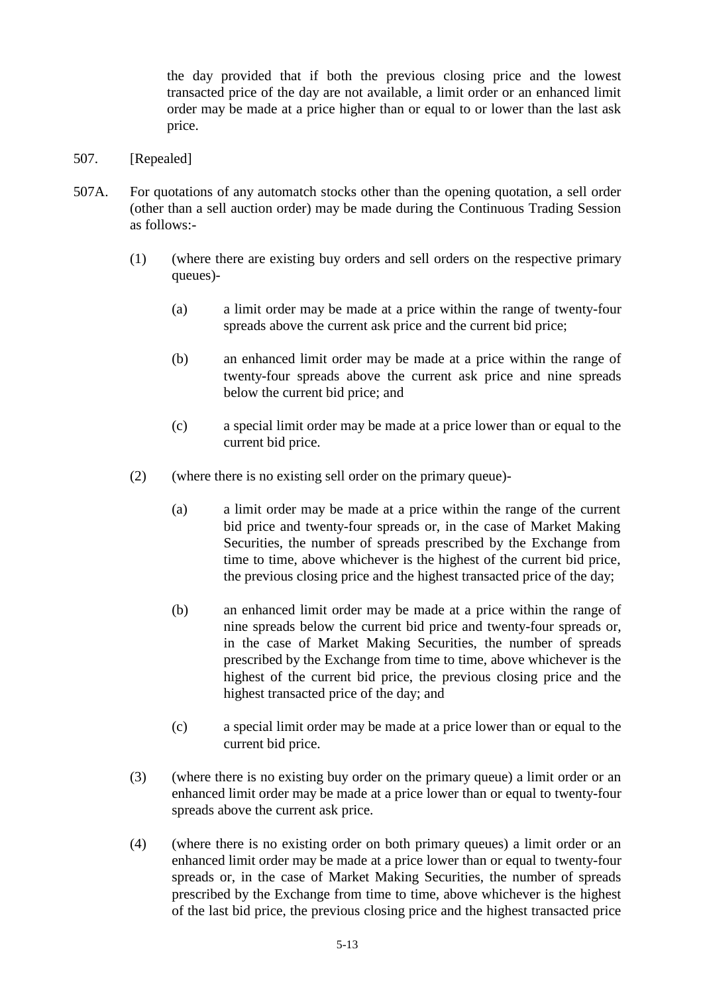the day provided that if both the previous closing price and the lowest transacted price of the day are not available, a limit order or an enhanced limit order may be made at a price higher than or equal to or lower than the last ask price.

- 507. [Repealed]
- 507A. For quotations of any automatch stocks other than the opening quotation, a sell order (other than a sell auction order) may be made during the Continuous Trading Session as follows:-
	- (1) (where there are existing buy orders and sell orders on the respective primary queues)-
		- (a) a limit order may be made at a price within the range of twenty-four spreads above the current ask price and the current bid price;
		- (b) an enhanced limit order may be made at a price within the range of twenty-four spreads above the current ask price and nine spreads below the current bid price; and
		- (c) a special limit order may be made at a price lower than or equal to the current bid price.
	- (2) (where there is no existing sell order on the primary queue)-
		- (a) a limit order may be made at a price within the range of the current bid price and twenty-four spreads or, in the case of Market Making Securities, the number of spreads prescribed by the Exchange from time to time, above whichever is the highest of the current bid price, the previous closing price and the highest transacted price of the day;
		- (b) an enhanced limit order may be made at a price within the range of nine spreads below the current bid price and twenty-four spreads or, in the case of Market Making Securities, the number of spreads prescribed by the Exchange from time to time, above whichever is the highest of the current bid price, the previous closing price and the highest transacted price of the day; and
		- (c) a special limit order may be made at a price lower than or equal to the current bid price.
	- (3) (where there is no existing buy order on the primary queue) a limit order or an enhanced limit order may be made at a price lower than or equal to twenty-four spreads above the current ask price.
	- (4) (where there is no existing order on both primary queues) a limit order or an enhanced limit order may be made at a price lower than or equal to twenty-four spreads or, in the case of Market Making Securities, the number of spreads prescribed by the Exchange from time to time, above whichever is the highest of the last bid price, the previous closing price and the highest transacted price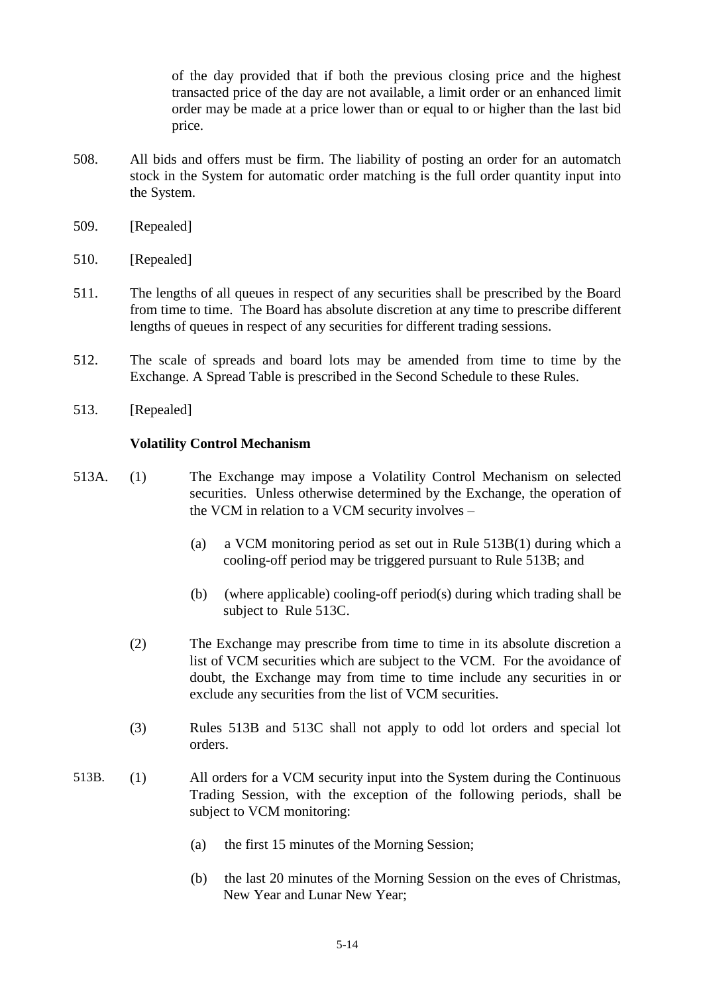of the day provided that if both the previous closing price and the highest transacted price of the day are not available, a limit order or an enhanced limit order may be made at a price lower than or equal to or higher than the last bid price.

- 508. All bids and offers must be firm. The liability of posting an order for an automatch stock in the System for automatic order matching is the full order quantity input into the System.
- 509. [Repealed]
- 510. [Repealed]
- 511. The lengths of all queues in respect of any securities shall be prescribed by the Board from time to time. The Board has absolute discretion at any time to prescribe different lengths of queues in respect of any securities for different trading sessions.
- 512. The scale of spreads and board lots may be amended from time to time by the Exchange. A Spread Table is prescribed in the Second Schedule to these Rules.
- 513. [Repealed]

### **Volatility Control Mechanism**

- 513A. (1) The Exchange may impose a Volatility Control Mechanism on selected securities. Unless otherwise determined by the Exchange, the operation of the VCM in relation to a VCM security involves –
	- (a) a VCM monitoring period as set out in Rule 513B(1) during which a cooling-off period may be triggered pursuant to Rule 513B; and
	- (b) (where applicable) cooling-off period(s) during which trading shall be subject to Rule 513C.
	- (2) The Exchange may prescribe from time to time in its absolute discretion a list of VCM securities which are subject to the VCM. For the avoidance of doubt, the Exchange may from time to time include any securities in or exclude any securities from the list of VCM securities.
	- (3) Rules 513B and 513C shall not apply to odd lot orders and special lot orders.
- 513B. (1) All orders for a VCM security input into the System during the Continuous Trading Session, with the exception of the following periods, shall be subject to VCM monitoring:
	- (a) the first 15 minutes of the Morning Session;
	- (b) the last 20 minutes of the Morning Session on the eves of Christmas, New Year and Lunar New Year;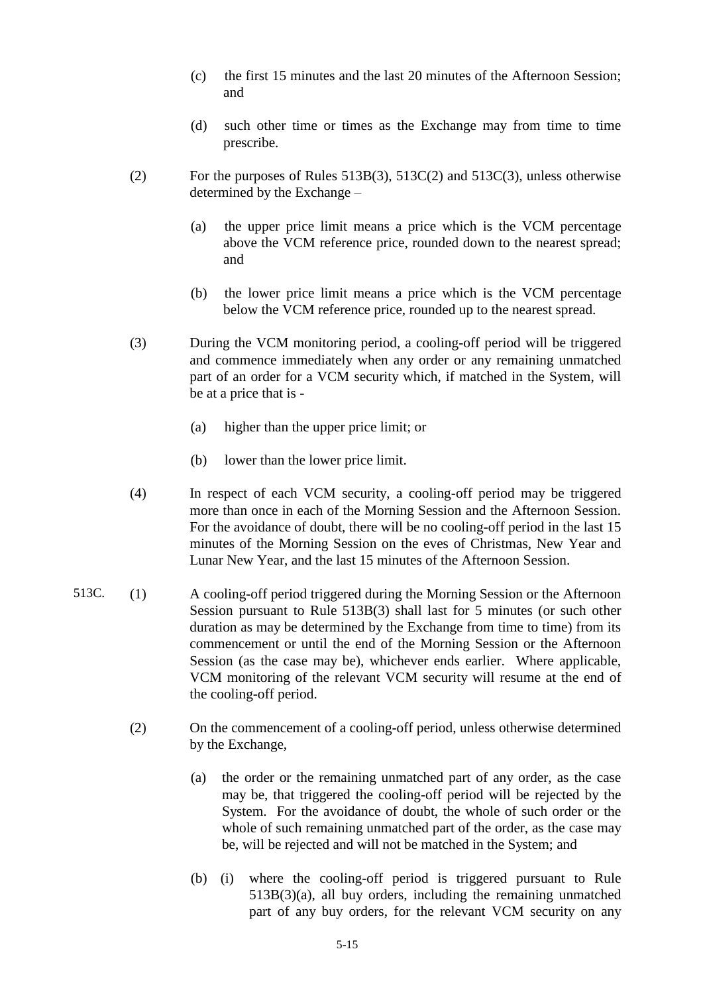- (c) the first 15 minutes and the last 20 minutes of the Afternoon Session; and
- (d) such other time or times as the Exchange may from time to time prescribe.
- (2) For the purposes of Rules 513B(3), 513C(2) and 513C(3), unless otherwise determined by the Exchange –
	- (a) the upper price limit means a price which is the VCM percentage above the VCM reference price, rounded down to the nearest spread; and
	- (b) the lower price limit means a price which is the VCM percentage below the VCM reference price, rounded up to the nearest spread.
- (3) During the VCM monitoring period, a cooling-off period will be triggered and commence immediately when any order or any remaining unmatched part of an order for a VCM security which, if matched in the System, will be at a price that is -
	- (a) higher than the upper price limit; or
	- (b) lower than the lower price limit.
- (4) In respect of each VCM security, a cooling-off period may be triggered more than once in each of the Morning Session and the Afternoon Session. For the avoidance of doubt, there will be no cooling-off period in the last 15 minutes of the Morning Session on the eves of Christmas, New Year and Lunar New Year, and the last 15 minutes of the Afternoon Session.
- 513C. (1) A cooling-off period triggered during the Morning Session or the Afternoon Session pursuant to Rule 513B(3) shall last for 5 minutes (or such other duration as may be determined by the Exchange from time to time) from its commencement or until the end of the Morning Session or the Afternoon Session (as the case may be), whichever ends earlier. Where applicable, VCM monitoring of the relevant VCM security will resume at the end of the cooling-off period.
	- (2) On the commencement of a cooling-off period, unless otherwise determined by the Exchange,
		- (a) the order or the remaining unmatched part of any order, as the case may be, that triggered the cooling-off period will be rejected by the System. For the avoidance of doubt, the whole of such order or the whole of such remaining unmatched part of the order, as the case may be, will be rejected and will not be matched in the System; and
		- (b) (i) where the cooling-off period is triggered pursuant to Rule 513B(3)(a), all buy orders, including the remaining unmatched part of any buy orders, for the relevant VCM security on any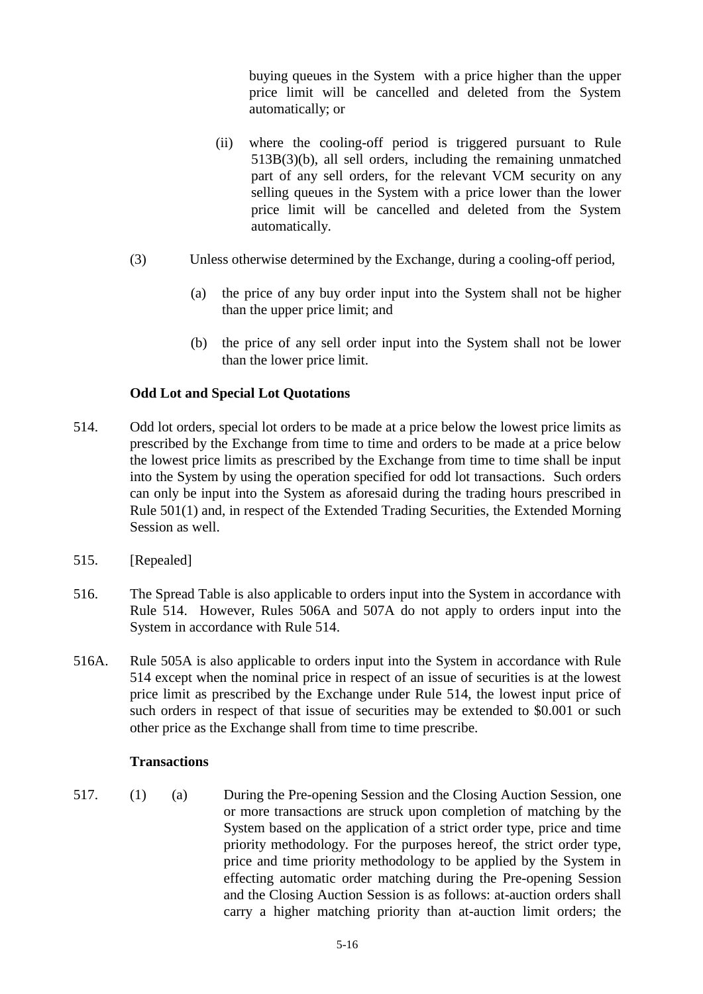buying queues in the System with a price higher than the upper price limit will be cancelled and deleted from the System automatically; or

- (ii) where the cooling-off period is triggered pursuant to Rule 513B(3)(b), all sell orders, including the remaining unmatched part of any sell orders, for the relevant VCM security on any selling queues in the System with a price lower than the lower price limit will be cancelled and deleted from the System automatically.
- (3) Unless otherwise determined by the Exchange, during a cooling-off period,
	- (a) the price of any buy order input into the System shall not be higher than the upper price limit; and
	- (b) the price of any sell order input into the System shall not be lower than the lower price limit.

## **Odd Lot and Special Lot Quotations**

- 514. Odd lot orders, special lot orders to be made at a price below the lowest price limits as prescribed by the Exchange from time to time and orders to be made at a price below the lowest price limits as prescribed by the Exchange from time to time shall be input into the System by using the operation specified for odd lot transactions. Such orders can only be input into the System as aforesaid during the trading hours prescribed in Rule 501(1) and, in respect of the Extended Trading Securities, the Extended Morning Session as well.
- 515. [Repealed]
- 516. The Spread Table is also applicable to orders input into the System in accordance with Rule 514. However, Rules 506A and 507A do not apply to orders input into the System in accordance with Rule 514.
- 516A. Rule 505A is also applicable to orders input into the System in accordance with Rule 514 except when the nominal price in respect of an issue of securities is at the lowest price limit as prescribed by the Exchange under Rule 514, the lowest input price of such orders in respect of that issue of securities may be extended to \$0.001 or such other price as the Exchange shall from time to time prescribe.

### **Transactions**

517. (1) (a) During the Pre-opening Session and the Closing Auction Session, one or more transactions are struck upon completion of matching by the System based on the application of a strict order type, price and time priority methodology. For the purposes hereof, the strict order type, price and time priority methodology to be applied by the System in effecting automatic order matching during the Pre-opening Session and the Closing Auction Session is as follows: at-auction orders shall carry a higher matching priority than at-auction limit orders; the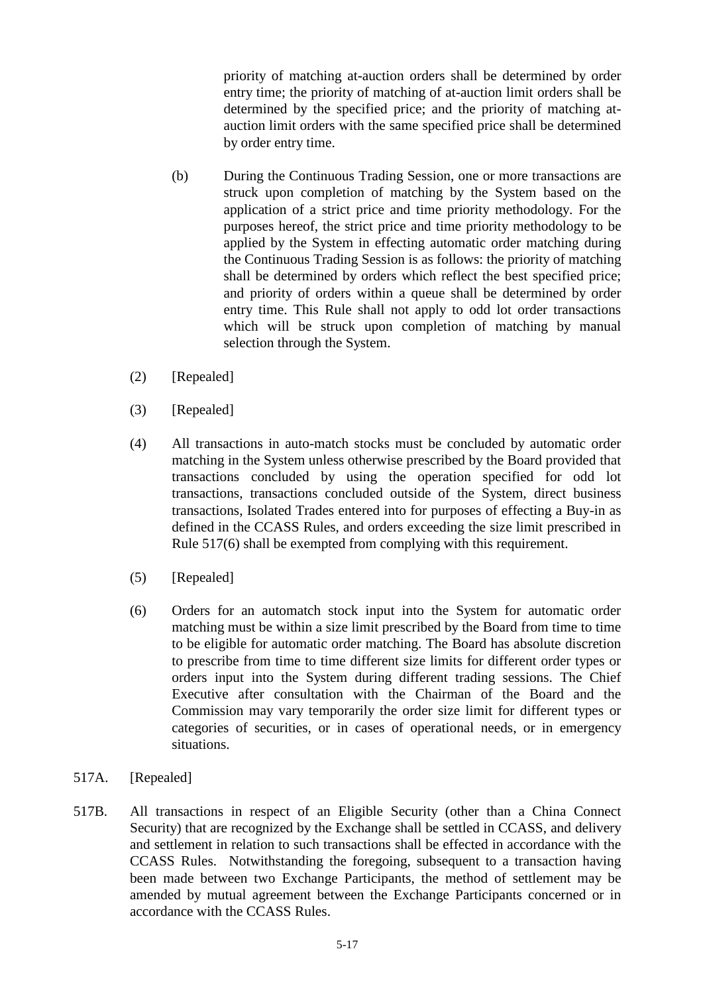priority of matching at-auction orders shall be determined by order entry time; the priority of matching of at-auction limit orders shall be determined by the specified price; and the priority of matching atauction limit orders with the same specified price shall be determined by order entry time.

- (b) During the Continuous Trading Session, one or more transactions are struck upon completion of matching by the System based on the application of a strict price and time priority methodology. For the purposes hereof, the strict price and time priority methodology to be applied by the System in effecting automatic order matching during the Continuous Trading Session is as follows: the priority of matching shall be determined by orders which reflect the best specified price; and priority of orders within a queue shall be determined by order entry time. This Rule shall not apply to odd lot order transactions which will be struck upon completion of matching by manual selection through the System.
- (2) [Repealed]
- (3) [Repealed]
- (4) All transactions in auto-match stocks must be concluded by automatic order matching in the System unless otherwise prescribed by the Board provided that transactions concluded by using the operation specified for odd lot transactions, transactions concluded outside of the System, direct business transactions, Isolated Trades entered into for purposes of effecting a Buy-in as defined in the CCASS Rules, and orders exceeding the size limit prescribed in Rule 517(6) shall be exempted from complying with this requirement.
- (5) [Repealed]
- (6) Orders for an automatch stock input into the System for automatic order matching must be within a size limit prescribed by the Board from time to time to be eligible for automatic order matching. The Board has absolute discretion to prescribe from time to time different size limits for different order types or orders input into the System during different trading sessions. The Chief Executive after consultation with the Chairman of the Board and the Commission may vary temporarily the order size limit for different types or categories of securities, or in cases of operational needs, or in emergency situations.
- 517A. [Repealed]
- 517B. All transactions in respect of an Eligible Security (other than a China Connect Security) that are recognized by the Exchange shall be settled in CCASS, and delivery and settlement in relation to such transactions shall be effected in accordance with the CCASS Rules. Notwithstanding the foregoing, subsequent to a transaction having been made between two Exchange Participants, the method of settlement may be amended by mutual agreement between the Exchange Participants concerned or in accordance with the CCASS Rules.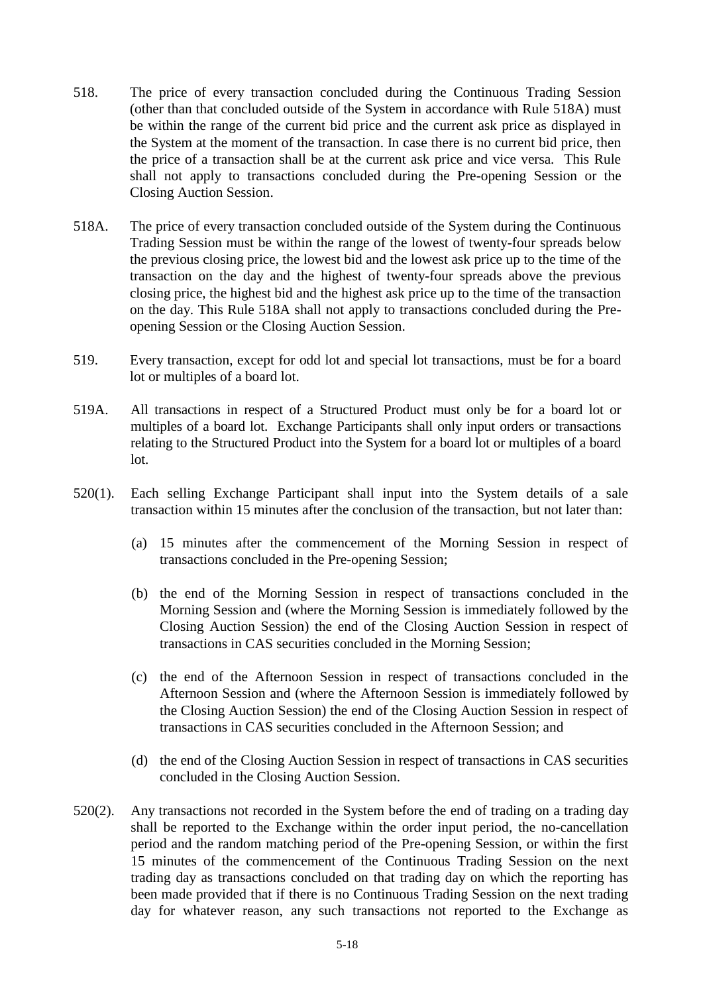- 518. The price of every transaction concluded during the Continuous Trading Session (other than that concluded outside of the System in accordance with Rule 518A) must be within the range of the current bid price and the current ask price as displayed in the System at the moment of the transaction. In case there is no current bid price, then the price of a transaction shall be at the current ask price and vice versa. This Rule shall not apply to transactions concluded during the Pre-opening Session or the Closing Auction Session.
- 518A. The price of every transaction concluded outside of the System during the Continuous Trading Session must be within the range of the lowest of twenty-four spreads below the previous closing price, the lowest bid and the lowest ask price up to the time of the transaction on the day and the highest of twenty-four spreads above the previous closing price, the highest bid and the highest ask price up to the time of the transaction on the day. This Rule 518A shall not apply to transactions concluded during the Preopening Session or the Closing Auction Session.
- 519. Every transaction, except for odd lot and special lot transactions, must be for a board lot or multiples of a board lot.
- 519A. All transactions in respect of a Structured Product must only be for a board lot or multiples of a board lot. Exchange Participants shall only input orders or transactions relating to the Structured Product into the System for a board lot or multiples of a board lot.
- 520(1). Each selling Exchange Participant shall input into the System details of a sale transaction within 15 minutes after the conclusion of the transaction, but not later than:
	- (a) 15 minutes after the commencement of the Morning Session in respect of transactions concluded in the Pre-opening Session;
	- (b) the end of the Morning Session in respect of transactions concluded in the Morning Session and (where the Morning Session is immediately followed by the Closing Auction Session) the end of the Closing Auction Session in respect of transactions in CAS securities concluded in the Morning Session;
	- (c) the end of the Afternoon Session in respect of transactions concluded in the Afternoon Session and (where the Afternoon Session is immediately followed by the Closing Auction Session) the end of the Closing Auction Session in respect of transactions in CAS securities concluded in the Afternoon Session; and
	- (d) the end of the Closing Auction Session in respect of transactions in CAS securities concluded in the Closing Auction Session.
- 520(2). Any transactions not recorded in the System before the end of trading on a trading day shall be reported to the Exchange within the order input period, the no-cancellation period and the random matching period of the Pre-opening Session, or within the first 15 minutes of the commencement of the Continuous Trading Session on the next trading day as transactions concluded on that trading day on which the reporting has been made provided that if there is no Continuous Trading Session on the next trading day for whatever reason, any such transactions not reported to the Exchange as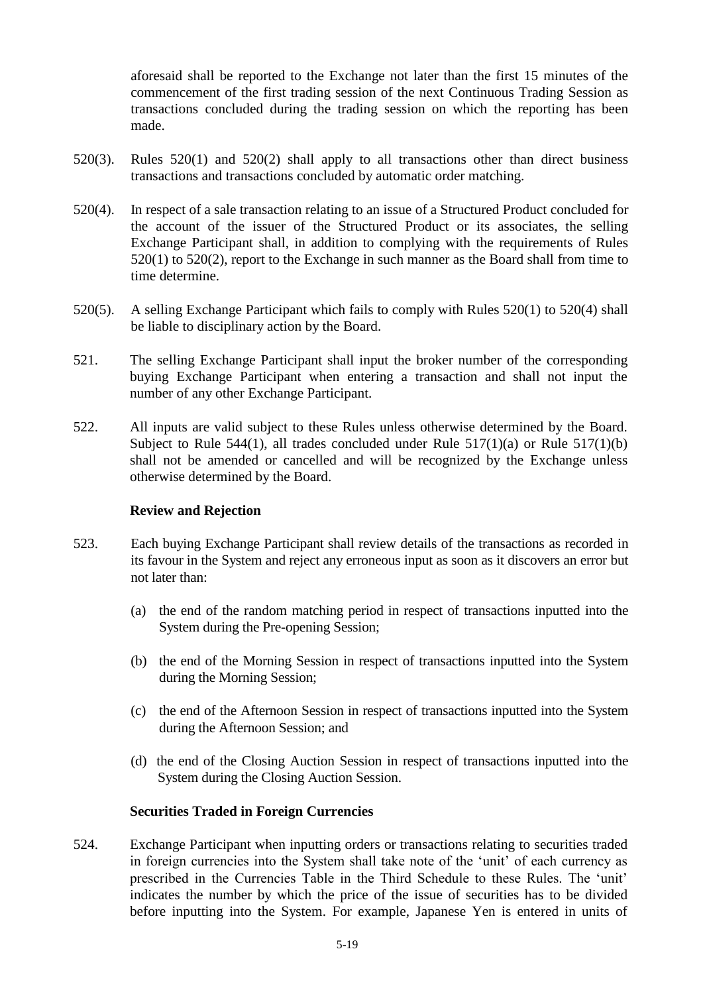aforesaid shall be reported to the Exchange not later than the first 15 minutes of the commencement of the first trading session of the next Continuous Trading Session as transactions concluded during the trading session on which the reporting has been made.

- 520(3). Rules 520(1) and 520(2) shall apply to all transactions other than direct business transactions and transactions concluded by automatic order matching.
- 520(4). In respect of a sale transaction relating to an issue of a Structured Product concluded for the account of the issuer of the Structured Product or its associates, the selling Exchange Participant shall, in addition to complying with the requirements of Rules 520(1) to 520(2), report to the Exchange in such manner as the Board shall from time to time determine.
- 520(5). A selling Exchange Participant which fails to comply with Rules 520(1) to 520(4) shall be liable to disciplinary action by the Board.
- 521. The selling Exchange Participant shall input the broker number of the corresponding buying Exchange Participant when entering a transaction and shall not input the number of any other Exchange Participant.
- 522. All inputs are valid subject to these Rules unless otherwise determined by the Board. Subject to Rule  $544(1)$ , all trades concluded under Rule  $517(1)(a)$  or Rule  $517(1)(b)$ shall not be amended or cancelled and will be recognized by the Exchange unless otherwise determined by the Board.

### **Review and Rejection**

- 523. Each buying Exchange Participant shall review details of the transactions as recorded in its favour in the System and reject any erroneous input as soon as it discovers an error but not later than:
	- (a) the end of the random matching period in respect of transactions inputted into the System during the Pre-opening Session;
	- (b) the end of the Morning Session in respect of transactions inputted into the System during the Morning Session;
	- (c) the end of the Afternoon Session in respect of transactions inputted into the System during the Afternoon Session; and
	- (d) the end of the Closing Auction Session in respect of transactions inputted into the System during the Closing Auction Session.

### **Securities Traded in Foreign Currencies**

524. Exchange Participant when inputting orders or transactions relating to securities traded in foreign currencies into the System shall take note of the 'unit' of each currency as prescribed in the Currencies Table in the Third Schedule to these Rules. The 'unit' indicates the number by which the price of the issue of securities has to be divided before inputting into the System. For example, Japanese Yen is entered in units of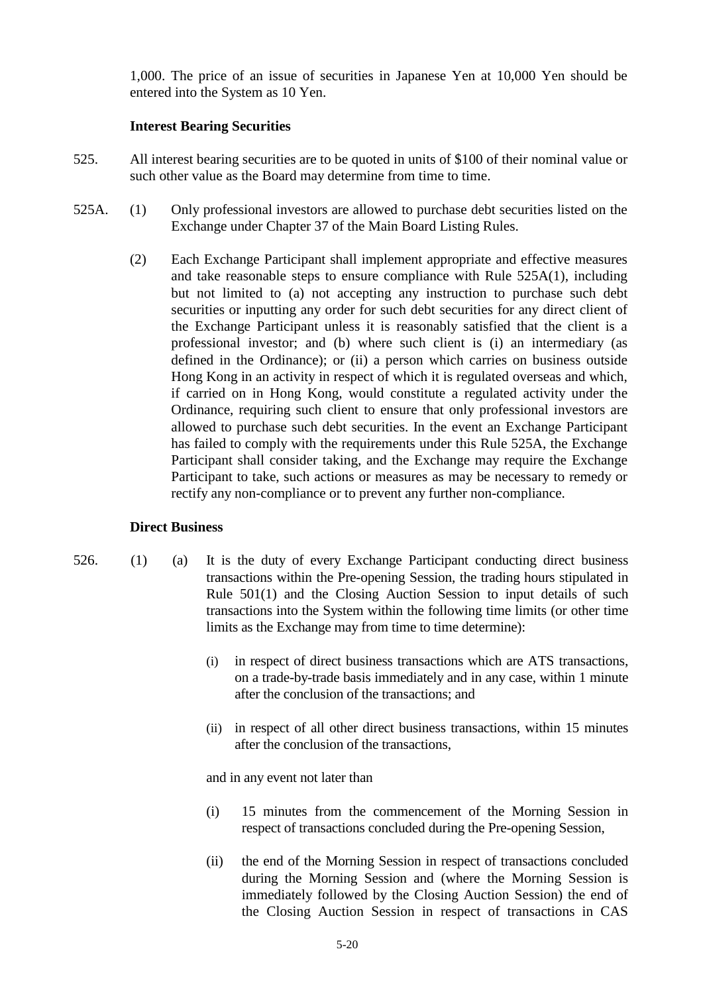1,000. The price of an issue of securities in Japanese Yen at 10,000 Yen should be entered into the System as 10 Yen.

### **Interest Bearing Securities**

- 525. All interest bearing securities are to be quoted in units of \$100 of their nominal value or such other value as the Board may determine from time to time.
- 525A. (1) Only professional investors are allowed to purchase debt securities listed on the Exchange under Chapter 37 of the Main Board Listing Rules.
	- (2) Each Exchange Participant shall implement appropriate and effective measures and take reasonable steps to ensure compliance with Rule 525A(1), including but not limited to (a) not accepting any instruction to purchase such debt securities or inputting any order for such debt securities for any direct client of the Exchange Participant unless it is reasonably satisfied that the client is a professional investor; and (b) where such client is (i) an intermediary (as defined in the Ordinance); or (ii) a person which carries on business outside Hong Kong in an activity in respect of which it is regulated overseas and which, if carried on in Hong Kong, would constitute a regulated activity under the Ordinance, requiring such client to ensure that only professional investors are allowed to purchase such debt securities. In the event an Exchange Participant has failed to comply with the requirements under this Rule 525A, the Exchange Participant shall consider taking, and the Exchange may require the Exchange Participant to take, such actions or measures as may be necessary to remedy or rectify any non-compliance or to prevent any further non-compliance.

### **Direct Business**

- 
- 526. (1) (a) It is the duty of every Exchange Participant conducting direct business transactions within the Pre-opening Session, the trading hours stipulated in Rule 501(1) and the Closing Auction Session to input details of such transactions into the System within the following time limits (or other time limits as the Exchange may from time to time determine):
	- (i) in respect of direct business transactions which are ATS transactions, on a trade-by-trade basis immediately and in any case, within 1 minute after the conclusion of the transactions; and
	- (ii) in respect of all other direct business transactions, within 15 minutes after the conclusion of the transactions,

and in any event not later than

- (i) 15 minutes from the commencement of the Morning Session in respect of transactions concluded during the Pre-opening Session,
- (ii) the end of the Morning Session in respect of transactions concluded during the Morning Session and (where the Morning Session is immediately followed by the Closing Auction Session) the end of the Closing Auction Session in respect of transactions in CAS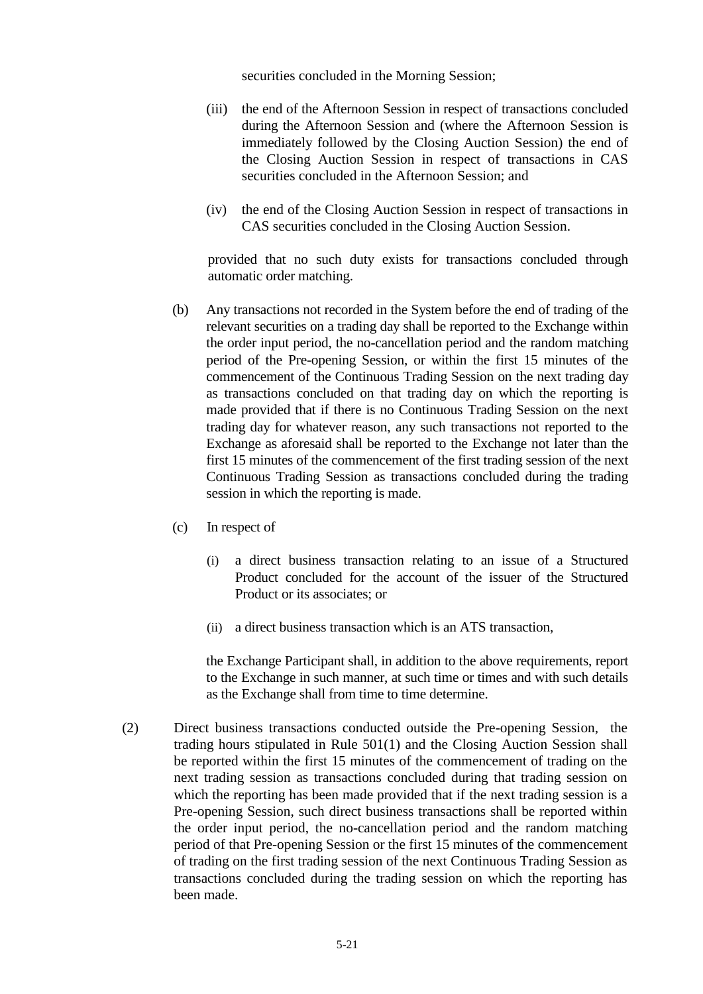securities concluded in the Morning Session;

- (iii) the end of the Afternoon Session in respect of transactions concluded during the Afternoon Session and (where the Afternoon Session is immediately followed by the Closing Auction Session) the end of the Closing Auction Session in respect of transactions in CAS securities concluded in the Afternoon Session; and
- (iv) the end of the Closing Auction Session in respect of transactions in CAS securities concluded in the Closing Auction Session.

provided that no such duty exists for transactions concluded through automatic order matching.

- (b) Any transactions not recorded in the System before the end of trading of the relevant securities on a trading day shall be reported to the Exchange within the order input period, the no-cancellation period and the random matching period of the Pre-opening Session, or within the first 15 minutes of the commencement of the Continuous Trading Session on the next trading day as transactions concluded on that trading day on which the reporting is made provided that if there is no Continuous Trading Session on the next trading day for whatever reason, any such transactions not reported to the Exchange as aforesaid shall be reported to the Exchange not later than the first 15 minutes of the commencement of the first trading session of the next Continuous Trading Session as transactions concluded during the trading session in which the reporting is made.
- (c) In respect of
	- (i) a direct business transaction relating to an issue of a Structured Product concluded for the account of the issuer of the Structured Product or its associates; or
	- (ii) a direct business transaction which is an ATS transaction,

the Exchange Participant shall, in addition to the above requirements, report to the Exchange in such manner, at such time or times and with such details as the Exchange shall from time to time determine.

(2) Direct business transactions conducted outside the Pre-opening Session, the trading hours stipulated in Rule 501(1) and the Closing Auction Session shall be reported within the first 15 minutes of the commencement of trading on the next trading session as transactions concluded during that trading session on which the reporting has been made provided that if the next trading session is a Pre-opening Session, such direct business transactions shall be reported within the order input period, the no-cancellation period and the random matching period of that Pre-opening Session or the first 15 minutes of the commencement of trading on the first trading session of the next Continuous Trading Session as transactions concluded during the trading session on which the reporting has been made.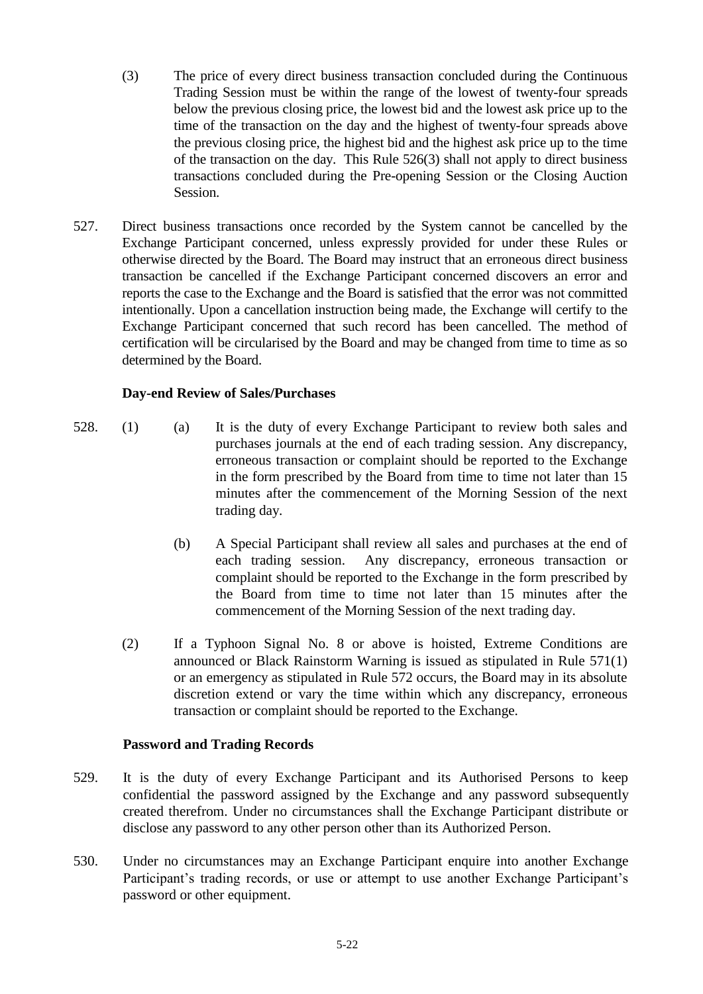- (3) The price of every direct business transaction concluded during the Continuous Trading Session must be within the range of the lowest of twenty-four spreads below the previous closing price, the lowest bid and the lowest ask price up to the time of the transaction on the day and the highest of twenty-four spreads above the previous closing price, the highest bid and the highest ask price up to the time of the transaction on the day. This Rule 526(3) shall not apply to direct business transactions concluded during the Pre-opening Session or the Closing Auction Session.
- 527. Direct business transactions once recorded by the System cannot be cancelled by the Exchange Participant concerned, unless expressly provided for under these Rules or otherwise directed by the Board. The Board may instruct that an erroneous direct business transaction be cancelled if the Exchange Participant concerned discovers an error and reports the case to the Exchange and the Board is satisfied that the error was not committed intentionally. Upon a cancellation instruction being made, the Exchange will certify to the Exchange Participant concerned that such record has been cancelled. The method of certification will be circularised by the Board and may be changed from time to time as so determined by the Board.

## **Day-end Review of Sales/Purchases**

- 528. (1) (a) It is the duty of every Exchange Participant to review both sales and purchases journals at the end of each trading session. Any discrepancy, erroneous transaction or complaint should be reported to the Exchange in the form prescribed by the Board from time to time not later than 15 minutes after the commencement of the Morning Session of the next trading day.
	- (b) A Special Participant shall review all sales and purchases at the end of each trading session. Any discrepancy, erroneous transaction or complaint should be reported to the Exchange in the form prescribed by the Board from time to time not later than 15 minutes after the commencement of the Morning Session of the next trading day.
	- (2) If a Typhoon Signal No. 8 or above is hoisted, Extreme Conditions are announced or Black Rainstorm Warning is issued as stipulated in Rule 571(1) or an emergency as stipulated in Rule 572 occurs, the Board may in its absolute discretion extend or vary the time within which any discrepancy, erroneous transaction or complaint should be reported to the Exchange.

### **Password and Trading Records**

- 529. It is the duty of every Exchange Participant and its Authorised Persons to keep confidential the password assigned by the Exchange and any password subsequently created therefrom. Under no circumstances shall the Exchange Participant distribute or disclose any password to any other person other than its Authorized Person.
- 530. Under no circumstances may an Exchange Participant enquire into another Exchange Participant's trading records, or use or attempt to use another Exchange Participant's password or other equipment.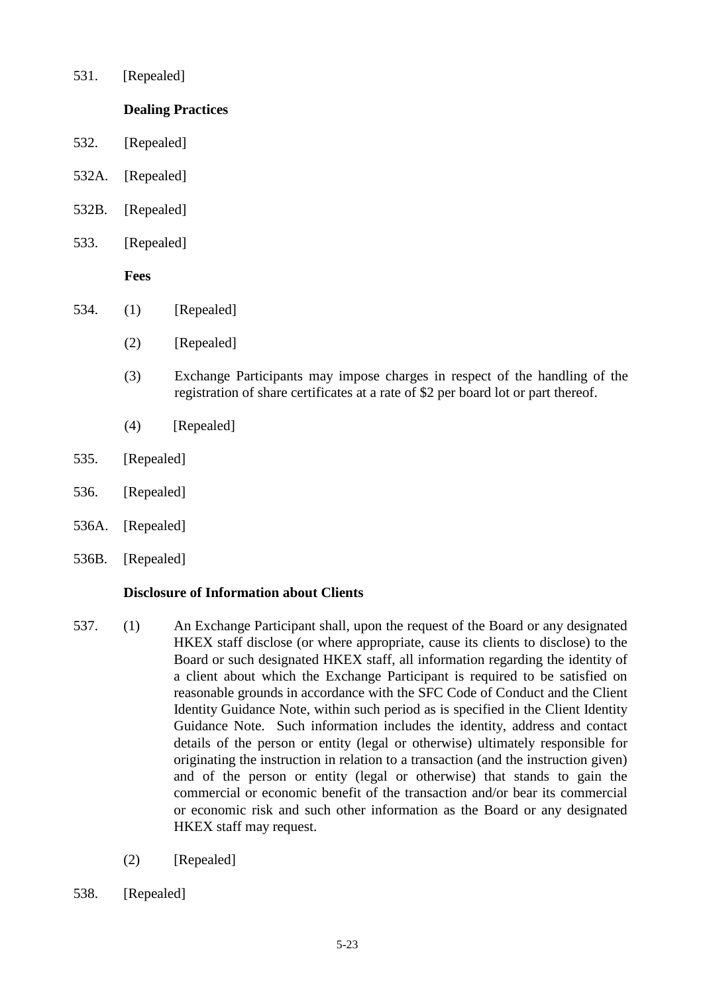531. [Repealed]

### **Dealing Practices**

- 532. [Repealed]
- 532A. [Repealed]
- 532B. [Repealed]
- 533. [Repealed]

**Fees**

- 534. (1) [Repealed]
	- (2) [Repealed]
	- (3) Exchange Participants may impose charges in respect of the handling of the registration of share certificates at a rate of \$2 per board lot or part thereof.
	- (4) [Repealed]
- 535. [Repealed]
- 536. [Repealed]
- 536A. [Repealed]
- 536B. [Repealed]

### **Disclosure of Information about Clients**

- 537. (1) An Exchange Participant shall, upon the request of the Board or any designated HKEX staff disclose (or where appropriate, cause its clients to disclose) to the Board or such designated HKEX staff, all information regarding the identity of a client about which the Exchange Participant is required to be satisfied on reasonable grounds in accordance with the SFC Code of Conduct and the Client Identity Guidance Note, within such period as is specified in the Client Identity Guidance Note. Such information includes the identity, address and contact details of the person or entity (legal or otherwise) ultimately responsible for originating the instruction in relation to a transaction (and the instruction given) and of the person or entity (legal or otherwise) that stands to gain the commercial or economic benefit of the transaction and/or bear its commercial or economic risk and such other information as the Board or any designated HKEX staff may request.
	- (2) [Repealed]
- 538. [Repealed]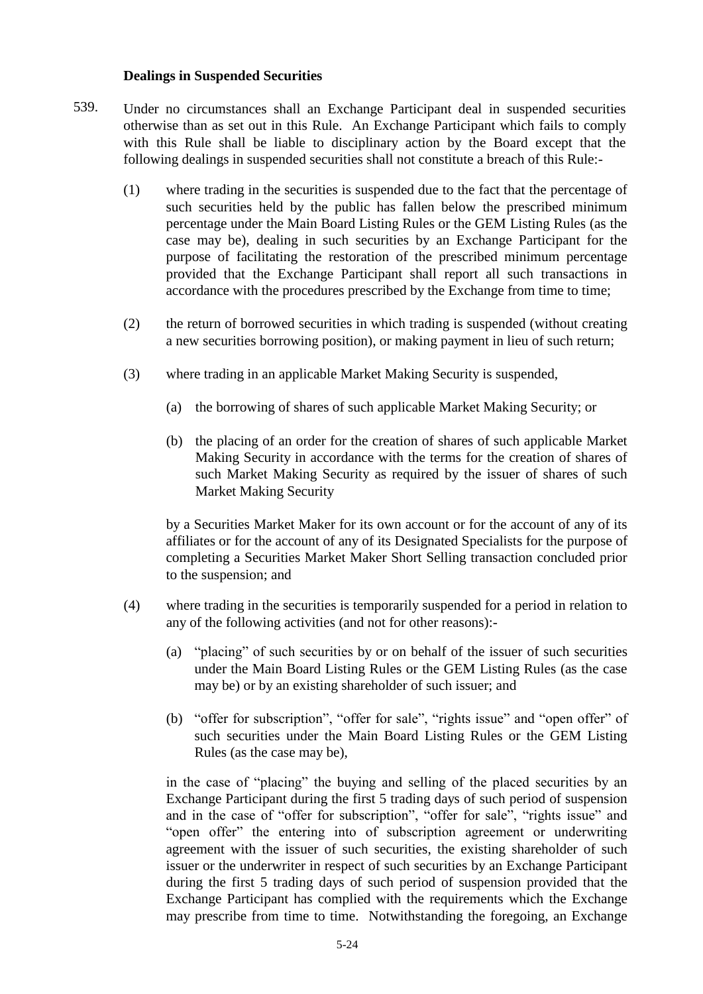### **Dealings in Suspended Securities**

- 539. Under no circumstances shall an Exchange Participant deal in suspended securities otherwise than as set out in this Rule. An Exchange Participant which fails to comply with this Rule shall be liable to disciplinary action by the Board except that the following dealings in suspended securities shall not constitute a breach of this Rule:-
	- (1) where trading in the securities is suspended due to the fact that the percentage of such securities held by the public has fallen below the prescribed minimum percentage under the Main Board Listing Rules or the GEM Listing Rules (as the case may be), dealing in such securities by an Exchange Participant for the purpose of facilitating the restoration of the prescribed minimum percentage provided that the Exchange Participant shall report all such transactions in accordance with the procedures prescribed by the Exchange from time to time;
	- (2) the return of borrowed securities in which trading is suspended (without creating a new securities borrowing position), or making payment in lieu of such return;
	- (3) where trading in an applicable Market Making Security is suspended,
		- (a) the borrowing of shares of such applicable Market Making Security; or
		- (b) the placing of an order for the creation of shares of such applicable Market Making Security in accordance with the terms for the creation of shares of such Market Making Security as required by the issuer of shares of such Market Making Security

by a Securities Market Maker for its own account or for the account of any of its affiliates or for the account of any of its Designated Specialists for the purpose of completing a Securities Market Maker Short Selling transaction concluded prior to the suspension; and

- (4) where trading in the securities is temporarily suspended for a period in relation to any of the following activities (and not for other reasons):-
	- (a) "placing" of such securities by or on behalf of the issuer of such securities under the Main Board Listing Rules or the GEM Listing Rules (as the case may be) or by an existing shareholder of such issuer; and
	- (b) "offer for subscription", "offer for sale", "rights issue" and "open offer" of such securities under the Main Board Listing Rules or the GEM Listing Rules (as the case may be),

in the case of "placing" the buying and selling of the placed securities by an Exchange Participant during the first 5 trading days of such period of suspension and in the case of "offer for subscription", "offer for sale", "rights issue" and "open offer" the entering into of subscription agreement or underwriting agreement with the issuer of such securities, the existing shareholder of such issuer or the underwriter in respect of such securities by an Exchange Participant during the first 5 trading days of such period of suspension provided that the Exchange Participant has complied with the requirements which the Exchange may prescribe from time to time. Notwithstanding the foregoing, an Exchange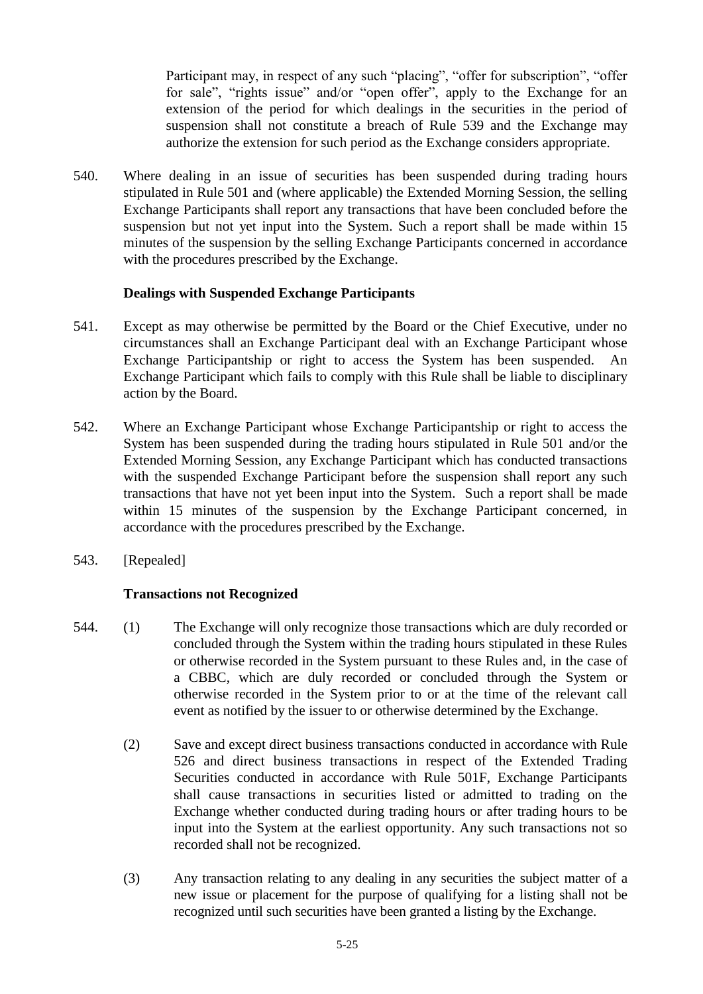Participant may, in respect of any such "placing", "offer for subscription", "offer for sale", "rights issue" and/or "open offer", apply to the Exchange for an extension of the period for which dealings in the securities in the period of suspension shall not constitute a breach of Rule 539 and the Exchange may authorize the extension for such period as the Exchange considers appropriate.

540. Where dealing in an issue of securities has been suspended during trading hours stipulated in Rule 501 and (where applicable) the Extended Morning Session, the selling Exchange Participants shall report any transactions that have been concluded before the suspension but not yet input into the System. Such a report shall be made within 15 minutes of the suspension by the selling Exchange Participants concerned in accordance with the procedures prescribed by the Exchange.

### **Dealings with Suspended Exchange Participants**

- 541. Except as may otherwise be permitted by the Board or the Chief Executive, under no circumstances shall an Exchange Participant deal with an Exchange Participant whose Exchange Participantship or right to access the System has been suspended. An Exchange Participant which fails to comply with this Rule shall be liable to disciplinary action by the Board.
- 542. Where an Exchange Participant whose Exchange Participantship or right to access the System has been suspended during the trading hours stipulated in Rule 501 and/or the Extended Morning Session, any Exchange Participant which has conducted transactions with the suspended Exchange Participant before the suspension shall report any such transactions that have not yet been input into the System. Such a report shall be made within 15 minutes of the suspension by the Exchange Participant concerned, in accordance with the procedures prescribed by the Exchange.
- 543. [Repealed]

## **Transactions not Recognized**

- 544. (1) The Exchange will only recognize those transactions which are duly recorded or concluded through the System within the trading hours stipulated in these Rules or otherwise recorded in the System pursuant to these Rules and, in the case of a CBBC, which are duly recorded or concluded through the System or otherwise recorded in the System prior to or at the time of the relevant call event as notified by the issuer to or otherwise determined by the Exchange.
	- (2) Save and except direct business transactions conducted in accordance with Rule 526 and direct business transactions in respect of the Extended Trading Securities conducted in accordance with Rule 501F, Exchange Participants shall cause transactions in securities listed or admitted to trading on the Exchange whether conducted during trading hours or after trading hours to be input into the System at the earliest opportunity. Any such transactions not so recorded shall not be recognized.
	- (3) Any transaction relating to any dealing in any securities the subject matter of a new issue or placement for the purpose of qualifying for a listing shall not be recognized until such securities have been granted a listing by the Exchange.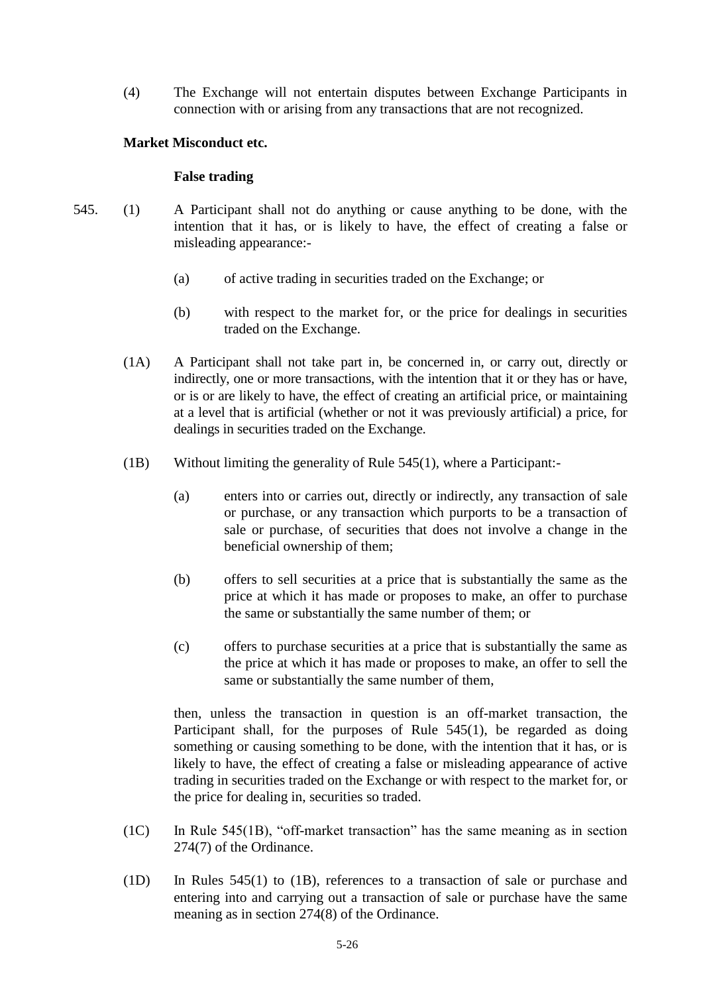(4) The Exchange will not entertain disputes between Exchange Participants in connection with or arising from any transactions that are not recognized.

### **Market Misconduct etc.**

### **False trading**

- 545. (1) A Participant shall not do anything or cause anything to be done, with the intention that it has, or is likely to have, the effect of creating a false or misleading appearance:-
	- (a) of active trading in securities traded on the Exchange; or
	- (b) with respect to the market for, or the price for dealings in securities traded on the Exchange.
	- (1A) A Participant shall not take part in, be concerned in, or carry out, directly or indirectly, one or more transactions, with the intention that it or they has or have, or is or are likely to have, the effect of creating an artificial price, or maintaining at a level that is artificial (whether or not it was previously artificial) a price, for dealings in securities traded on the Exchange.
	- (1B) Without limiting the generality of Rule 545(1), where a Participant:-
		- (a) enters into or carries out, directly or indirectly, any transaction of sale or purchase, or any transaction which purports to be a transaction of sale or purchase, of securities that does not involve a change in the beneficial ownership of them;
		- (b) offers to sell securities at a price that is substantially the same as the price at which it has made or proposes to make, an offer to purchase the same or substantially the same number of them; or
		- (c) offers to purchase securities at a price that is substantially the same as the price at which it has made or proposes to make, an offer to sell the same or substantially the same number of them,

then, unless the transaction in question is an off-market transaction, the Participant shall, for the purposes of Rule 545(1), be regarded as doing something or causing something to be done, with the intention that it has, or is likely to have, the effect of creating a false or misleading appearance of active trading in securities traded on the Exchange or with respect to the market for, or the price for dealing in, securities so traded.

- (1C) In Rule 545(1B), "off-market transaction" has the same meaning as in section 274(7) of the Ordinance.
- (1D) In Rules 545(1) to (1B), references to a transaction of sale or purchase and entering into and carrying out a transaction of sale or purchase have the same meaning as in section 274(8) of the Ordinance.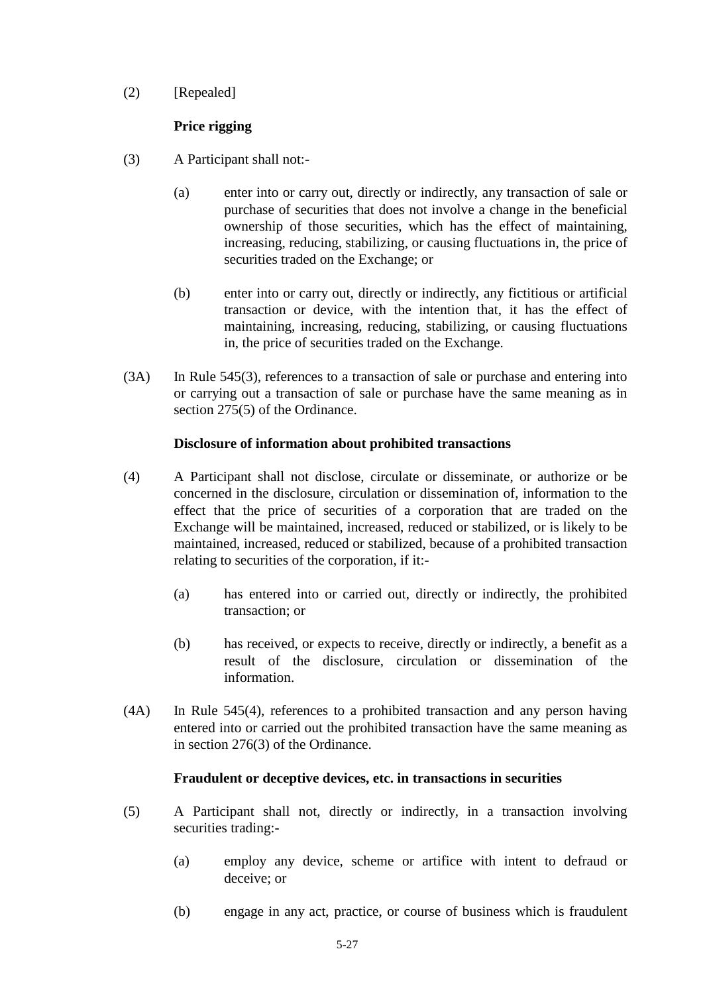(2) [Repealed]

# **Price rigging**

- (3) A Participant shall not:-
	- (a) enter into or carry out, directly or indirectly, any transaction of sale or purchase of securities that does not involve a change in the beneficial ownership of those securities, which has the effect of maintaining, increasing, reducing, stabilizing, or causing fluctuations in, the price of securities traded on the Exchange; or
	- (b) enter into or carry out, directly or indirectly, any fictitious or artificial transaction or device, with the intention that, it has the effect of maintaining, increasing, reducing, stabilizing, or causing fluctuations in, the price of securities traded on the Exchange.
- (3A) In Rule 545(3), references to a transaction of sale or purchase and entering into or carrying out a transaction of sale or purchase have the same meaning as in section 275(5) of the Ordinance.

## **Disclosure of information about prohibited transactions**

- (4) A Participant shall not disclose, circulate or disseminate, or authorize or be concerned in the disclosure, circulation or dissemination of, information to the effect that the price of securities of a corporation that are traded on the Exchange will be maintained, increased, reduced or stabilized, or is likely to be maintained, increased, reduced or stabilized, because of a prohibited transaction relating to securities of the corporation, if it:-
	- (a) has entered into or carried out, directly or indirectly, the prohibited transaction; or
	- (b) has received, or expects to receive, directly or indirectly, a benefit as a result of the disclosure, circulation or dissemination of the information.
- (4A) In Rule 545(4), references to a prohibited transaction and any person having entered into or carried out the prohibited transaction have the same meaning as in section 276(3) of the Ordinance.

## **Fraudulent or deceptive devices, etc. in transactions in securities**

- (5) A Participant shall not, directly or indirectly, in a transaction involving securities trading:-
	- (a) employ any device, scheme or artifice with intent to defraud or deceive; or
	- (b) engage in any act, practice, or course of business which is fraudulent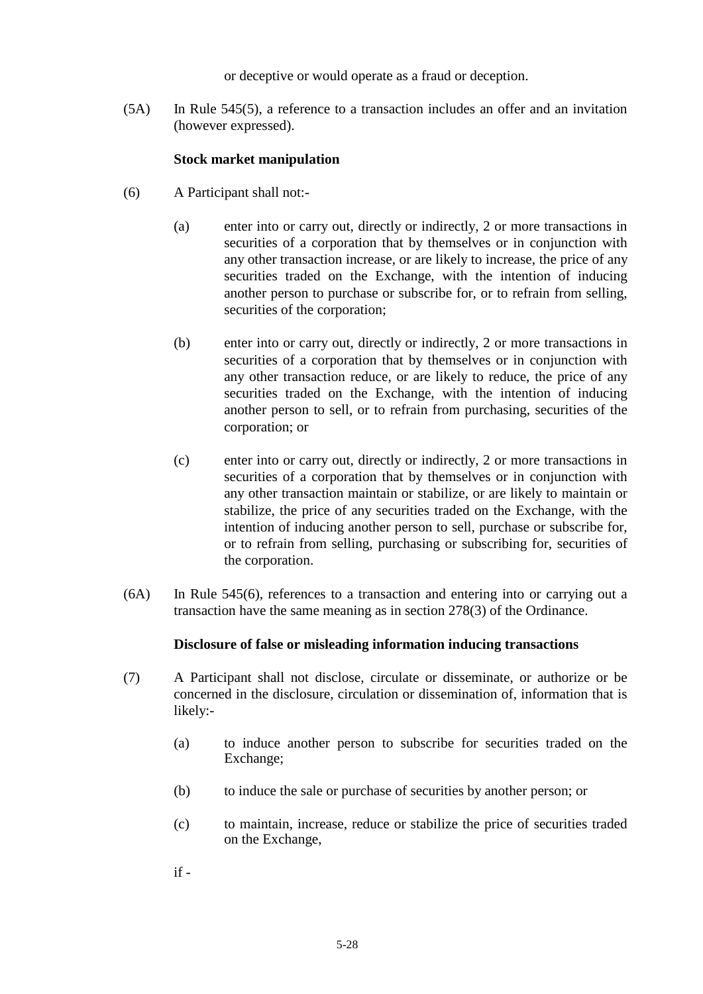or deceptive or would operate as a fraud or deception.

(5A) In Rule 545(5), a reference to a transaction includes an offer and an invitation (however expressed).

### **Stock market manipulation**

- (6) A Participant shall not:-
	- (a) enter into or carry out, directly or indirectly, 2 or more transactions in securities of a corporation that by themselves or in conjunction with any other transaction increase, or are likely to increase, the price of any securities traded on the Exchange, with the intention of inducing another person to purchase or subscribe for, or to refrain from selling, securities of the corporation;
	- (b) enter into or carry out, directly or indirectly, 2 or more transactions in securities of a corporation that by themselves or in conjunction with any other transaction reduce, or are likely to reduce, the price of any securities traded on the Exchange, with the intention of inducing another person to sell, or to refrain from purchasing, securities of the corporation; or
	- (c) enter into or carry out, directly or indirectly, 2 or more transactions in securities of a corporation that by themselves or in conjunction with any other transaction maintain or stabilize, or are likely to maintain or stabilize, the price of any securities traded on the Exchange, with the intention of inducing another person to sell, purchase or subscribe for, or to refrain from selling, purchasing or subscribing for, securities of the corporation.
- (6A) In Rule 545(6), references to a transaction and entering into or carrying out a transaction have the same meaning as in section 278(3) of the Ordinance.

### **Disclosure of false or misleading information inducing transactions**

- (7) A Participant shall not disclose, circulate or disseminate, or authorize or be concerned in the disclosure, circulation or dissemination of, information that is likely:-
	- (a) to induce another person to subscribe for securities traded on the Exchange;
	- (b) to induce the sale or purchase of securities by another person; or
	- (c) to maintain, increase, reduce or stabilize the price of securities traded on the Exchange,
	- if -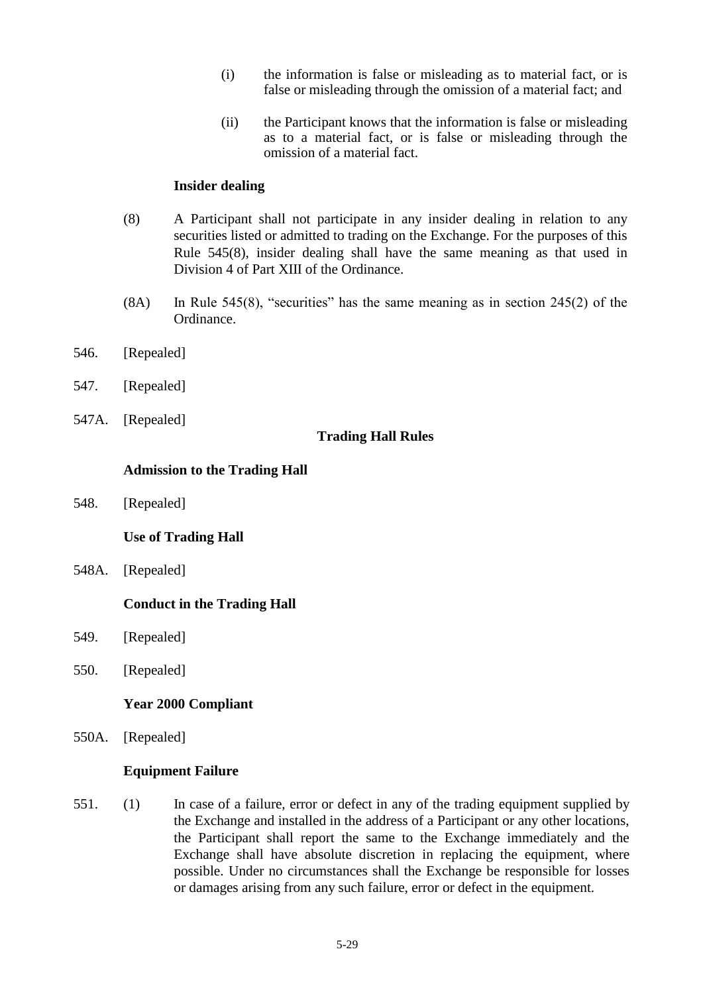- (i) the information is false or misleading as to material fact, or is false or misleading through the omission of a material fact; and
- (ii) the Participant knows that the information is false or misleading as to a material fact, or is false or misleading through the omission of a material fact.

#### **Insider dealing**

- (8) A Participant shall not participate in any insider dealing in relation to any securities listed or admitted to trading on the Exchange. For the purposes of this Rule 545(8), insider dealing shall have the same meaning as that used in Division 4 of Part XIII of the Ordinance.
- (8A) In Rule 545(8), "securities" has the same meaning as in section 245(2) of the Ordinance.
- 546. [Repealed]
- 547. [Repealed]
- 547A. [Repealed]

**Trading Hall Rules**

#### **Admission to the Trading Hall**

548. [Repealed]

**Use of Trading Hall**

548A. [Repealed]

#### **Conduct in the Trading Hall**

- 549. [Repealed]
- 550. [Repealed]

### **Year 2000 Compliant**

550A. [Repealed]

#### **Equipment Failure**

551. (1) In case of a failure, error or defect in any of the trading equipment supplied by the Exchange and installed in the address of a Participant or any other locations, the Participant shall report the same to the Exchange immediately and the Exchange shall have absolute discretion in replacing the equipment, where possible. Under no circumstances shall the Exchange be responsible for losses or damages arising from any such failure, error or defect in the equipment.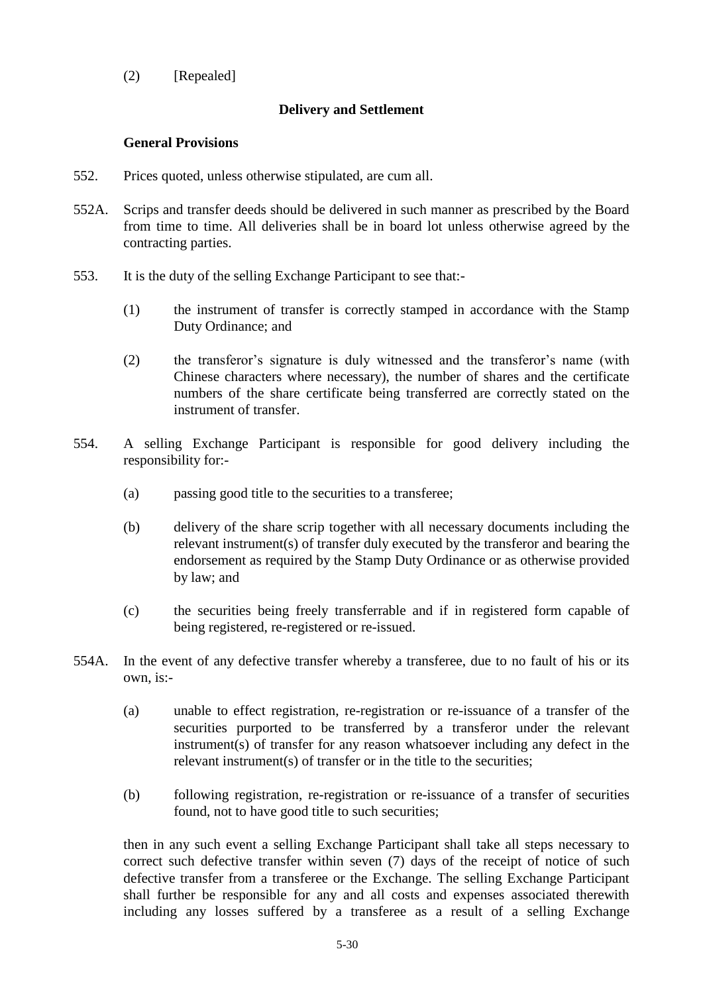(2) [Repealed]

### **Delivery and Settlement**

### **General Provisions**

- 552. Prices quoted, unless otherwise stipulated, are cum all.
- 552A. Scrips and transfer deeds should be delivered in such manner as prescribed by the Board from time to time. All deliveries shall be in board lot unless otherwise agreed by the contracting parties.
- 553. It is the duty of the selling Exchange Participant to see that:-
	- (1) the instrument of transfer is correctly stamped in accordance with the Stamp Duty Ordinance; and
	- (2) the transferor's signature is duly witnessed and the transferor's name (with Chinese characters where necessary), the number of shares and the certificate numbers of the share certificate being transferred are correctly stated on the instrument of transfer.
- 554. A selling Exchange Participant is responsible for good delivery including the responsibility for:-
	- (a) passing good title to the securities to a transferee;
	- (b) delivery of the share scrip together with all necessary documents including the relevant instrument(s) of transfer duly executed by the transferor and bearing the endorsement as required by the Stamp Duty Ordinance or as otherwise provided by law; and
	- (c) the securities being freely transferrable and if in registered form capable of being registered, re-registered or re-issued.
- 554A. In the event of any defective transfer whereby a transferee, due to no fault of his or its own, is:-
	- (a) unable to effect registration, re-registration or re-issuance of a transfer of the securities purported to be transferred by a transferor under the relevant instrument(s) of transfer for any reason whatsoever including any defect in the relevant instrument(s) of transfer or in the title to the securities;
	- (b) following registration, re-registration or re-issuance of a transfer of securities found, not to have good title to such securities;

then in any such event a selling Exchange Participant shall take all steps necessary to correct such defective transfer within seven (7) days of the receipt of notice of such defective transfer from a transferee or the Exchange. The selling Exchange Participant shall further be responsible for any and all costs and expenses associated therewith including any losses suffered by a transferee as a result of a selling Exchange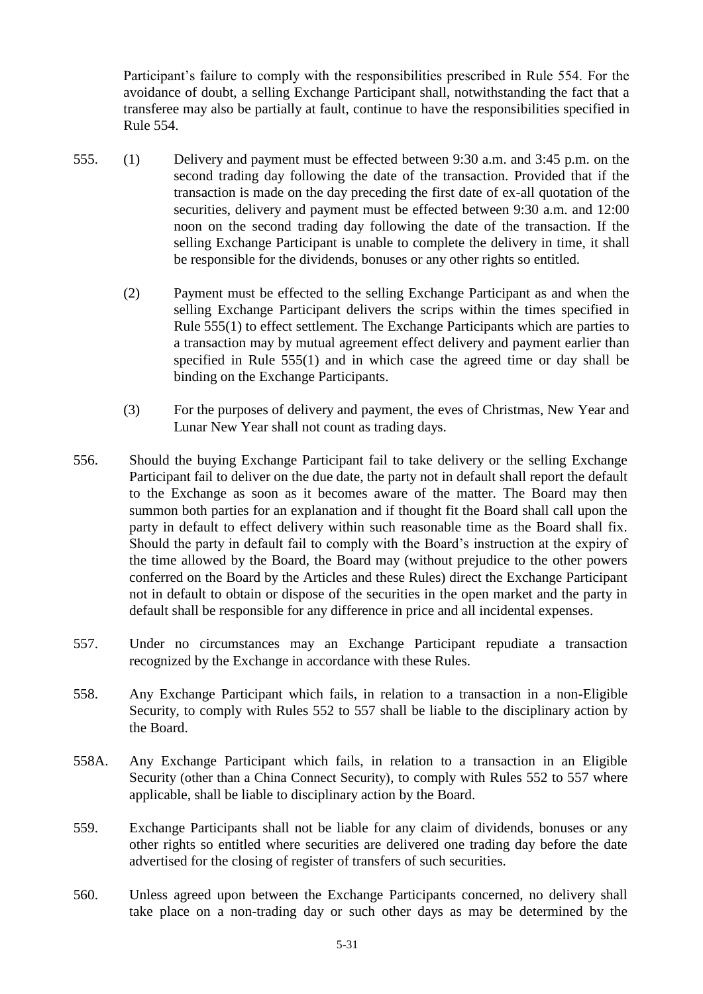Participant's failure to comply with the responsibilities prescribed in Rule 554. For the avoidance of doubt, a selling Exchange Participant shall, notwithstanding the fact that a transferee may also be partially at fault, continue to have the responsibilities specified in Rule 554.

- 555. (1) Delivery and payment must be effected between 9:30 a.m. and 3:45 p.m. on the second trading day following the date of the transaction. Provided that if the transaction is made on the day preceding the first date of ex-all quotation of the securities, delivery and payment must be effected between 9:30 a.m. and 12:00 noon on the second trading day following the date of the transaction. If the selling Exchange Participant is unable to complete the delivery in time, it shall be responsible for the dividends, bonuses or any other rights so entitled.
	- (2) Payment must be effected to the selling Exchange Participant as and when the selling Exchange Participant delivers the scrips within the times specified in Rule 555(1) to effect settlement. The Exchange Participants which are parties to a transaction may by mutual agreement effect delivery and payment earlier than specified in Rule 555(1) and in which case the agreed time or day shall be binding on the Exchange Participants.
	- (3) For the purposes of delivery and payment, the eves of Christmas, New Year and Lunar New Year shall not count as trading days.
- 556. Should the buying Exchange Participant fail to take delivery or the selling Exchange Participant fail to deliver on the due date, the party not in default shall report the default to the Exchange as soon as it becomes aware of the matter. The Board may then summon both parties for an explanation and if thought fit the Board shall call upon the party in default to effect delivery within such reasonable time as the Board shall fix. Should the party in default fail to comply with the Board's instruction at the expiry of the time allowed by the Board, the Board may (without prejudice to the other powers conferred on the Board by the Articles and these Rules) direct the Exchange Participant not in default to obtain or dispose of the securities in the open market and the party in default shall be responsible for any difference in price and all incidental expenses.
- 557. Under no circumstances may an Exchange Participant repudiate a transaction recognized by the Exchange in accordance with these Rules.
- 558. Any Exchange Participant which fails, in relation to a transaction in a non-Eligible Security, to comply with Rules 552 to 557 shall be liable to the disciplinary action by the Board.
- 558A. Any Exchange Participant which fails, in relation to a transaction in an Eligible Security (other than a China Connect Security), to comply with Rules 552 to 557 where applicable, shall be liable to disciplinary action by the Board.
- 559. Exchange Participants shall not be liable for any claim of dividends, bonuses or any other rights so entitled where securities are delivered one trading day before the date advertised for the closing of register of transfers of such securities.
- 560. Unless agreed upon between the Exchange Participants concerned, no delivery shall take place on a non-trading day or such other days as may be determined by the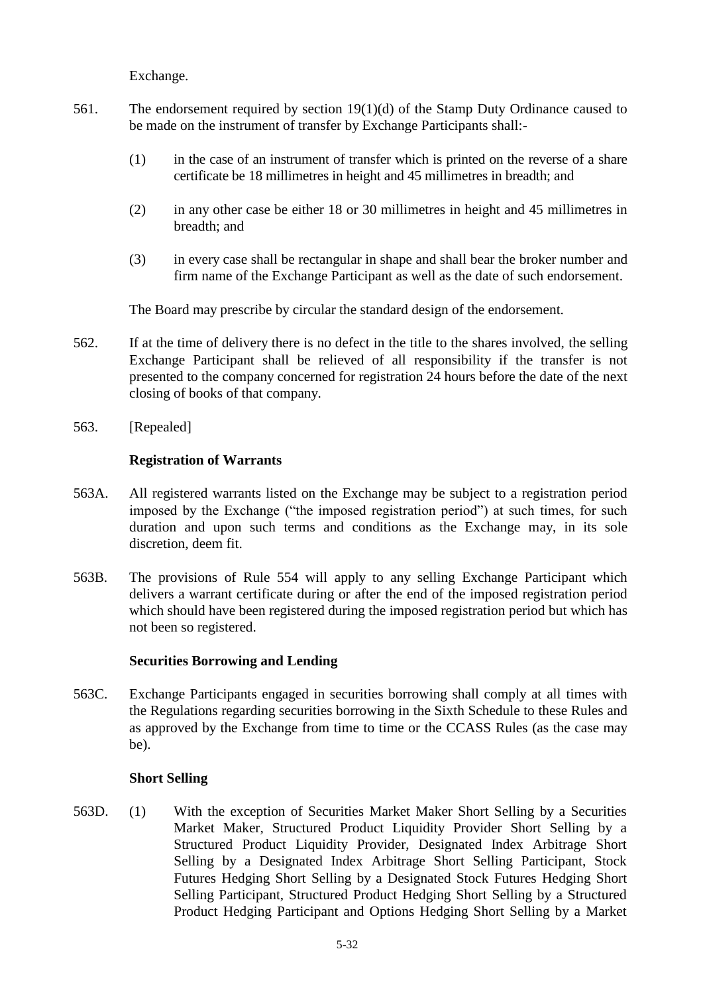Exchange.

- 561. The endorsement required by section 19(1)(d) of the Stamp Duty Ordinance caused to be made on the instrument of transfer by Exchange Participants shall:-
	- (1) in the case of an instrument of transfer which is printed on the reverse of a share certificate be 18 millimetres in height and 45 millimetres in breadth; and
	- (2) in any other case be either 18 or 30 millimetres in height and 45 millimetres in breadth; and
	- (3) in every case shall be rectangular in shape and shall bear the broker number and firm name of the Exchange Participant as well as the date of such endorsement.

The Board may prescribe by circular the standard design of the endorsement.

- 562. If at the time of delivery there is no defect in the title to the shares involved, the selling Exchange Participant shall be relieved of all responsibility if the transfer is not presented to the company concerned for registration 24 hours before the date of the next closing of books of that company.
- 563. [Repealed]

## **Registration of Warrants**

- 563A. All registered warrants listed on the Exchange may be subject to a registration period imposed by the Exchange ("the imposed registration period") at such times, for such duration and upon such terms and conditions as the Exchange may, in its sole discretion, deem fit.
- 563B. The provisions of Rule 554 will apply to any selling Exchange Participant which delivers a warrant certificate during or after the end of the imposed registration period which should have been registered during the imposed registration period but which has not been so registered.

## **Securities Borrowing and Lending**

563C. Exchange Participants engaged in securities borrowing shall comply at all times with the Regulations regarding securities borrowing in the Sixth Schedule to these Rules and as approved by the Exchange from time to time or the CCASS Rules (as the case may be).

## **Short Selling**

563D. (1) With the exception of Securities Market Maker Short Selling by a Securities Market Maker, Structured Product Liquidity Provider Short Selling by a Structured Product Liquidity Provider, Designated Index Arbitrage Short Selling by a Designated Index Arbitrage Short Selling Participant, Stock Futures Hedging Short Selling by a Designated Stock Futures Hedging Short Selling Participant, Structured Product Hedging Short Selling by a Structured Product Hedging Participant and Options Hedging Short Selling by a Market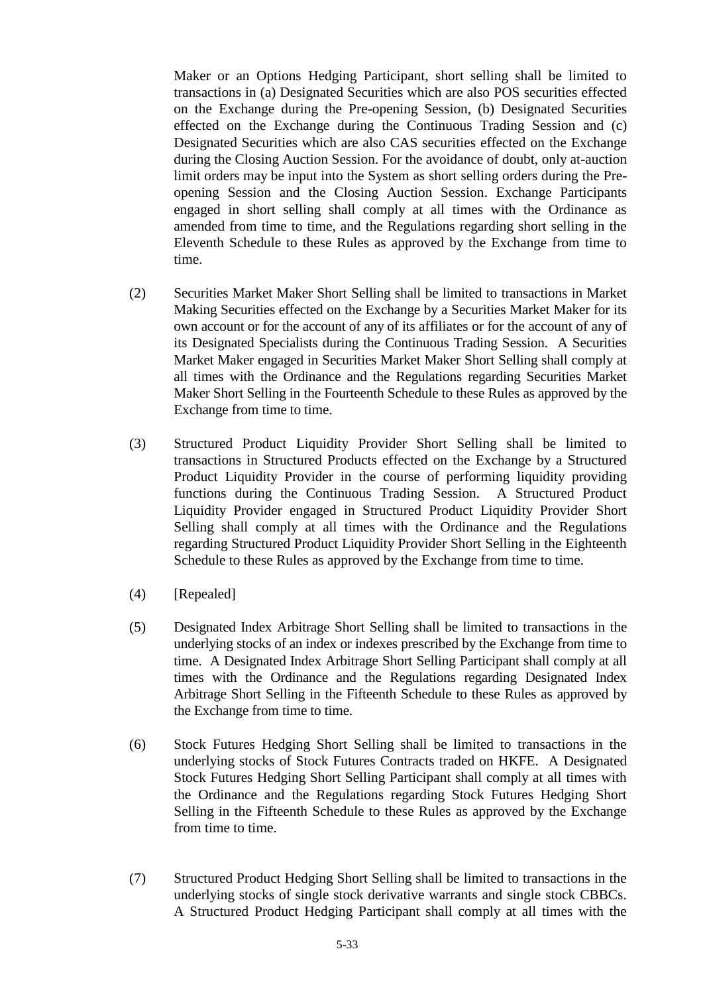Maker or an Options Hedging Participant, short selling shall be limited to transactions in (a) Designated Securities which are also POS securities effected on the Exchange during the Pre-opening Session, (b) Designated Securities effected on the Exchange during the Continuous Trading Session and (c) Designated Securities which are also CAS securities effected on the Exchange during the Closing Auction Session. For the avoidance of doubt, only at-auction limit orders may be input into the System as short selling orders during the Preopening Session and the Closing Auction Session. Exchange Participants engaged in short selling shall comply at all times with the Ordinance as amended from time to time, and the Regulations regarding short selling in the Eleventh Schedule to these Rules as approved by the Exchange from time to time.

- (2) Securities Market Maker Short Selling shall be limited to transactions in Market Making Securities effected on the Exchange by a Securities Market Maker for its own account or for the account of any of its affiliates or for the account of any of its Designated Specialists during the Continuous Trading Session. A Securities Market Maker engaged in Securities Market Maker Short Selling shall comply at all times with the Ordinance and the Regulations regarding Securities Market Maker Short Selling in the Fourteenth Schedule to these Rules as approved by the Exchange from time to time.
- (3) Structured Product Liquidity Provider Short Selling shall be limited to transactions in Structured Products effected on the Exchange by a Structured Product Liquidity Provider in the course of performing liquidity providing functions during the Continuous Trading Session. A Structured Product Liquidity Provider engaged in Structured Product Liquidity Provider Short Selling shall comply at all times with the Ordinance and the Regulations regarding Structured Product Liquidity Provider Short Selling in the Eighteenth Schedule to these Rules as approved by the Exchange from time to time.
- (4) [Repealed]
- (5) Designated Index Arbitrage Short Selling shall be limited to transactions in the underlying stocks of an index or indexes prescribed by the Exchange from time to time. A Designated Index Arbitrage Short Selling Participant shall comply at all times with the Ordinance and the Regulations regarding Designated Index Arbitrage Short Selling in the Fifteenth Schedule to these Rules as approved by the Exchange from time to time.
- (6) Stock Futures Hedging Short Selling shall be limited to transactions in the underlying stocks of Stock Futures Contracts traded on HKFE. A Designated Stock Futures Hedging Short Selling Participant shall comply at all times with the Ordinance and the Regulations regarding Stock Futures Hedging Short Selling in the Fifteenth Schedule to these Rules as approved by the Exchange from time to time.
- (7) Structured Product Hedging Short Selling shall be limited to transactions in the underlying stocks of single stock derivative warrants and single stock CBBCs. A Structured Product Hedging Participant shall comply at all times with the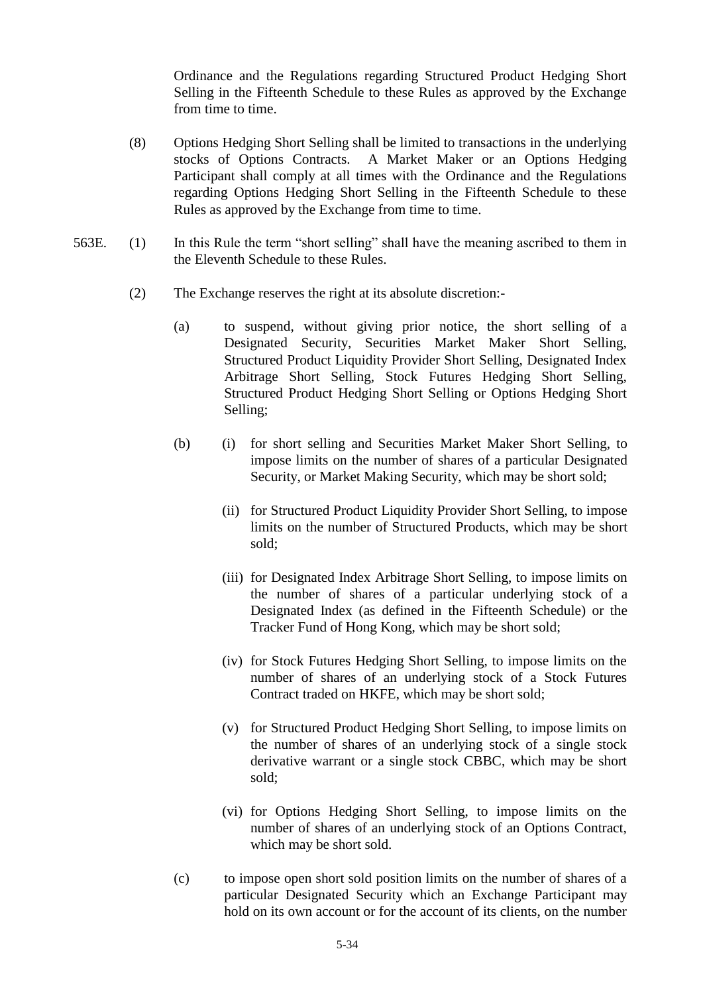Ordinance and the Regulations regarding Structured Product Hedging Short Selling in the Fifteenth Schedule to these Rules as approved by the Exchange from time to time.

- (8) Options Hedging Short Selling shall be limited to transactions in the underlying stocks of Options Contracts. A Market Maker or an Options Hedging Participant shall comply at all times with the Ordinance and the Regulations regarding Options Hedging Short Selling in the Fifteenth Schedule to these Rules as approved by the Exchange from time to time.
- 563E. (1) In this Rule the term "short selling" shall have the meaning ascribed to them in the Eleventh Schedule to these Rules.
	- (2) The Exchange reserves the right at its absolute discretion:-
		- (a) to suspend, without giving prior notice, the short selling of a Designated Security, Securities Market Maker Short Selling, Structured Product Liquidity Provider Short Selling, Designated Index Arbitrage Short Selling, Stock Futures Hedging Short Selling, Structured Product Hedging Short Selling or Options Hedging Short Selling;
		- (b) (i) for short selling and Securities Market Maker Short Selling, to impose limits on the number of shares of a particular Designated Security, or Market Making Security, which may be short sold;
			- (ii) for Structured Product Liquidity Provider Short Selling, to impose limits on the number of Structured Products, which may be short sold;
			- (iii) for Designated Index Arbitrage Short Selling, to impose limits on the number of shares of a particular underlying stock of a Designated Index (as defined in the Fifteenth Schedule) or the Tracker Fund of Hong Kong, which may be short sold;
			- (iv) for Stock Futures Hedging Short Selling, to impose limits on the number of shares of an underlying stock of a Stock Futures Contract traded on HKFE, which may be short sold;
			- (v) for Structured Product Hedging Short Selling, to impose limits on the number of shares of an underlying stock of a single stock derivative warrant or a single stock CBBC, which may be short sold;
			- (vi) for Options Hedging Short Selling, to impose limits on the number of shares of an underlying stock of an Options Contract, which may be short sold.
		- (c) to impose open short sold position limits on the number of shares of a particular Designated Security which an Exchange Participant may hold on its own account or for the account of its clients, on the number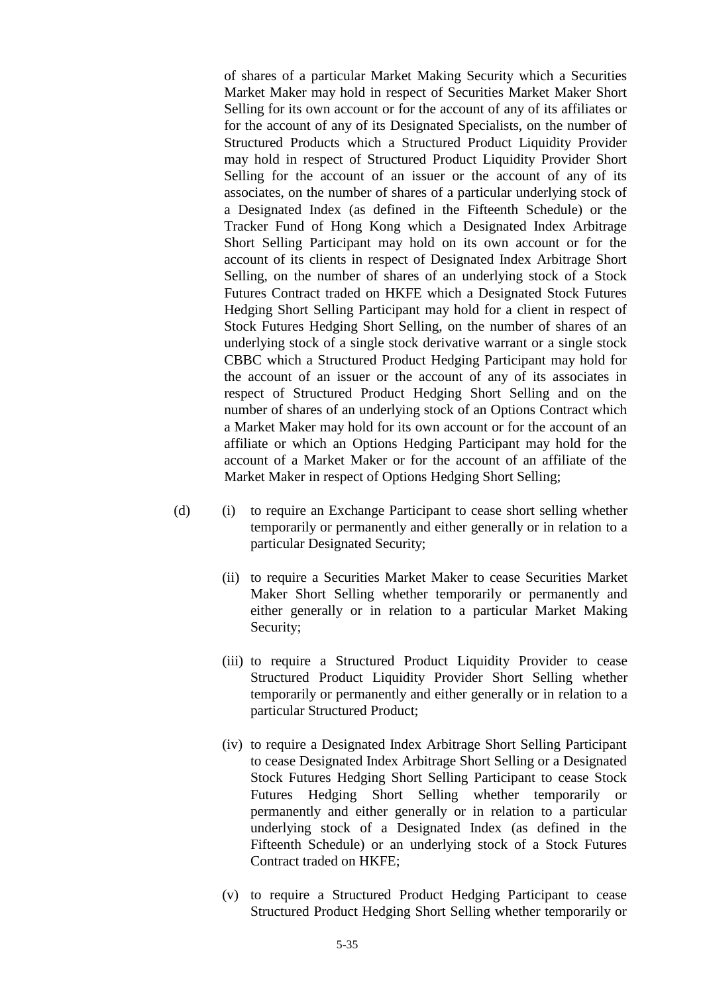of shares of a particular Market Making Security which a Securities Market Maker may hold in respect of Securities Market Maker Short Selling for its own account or for the account of any of its affiliates or for the account of any of its Designated Specialists, on the number of Structured Products which a Structured Product Liquidity Provider may hold in respect of Structured Product Liquidity Provider Short Selling for the account of an issuer or the account of any of its associates, on the number of shares of a particular underlying stock of a Designated Index (as defined in the Fifteenth Schedule) or the Tracker Fund of Hong Kong which a Designated Index Arbitrage Short Selling Participant may hold on its own account or for the account of its clients in respect of Designated Index Arbitrage Short Selling, on the number of shares of an underlying stock of a Stock Futures Contract traded on HKFE which a Designated Stock Futures Hedging Short Selling Participant may hold for a client in respect of Stock Futures Hedging Short Selling, on the number of shares of an underlying stock of a single stock derivative warrant or a single stock CBBC which a Structured Product Hedging Participant may hold for the account of an issuer or the account of any of its associates in respect of Structured Product Hedging Short Selling and on the number of shares of an underlying stock of an Options Contract which a Market Maker may hold for its own account or for the account of an affiliate or which an Options Hedging Participant may hold for the account of a Market Maker or for the account of an affiliate of the Market Maker in respect of Options Hedging Short Selling;

- (d) (i) to require an Exchange Participant to cease short selling whether temporarily or permanently and either generally or in relation to a particular Designated Security;
	- (ii) to require a Securities Market Maker to cease Securities Market Maker Short Selling whether temporarily or permanently and either generally or in relation to a particular Market Making Security;
	- (iii) to require a Structured Product Liquidity Provider to cease Structured Product Liquidity Provider Short Selling whether temporarily or permanently and either generally or in relation to a particular Structured Product;
	- (iv) to require a Designated Index Arbitrage Short Selling Participant to cease Designated Index Arbitrage Short Selling or a Designated Stock Futures Hedging Short Selling Participant to cease Stock Futures Hedging Short Selling whether temporarily or permanently and either generally or in relation to a particular underlying stock of a Designated Index (as defined in the Fifteenth Schedule) or an underlying stock of a Stock Futures Contract traded on HKFE;
	- (v) to require a Structured Product Hedging Participant to cease Structured Product Hedging Short Selling whether temporarily or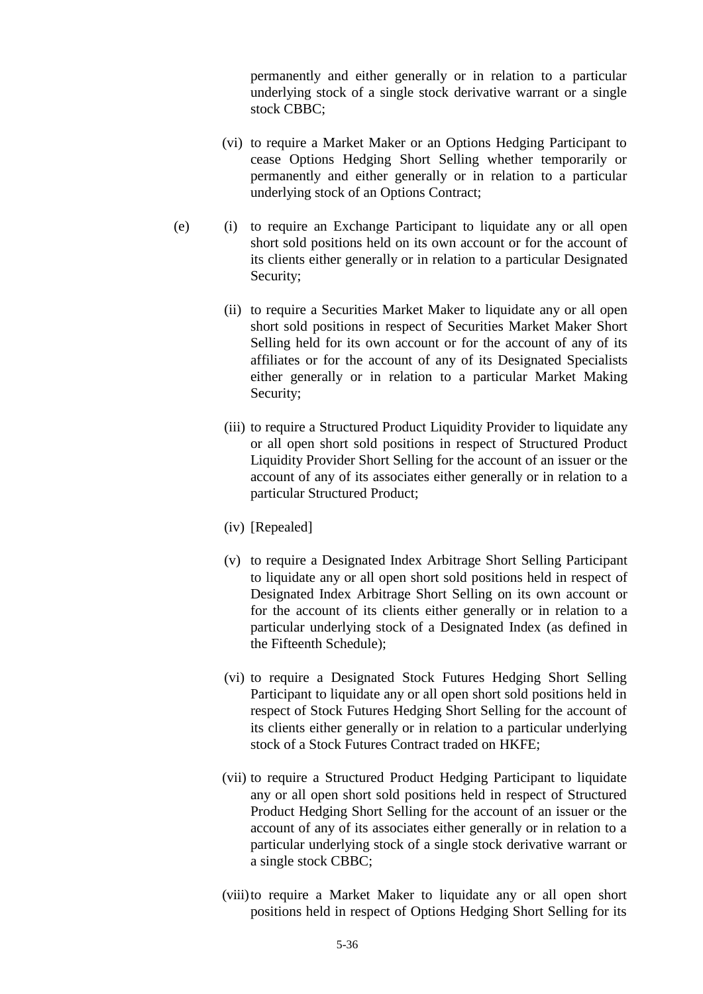permanently and either generally or in relation to a particular underlying stock of a single stock derivative warrant or a single stock CBBC;

- (vi) to require a Market Maker or an Options Hedging Participant to cease Options Hedging Short Selling whether temporarily or permanently and either generally or in relation to a particular underlying stock of an Options Contract;
- (e) (i) to require an Exchange Participant to liquidate any or all open short sold positions held on its own account or for the account of its clients either generally or in relation to a particular Designated Security;
	- (ii) to require a Securities Market Maker to liquidate any or all open short sold positions in respect of Securities Market Maker Short Selling held for its own account or for the account of any of its affiliates or for the account of any of its Designated Specialists either generally or in relation to a particular Market Making Security;
	- (iii) to require a Structured Product Liquidity Provider to liquidate any or all open short sold positions in respect of Structured Product Liquidity Provider Short Selling for the account of an issuer or the account of any of its associates either generally or in relation to a particular Structured Product;
	- (iv) [Repealed]
	- (v) to require a Designated Index Arbitrage Short Selling Participant to liquidate any or all open short sold positions held in respect of Designated Index Arbitrage Short Selling on its own account or for the account of its clients either generally or in relation to a particular underlying stock of a Designated Index (as defined in the Fifteenth Schedule);
	- (vi) to require a Designated Stock Futures Hedging Short Selling Participant to liquidate any or all open short sold positions held in respect of Stock Futures Hedging Short Selling for the account of its clients either generally or in relation to a particular underlying stock of a Stock Futures Contract traded on HKFE;
	- (vii) to require a Structured Product Hedging Participant to liquidate any or all open short sold positions held in respect of Structured Product Hedging Short Selling for the account of an issuer or the account of any of its associates either generally or in relation to a particular underlying stock of a single stock derivative warrant or a single stock CBBC;
	- (viii)to require a Market Maker to liquidate any or all open short positions held in respect of Options Hedging Short Selling for its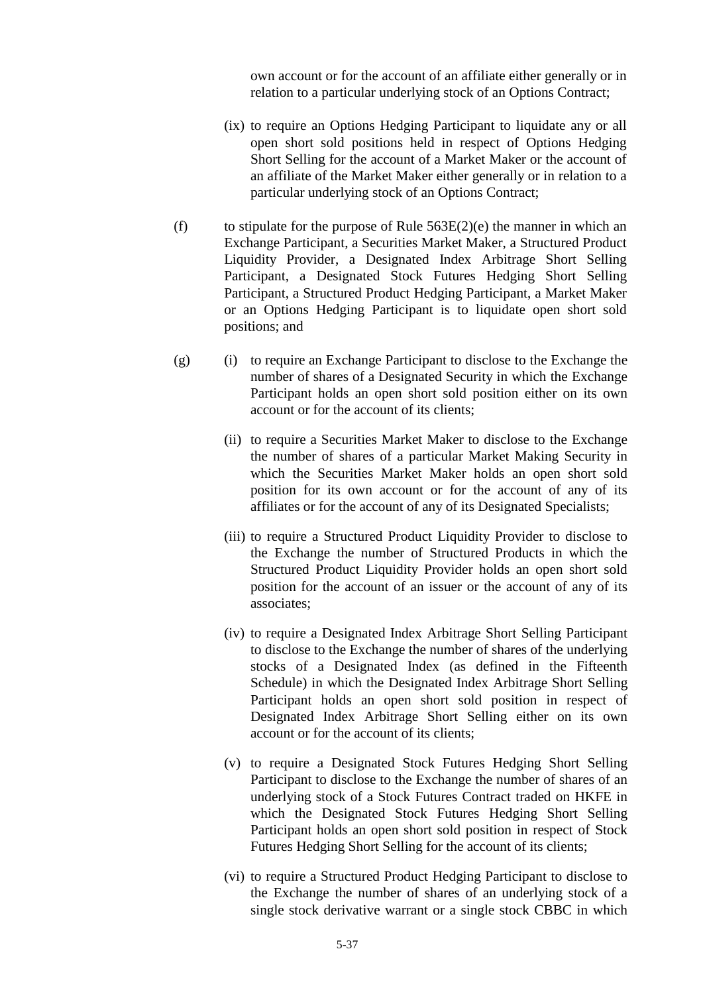own account or for the account of an affiliate either generally or in relation to a particular underlying stock of an Options Contract;

- (ix) to require an Options Hedging Participant to liquidate any or all open short sold positions held in respect of Options Hedging Short Selling for the account of a Market Maker or the account of an affiliate of the Market Maker either generally or in relation to a particular underlying stock of an Options Contract;
- (f) to stipulate for the purpose of Rule  $563E(2)$ (e) the manner in which an Exchange Participant, a Securities Market Maker, a Structured Product Liquidity Provider, a Designated Index Arbitrage Short Selling Participant, a Designated Stock Futures Hedging Short Selling Participant, a Structured Product Hedging Participant, a Market Maker or an Options Hedging Participant is to liquidate open short sold positions; and
- (g) (i) to require an Exchange Participant to disclose to the Exchange the number of shares of a Designated Security in which the Exchange Participant holds an open short sold position either on its own account or for the account of its clients;
	- (ii) to require a Securities Market Maker to disclose to the Exchange the number of shares of a particular Market Making Security in which the Securities Market Maker holds an open short sold position for its own account or for the account of any of its affiliates or for the account of any of its Designated Specialists;
	- (iii) to require a Structured Product Liquidity Provider to disclose to the Exchange the number of Structured Products in which the Structured Product Liquidity Provider holds an open short sold position for the account of an issuer or the account of any of its associates;
	- (iv) to require a Designated Index Arbitrage Short Selling Participant to disclose to the Exchange the number of shares of the underlying stocks of a Designated Index (as defined in the Fifteenth Schedule) in which the Designated Index Arbitrage Short Selling Participant holds an open short sold position in respect of Designated Index Arbitrage Short Selling either on its own account or for the account of its clients;
	- (v) to require a Designated Stock Futures Hedging Short Selling Participant to disclose to the Exchange the number of shares of an underlying stock of a Stock Futures Contract traded on HKFE in which the Designated Stock Futures Hedging Short Selling Participant holds an open short sold position in respect of Stock Futures Hedging Short Selling for the account of its clients;
	- (vi) to require a Structured Product Hedging Participant to disclose to the Exchange the number of shares of an underlying stock of a single stock derivative warrant or a single stock CBBC in which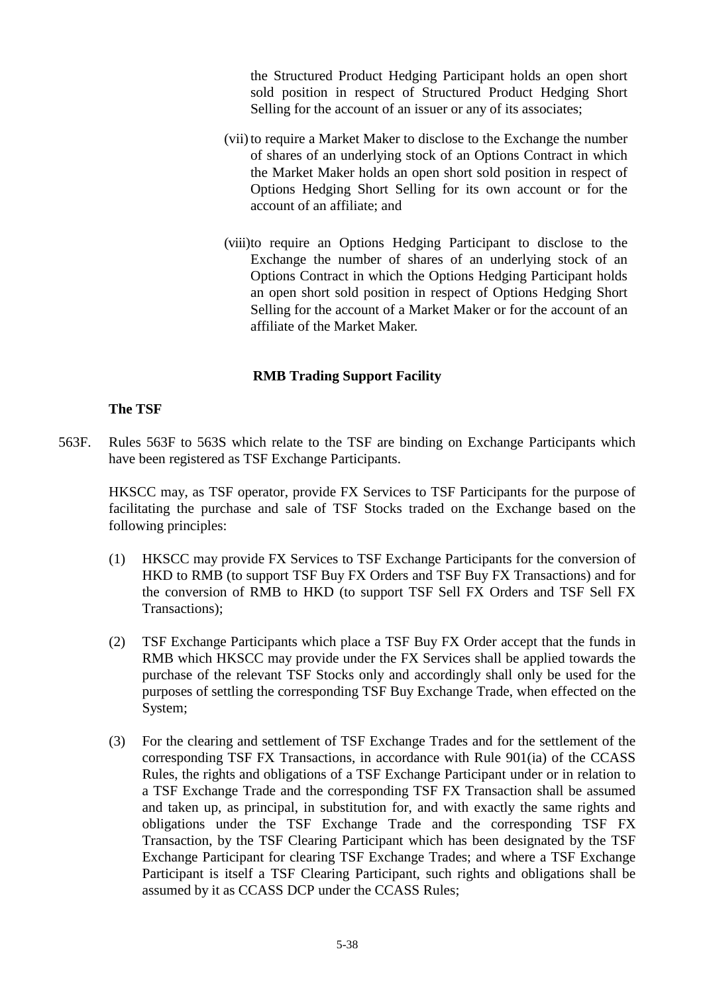the Structured Product Hedging Participant holds an open short sold position in respect of Structured Product Hedging Short Selling for the account of an issuer or any of its associates;

- (vii) to require a Market Maker to disclose to the Exchange the number of shares of an underlying stock of an Options Contract in which the Market Maker holds an open short sold position in respect of Options Hedging Short Selling for its own account or for the account of an affiliate; and
- (viii)to require an Options Hedging Participant to disclose to the Exchange the number of shares of an underlying stock of an Options Contract in which the Options Hedging Participant holds an open short sold position in respect of Options Hedging Short Selling for the account of a Market Maker or for the account of an affiliate of the Market Maker.

### **RMB Trading Support Facility**

### **The TSF**

563F. Rules 563F to 563S which relate to the TSF are binding on Exchange Participants which have been registered as TSF Exchange Participants.

HKSCC may, as TSF operator, provide FX Services to TSF Participants for the purpose of facilitating the purchase and sale of TSF Stocks traded on the Exchange based on the following principles:

- (1) HKSCC may provide FX Services to TSF Exchange Participants for the conversion of HKD to RMB (to support TSF Buy FX Orders and TSF Buy FX Transactions) and for the conversion of RMB to HKD (to support TSF Sell FX Orders and TSF Sell FX Transactions);
- (2) TSF Exchange Participants which place a TSF Buy FX Order accept that the funds in RMB which HKSCC may provide under the FX Services shall be applied towards the purchase of the relevant TSF Stocks only and accordingly shall only be used for the purposes of settling the corresponding TSF Buy Exchange Trade, when effected on the System;
- (3) For the clearing and settlement of TSF Exchange Trades and for the settlement of the corresponding TSF FX Transactions, in accordance with Rule 901(ia) of the CCASS Rules, the rights and obligations of a TSF Exchange Participant under or in relation to a TSF Exchange Trade and the corresponding TSF FX Transaction shall be assumed and taken up, as principal, in substitution for, and with exactly the same rights and obligations under the TSF Exchange Trade and the corresponding TSF FX Transaction, by the TSF Clearing Participant which has been designated by the TSF Exchange Participant for clearing TSF Exchange Trades; and where a TSF Exchange Participant is itself a TSF Clearing Participant, such rights and obligations shall be assumed by it as CCASS DCP under the CCASS Rules;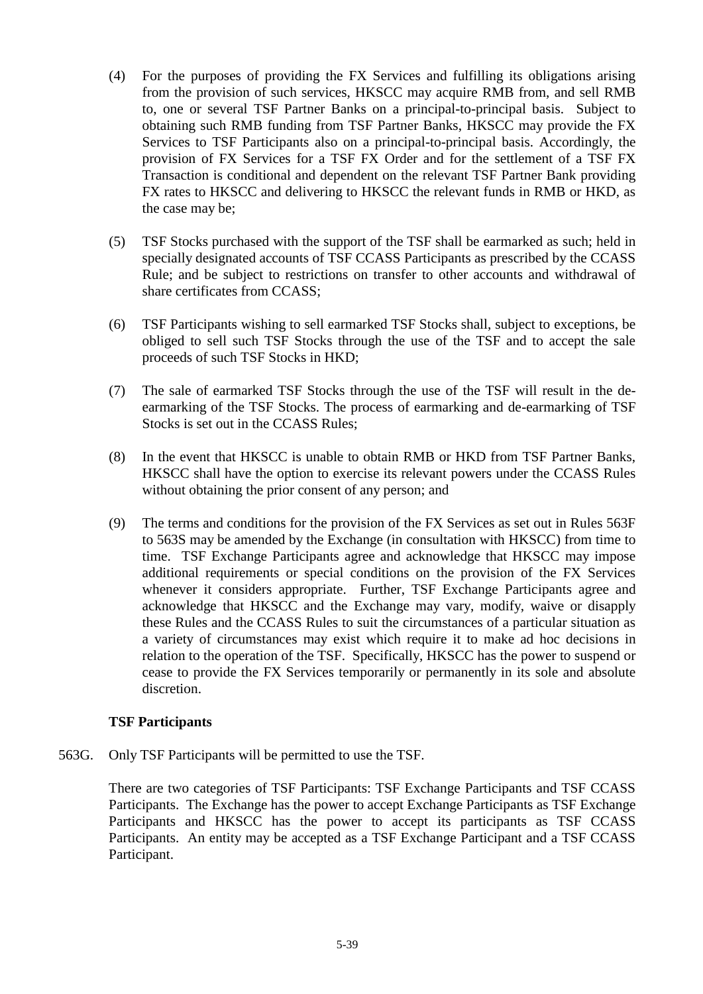- (4) For the purposes of providing the FX Services and fulfilling its obligations arising from the provision of such services, HKSCC may acquire RMB from, and sell RMB to, one or several TSF Partner Banks on a principal-to-principal basis. Subject to obtaining such RMB funding from TSF Partner Banks, HKSCC may provide the FX Services to TSF Participants also on a principal-to-principal basis. Accordingly, the provision of FX Services for a TSF FX Order and for the settlement of a TSF FX Transaction is conditional and dependent on the relevant TSF Partner Bank providing FX rates to HKSCC and delivering to HKSCC the relevant funds in RMB or HKD, as the case may be;
- (5) TSF Stocks purchased with the support of the TSF shall be earmarked as such; held in specially designated accounts of TSF CCASS Participants as prescribed by the CCASS Rule; and be subject to restrictions on transfer to other accounts and withdrawal of share certificates from CCASS;
- (6) TSF Participants wishing to sell earmarked TSF Stocks shall, subject to exceptions, be obliged to sell such TSF Stocks through the use of the TSF and to accept the sale proceeds of such TSF Stocks in HKD;
- (7) The sale of earmarked TSF Stocks through the use of the TSF will result in the deearmarking of the TSF Stocks. The process of earmarking and de-earmarking of TSF Stocks is set out in the CCASS Rules;
- (8) In the event that HKSCC is unable to obtain RMB or HKD from TSF Partner Banks, HKSCC shall have the option to exercise its relevant powers under the CCASS Rules without obtaining the prior consent of any person; and
- (9) The terms and conditions for the provision of the FX Services as set out in Rules 563F to 563S may be amended by the Exchange (in consultation with HKSCC) from time to time. TSF Exchange Participants agree and acknowledge that HKSCC may impose additional requirements or special conditions on the provision of the FX Services whenever it considers appropriate. Further, TSF Exchange Participants agree and acknowledge that HKSCC and the Exchange may vary, modify, waive or disapply these Rules and the CCASS Rules to suit the circumstances of a particular situation as a variety of circumstances may exist which require it to make ad hoc decisions in relation to the operation of the TSF. Specifically, HKSCC has the power to suspend or cease to provide the FX Services temporarily or permanently in its sole and absolute discretion.

## **TSF Participants**

563G. Only TSF Participants will be permitted to use the TSF.

There are two categories of TSF Participants: TSF Exchange Participants and TSF CCASS Participants. The Exchange has the power to accept Exchange Participants as TSF Exchange Participants and HKSCC has the power to accept its participants as TSF CCASS Participants. An entity may be accepted as a TSF Exchange Participant and a TSF CCASS Participant.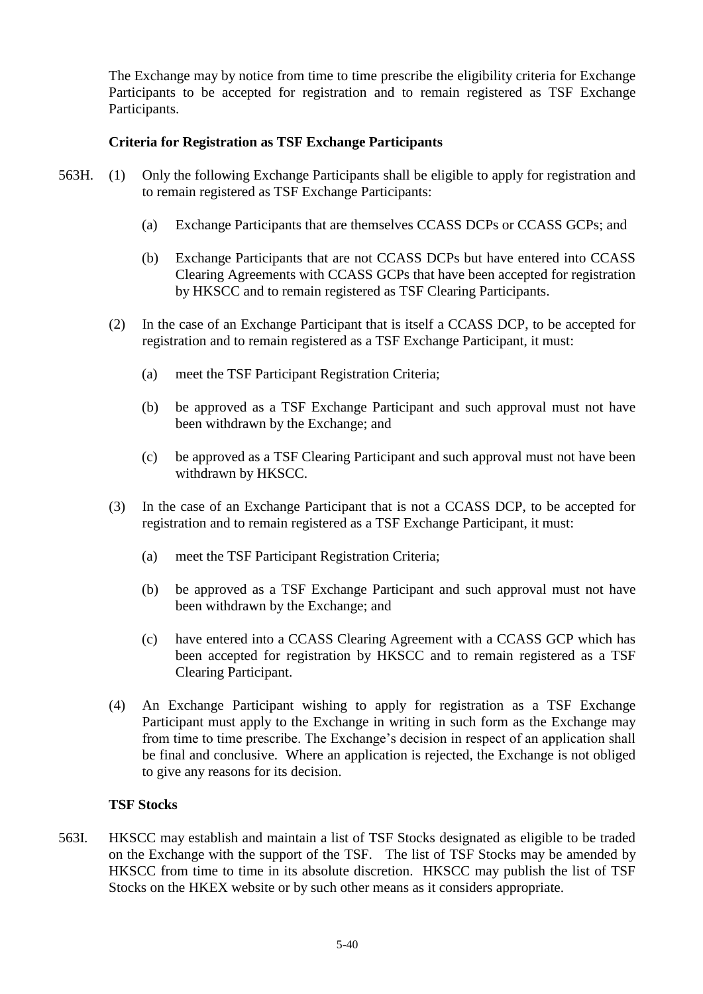The Exchange may by notice from time to time prescribe the eligibility criteria for Exchange Participants to be accepted for registration and to remain registered as TSF Exchange Participants.

## **Criteria for Registration as TSF Exchange Participants**

- 563H. (1) Only the following Exchange Participants shall be eligible to apply for registration and to remain registered as TSF Exchange Participants:
	- (a) Exchange Participants that are themselves CCASS DCPs or CCASS GCPs; and
	- (b) Exchange Participants that are not CCASS DCPs but have entered into CCASS Clearing Agreements with CCASS GCPs that have been accepted for registration by HKSCC and to remain registered as TSF Clearing Participants.
	- (2) In the case of an Exchange Participant that is itself a CCASS DCP, to be accepted for registration and to remain registered as a TSF Exchange Participant, it must:
		- (a) meet the TSF Participant Registration Criteria;
		- (b) be approved as a TSF Exchange Participant and such approval must not have been withdrawn by the Exchange; and
		- (c) be approved as a TSF Clearing Participant and such approval must not have been withdrawn by HKSCC.
	- (3) In the case of an Exchange Participant that is not a CCASS DCP, to be accepted for registration and to remain registered as a TSF Exchange Participant, it must:
		- (a) meet the TSF Participant Registration Criteria;
		- (b) be approved as a TSF Exchange Participant and such approval must not have been withdrawn by the Exchange; and
		- (c) have entered into a CCASS Clearing Agreement with a CCASS GCP which has been accepted for registration by HKSCC and to remain registered as a TSF Clearing Participant.
	- (4) An Exchange Participant wishing to apply for registration as a TSF Exchange Participant must apply to the Exchange in writing in such form as the Exchange may from time to time prescribe. The Exchange's decision in respect of an application shall be final and conclusive. Where an application is rejected, the Exchange is not obliged to give any reasons for its decision.

## **TSF Stocks**

563I.HKSCC may establish and maintain a list of TSF Stocks designated as eligible to be traded on the Exchange with the support of the TSF. The list of TSF Stocks may be amended by HKSCC from time to time in its absolute discretion. HKSCC may publish the list of TSF Stocks on the HKEX website or by such other means as it considers appropriate.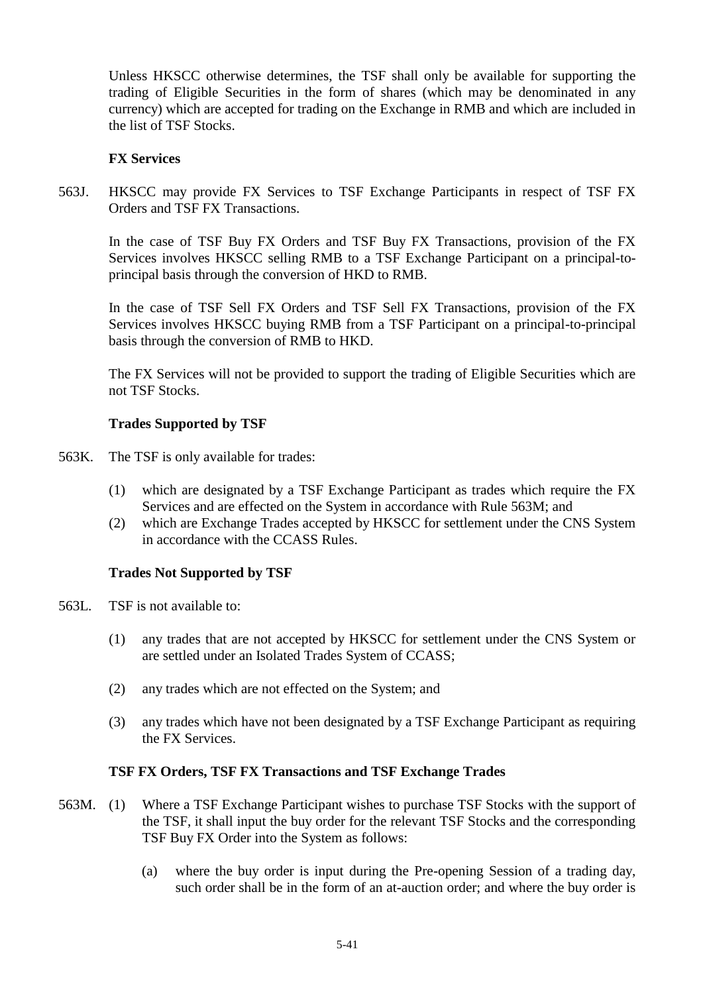Unless HKSCC otherwise determines, the TSF shall only be available for supporting the trading of Eligible Securities in the form of shares (which may be denominated in any currency) which are accepted for trading on the Exchange in RMB and which are included in the list of TSF Stocks.

### **FX Services**

563J. HKSCC may provide FX Services to TSF Exchange Participants in respect of TSF FX Orders and TSF FX Transactions.

In the case of TSF Buy FX Orders and TSF Buy FX Transactions, provision of the FX Services involves HKSCC selling RMB to a TSF Exchange Participant on a principal-toprincipal basis through the conversion of HKD to RMB.

In the case of TSF Sell FX Orders and TSF Sell FX Transactions, provision of the FX Services involves HKSCC buying RMB from a TSF Participant on a principal-to-principal basis through the conversion of RMB to HKD.

The FX Services will not be provided to support the trading of Eligible Securities which are not TSF Stocks.

### **Trades Supported by TSF**

- 563K.The TSF is only available for trades:
	- (1) which are designated by a TSF Exchange Participant as trades which require the FX Services and are effected on the System in accordance with Rule 563M; and
	- (2) which are Exchange Trades accepted by HKSCC for settlement under the CNS System in accordance with the CCASS Rules.

## **Trades Not Supported by TSF**

- 563L. TSF is not available to:
	- (1) any trades that are not accepted by HKSCC for settlement under the CNS System or are settled under an Isolated Trades System of CCASS;
	- (2) any trades which are not effected on the System; and
	- (3) any trades which have not been designated by a TSF Exchange Participant as requiring the FX Services.

### **TSF FX Orders, TSF FX Transactions and TSF Exchange Trades**

- 563M. (1) Where a TSF Exchange Participant wishes to purchase TSF Stocks with the support of the TSF, it shall input the buy order for the relevant TSF Stocks and the corresponding TSF Buy FX Order into the System as follows:
	- (a) where the buy order is input during the Pre-opening Session of a trading day, such order shall be in the form of an at-auction order; and where the buy order is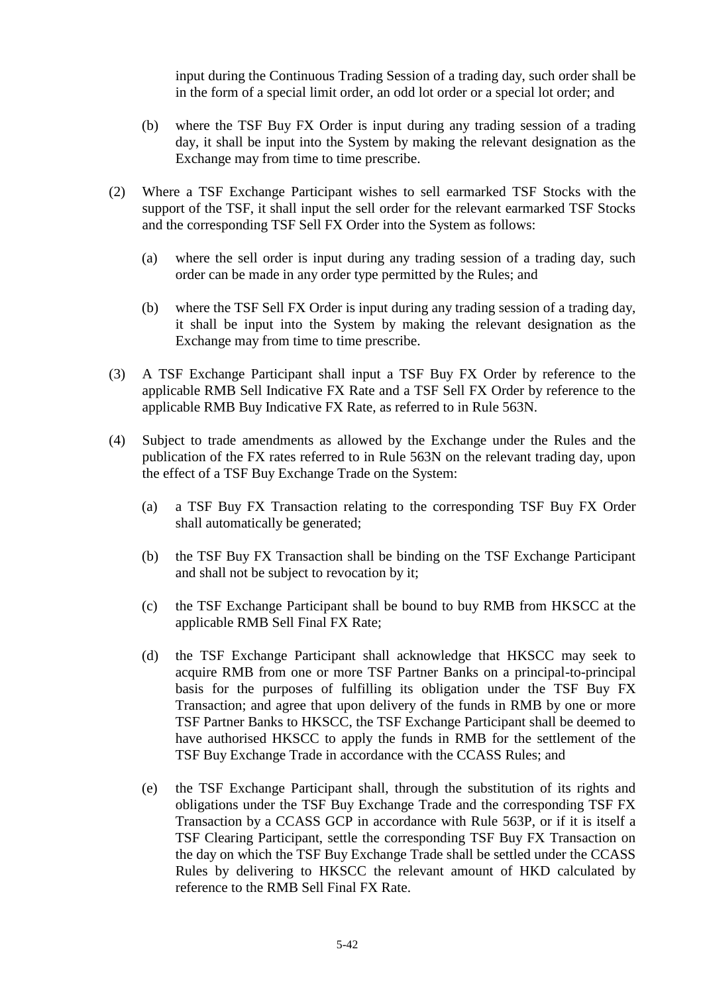input during the Continuous Trading Session of a trading day, such order shall be in the form of a special limit order, an odd lot order or a special lot order; and

- (b) where the TSF Buy FX Order is input during any trading session of a trading day, it shall be input into the System by making the relevant designation as the Exchange may from time to time prescribe.
- (2) Where a TSF Exchange Participant wishes to sell earmarked TSF Stocks with the support of the TSF, it shall input the sell order for the relevant earmarked TSF Stocks and the corresponding TSF Sell FX Order into the System as follows:
	- (a) where the sell order is input during any trading session of a trading day, such order can be made in any order type permitted by the Rules; and
	- (b) where the TSF Sell FX Order is input during any trading session of a trading day, it shall be input into the System by making the relevant designation as the Exchange may from time to time prescribe.
- (3) A TSF Exchange Participant shall input a TSF Buy FX Order by reference to the applicable RMB Sell Indicative FX Rate and a TSF Sell FX Order by reference to the applicable RMB Buy Indicative FX Rate, as referred to in Rule 563N.
- (4) Subject to trade amendments as allowed by the Exchange under the Rules and the publication of the FX rates referred to in Rule 563N on the relevant trading day, upon the effect of a TSF Buy Exchange Trade on the System:
	- (a) a TSF Buy FX Transaction relating to the corresponding TSF Buy FX Order shall automatically be generated;
	- (b) the TSF Buy FX Transaction shall be binding on the TSF Exchange Participant and shall not be subject to revocation by it;
	- (c) the TSF Exchange Participant shall be bound to buy RMB from HKSCC at the applicable RMB Sell Final FX Rate;
	- (d) the TSF Exchange Participant shall acknowledge that HKSCC may seek to acquire RMB from one or more TSF Partner Banks on a principal-to-principal basis for the purposes of fulfilling its obligation under the TSF Buy FX Transaction; and agree that upon delivery of the funds in RMB by one or more TSF Partner Banks to HKSCC, the TSF Exchange Participant shall be deemed to have authorised HKSCC to apply the funds in RMB for the settlement of the TSF Buy Exchange Trade in accordance with the CCASS Rules; and
	- (e) the TSF Exchange Participant shall, through the substitution of its rights and obligations under the TSF Buy Exchange Trade and the corresponding TSF FX Transaction by a CCASS GCP in accordance with Rule 563P, or if it is itself a TSF Clearing Participant, settle the corresponding TSF Buy FX Transaction on the day on which the TSF Buy Exchange Trade shall be settled under the CCASS Rules by delivering to HKSCC the relevant amount of HKD calculated by reference to the RMB Sell Final FX Rate.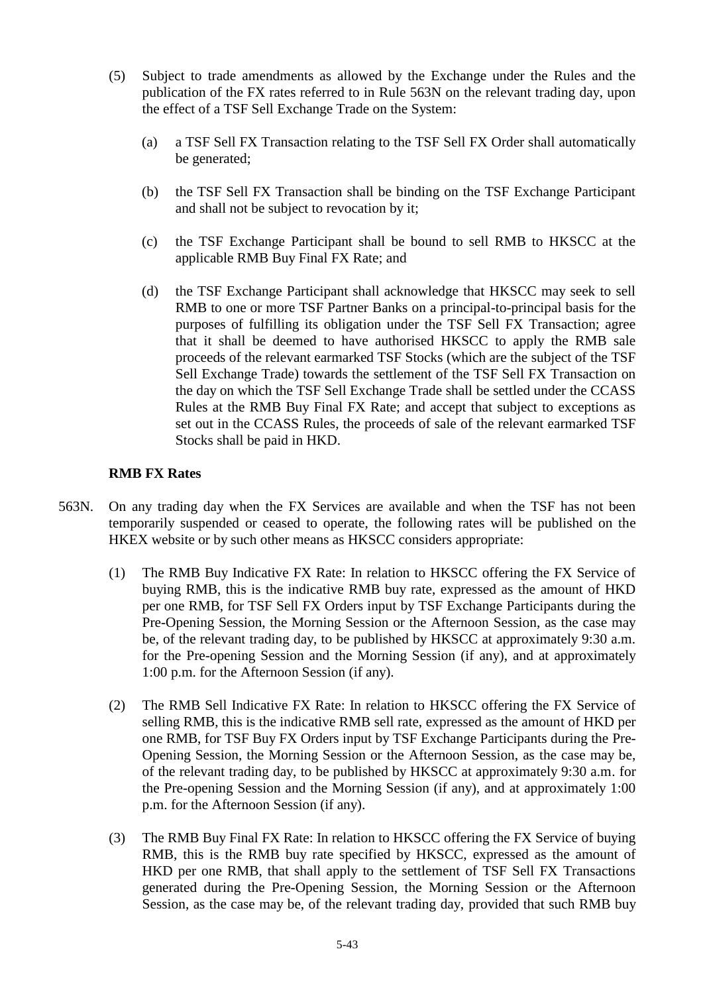- (5) Subject to trade amendments as allowed by the Exchange under the Rules and the publication of the FX rates referred to in Rule 563N on the relevant trading day, upon the effect of a TSF Sell Exchange Trade on the System:
	- (a) a TSF Sell FX Transaction relating to the TSF Sell FX Order shall automatically be generated;
	- (b) the TSF Sell FX Transaction shall be binding on the TSF Exchange Participant and shall not be subject to revocation by it;
	- (c) the TSF Exchange Participant shall be bound to sell RMB to HKSCC at the applicable RMB Buy Final FX Rate; and
	- (d) the TSF Exchange Participant shall acknowledge that HKSCC may seek to sell RMB to one or more TSF Partner Banks on a principal-to-principal basis for the purposes of fulfilling its obligation under the TSF Sell FX Transaction; agree that it shall be deemed to have authorised HKSCC to apply the RMB sale proceeds of the relevant earmarked TSF Stocks (which are the subject of the TSF Sell Exchange Trade) towards the settlement of the TSF Sell FX Transaction on the day on which the TSF Sell Exchange Trade shall be settled under the CCASS Rules at the RMB Buy Final FX Rate; and accept that subject to exceptions as set out in the CCASS Rules, the proceeds of sale of the relevant earmarked TSF Stocks shall be paid in HKD.

### **RMB FX Rates**

- 563N. On any trading day when the FX Services are available and when the TSF has not been temporarily suspended or ceased to operate, the following rates will be published on the HKEX website or by such other means as HKSCC considers appropriate:
	- (1) The RMB Buy Indicative FX Rate: In relation to HKSCC offering the FX Service of buying RMB, this is the indicative RMB buy rate, expressed as the amount of HKD per one RMB, for TSF Sell FX Orders input by TSF Exchange Participants during the Pre-Opening Session, the Morning Session or the Afternoon Session, as the case may be, of the relevant trading day, to be published by HKSCC at approximately 9:30 a.m. for the Pre-opening Session and the Morning Session (if any), and at approximately 1:00 p.m. for the Afternoon Session (if any).
	- (2) The RMB Sell Indicative FX Rate: In relation to HKSCC offering the FX Service of selling RMB, this is the indicative RMB sell rate, expressed as the amount of HKD per one RMB, for TSF Buy FX Orders input by TSF Exchange Participants during the Pre-Opening Session, the Morning Session or the Afternoon Session, as the case may be, of the relevant trading day, to be published by HKSCC at approximately 9:30 a.m. for the Pre-opening Session and the Morning Session (if any), and at approximately 1:00 p.m. for the Afternoon Session (if any).
	- (3) The RMB Buy Final FX Rate: In relation to HKSCC offering the FX Service of buying RMB, this is the RMB buy rate specified by HKSCC, expressed as the amount of HKD per one RMB, that shall apply to the settlement of TSF Sell FX Transactions generated during the Pre-Opening Session, the Morning Session or the Afternoon Session, as the case may be, of the relevant trading day, provided that such RMB buy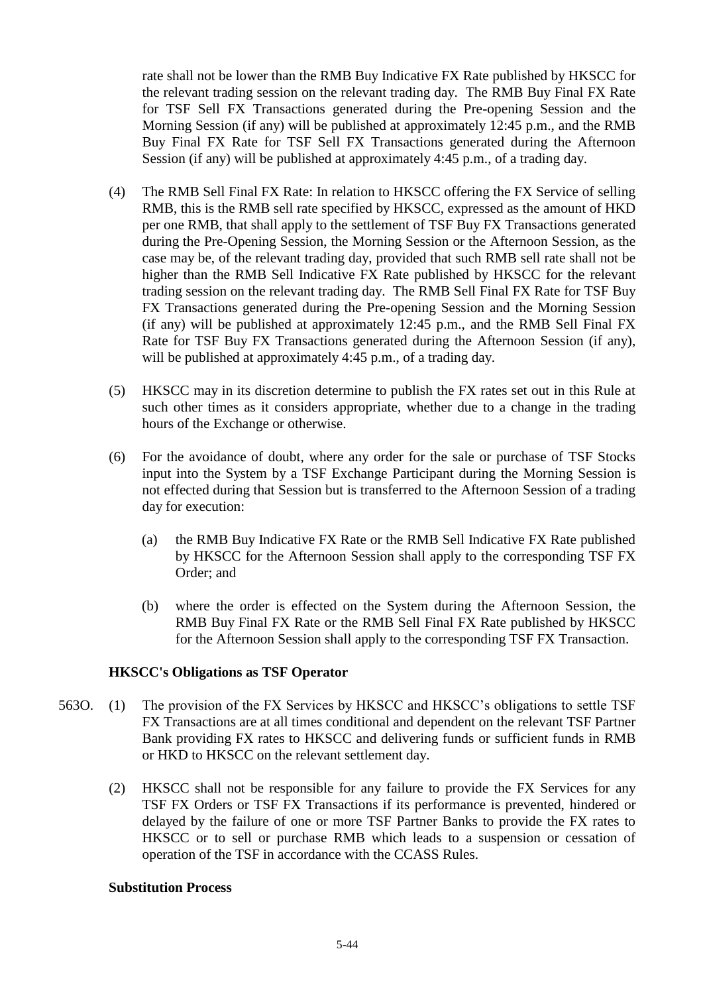rate shall not be lower than the RMB Buy Indicative FX Rate published by HKSCC for the relevant trading session on the relevant trading day. The RMB Buy Final FX Rate for TSF Sell FX Transactions generated during the Pre-opening Session and the Morning Session (if any) will be published at approximately 12:45 p.m., and the RMB Buy Final FX Rate for TSF Sell FX Transactions generated during the Afternoon Session (if any) will be published at approximately 4:45 p.m., of a trading day.

- (4) The RMB Sell Final FX Rate: In relation to HKSCC offering the FX Service of selling RMB, this is the RMB sell rate specified by HKSCC, expressed as the amount of HKD per one RMB, that shall apply to the settlement of TSF Buy FX Transactions generated during the Pre-Opening Session, the Morning Session or the Afternoon Session, as the case may be, of the relevant trading day, provided that such RMB sell rate shall not be higher than the RMB Sell Indicative FX Rate published by HKSCC for the relevant trading session on the relevant trading day. The RMB Sell Final FX Rate for TSF Buy FX Transactions generated during the Pre-opening Session and the Morning Session (if any) will be published at approximately 12:45 p.m., and the RMB Sell Final FX Rate for TSF Buy FX Transactions generated during the Afternoon Session (if any), will be published at approximately 4:45 p.m., of a trading day.
- (5) HKSCC may in its discretion determine to publish the FX rates set out in this Rule at such other times as it considers appropriate, whether due to a change in the trading hours of the Exchange or otherwise.
- (6) For the avoidance of doubt, where any order for the sale or purchase of TSF Stocks input into the System by a TSF Exchange Participant during the Morning Session is not effected during that Session but is transferred to the Afternoon Session of a trading day for execution:
	- (a) the RMB Buy Indicative FX Rate or the RMB Sell Indicative FX Rate published by HKSCC for the Afternoon Session shall apply to the corresponding TSF FX Order; and
	- (b) where the order is effected on the System during the Afternoon Session, the RMB Buy Final FX Rate or the RMB Sell Final FX Rate published by HKSCC for the Afternoon Session shall apply to the corresponding TSF FX Transaction.

### **HKSCC's Obligations as TSF Operator**

- 563O. (1) The provision of the FX Services by HKSCC and HKSCC's obligations to settle TSF FX Transactions are at all times conditional and dependent on the relevant TSF Partner Bank providing FX rates to HKSCC and delivering funds or sufficient funds in RMB or HKD to HKSCC on the relevant settlement day.
	- (2) HKSCC shall not be responsible for any failure to provide the FX Services for any TSF FX Orders or TSF FX Transactions if its performance is prevented, hindered or delayed by the failure of one or more TSF Partner Banks to provide the FX rates to HKSCC or to sell or purchase RMB which leads to a suspension or cessation of operation of the TSF in accordance with the CCASS Rules.

### **Substitution Process**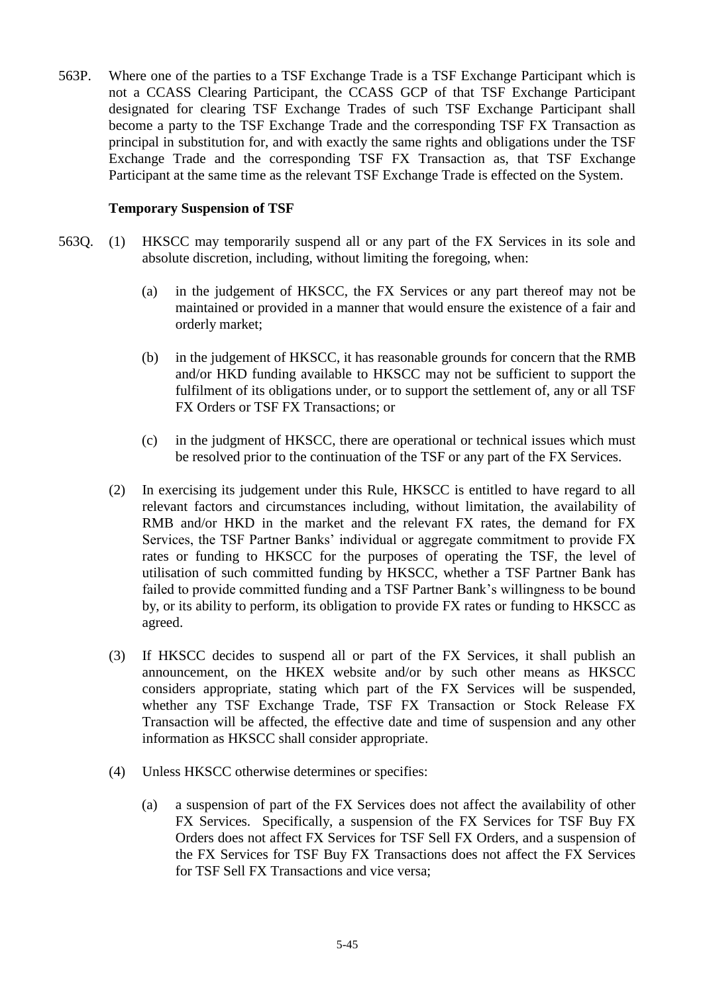563P. Where one of the parties to a TSF Exchange Trade is a TSF Exchange Participant which is not a CCASS Clearing Participant, the CCASS GCP of that TSF Exchange Participant designated for clearing TSF Exchange Trades of such TSF Exchange Participant shall become a party to the TSF Exchange Trade and the corresponding TSF FX Transaction as principal in substitution for, and with exactly the same rights and obligations under the TSF Exchange Trade and the corresponding TSF FX Transaction as, that TSF Exchange Participant at the same time as the relevant TSF Exchange Trade is effected on the System.

### **Temporary Suspension of TSF**

- 563Q. (1) HKSCC may temporarily suspend all or any part of the FX Services in its sole and absolute discretion, including, without limiting the foregoing, when:
	- (a) in the judgement of HKSCC, the FX Services or any part thereof may not be maintained or provided in a manner that would ensure the existence of a fair and orderly market;
	- (b) in the judgement of HKSCC, it has reasonable grounds for concern that the RMB and/or HKD funding available to HKSCC may not be sufficient to support the fulfilment of its obligations under, or to support the settlement of, any or all TSF FX Orders or TSF FX Transactions; or
	- (c) in the judgment of HKSCC, there are operational or technical issues which must be resolved prior to the continuation of the TSF or any part of the FX Services.
	- (2) In exercising its judgement under this Rule, HKSCC is entitled to have regard to all relevant factors and circumstances including, without limitation, the availability of RMB and/or HKD in the market and the relevant FX rates, the demand for FX Services, the TSF Partner Banks' individual or aggregate commitment to provide FX rates or funding to HKSCC for the purposes of operating the TSF, the level of utilisation of such committed funding by HKSCC, whether a TSF Partner Bank has failed to provide committed funding and a TSF Partner Bank's willingness to be bound by, or its ability to perform, its obligation to provide FX rates or funding to HKSCC as agreed.
	- (3) If HKSCC decides to suspend all or part of the FX Services, it shall publish an announcement, on the HKEX website and/or by such other means as HKSCC considers appropriate, stating which part of the FX Services will be suspended, whether any TSF Exchange Trade, TSF FX Transaction or Stock Release FX Transaction will be affected, the effective date and time of suspension and any other information as HKSCC shall consider appropriate.
	- (4) Unless HKSCC otherwise determines or specifies:
		- (a) a suspension of part of the FX Services does not affect the availability of other FX Services. Specifically, a suspension of the FX Services for TSF Buy FX Orders does not affect FX Services for TSF Sell FX Orders, and a suspension of the FX Services for TSF Buy FX Transactions does not affect the FX Services for TSF Sell FX Transactions and vice versa;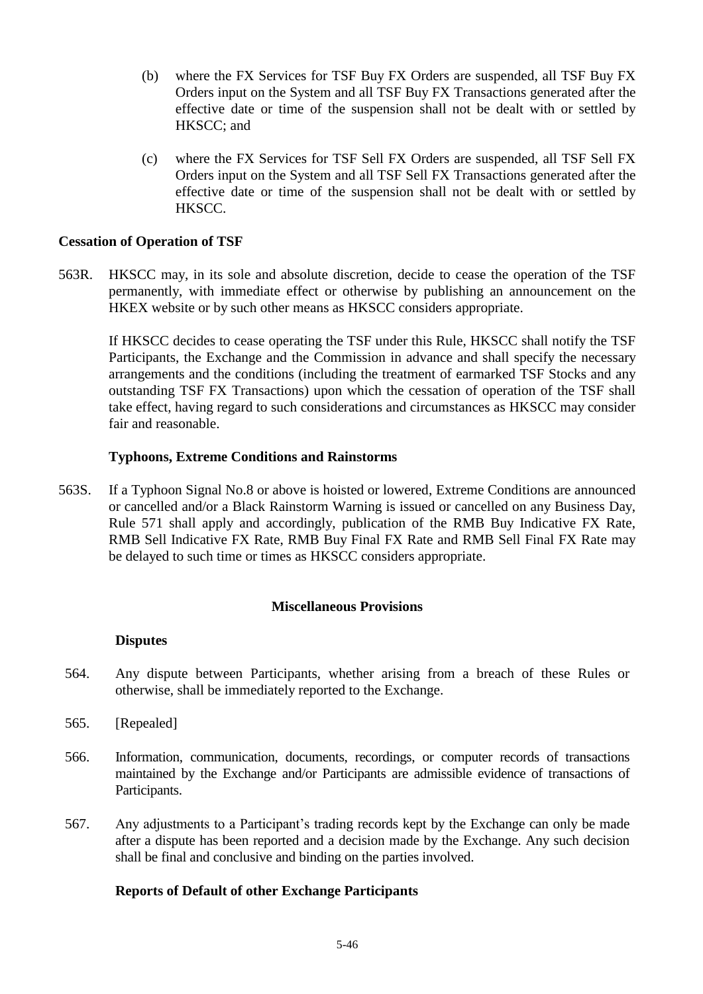- (b) where the FX Services for TSF Buy FX Orders are suspended, all TSF Buy FX Orders input on the System and all TSF Buy FX Transactions generated after the effective date or time of the suspension shall not be dealt with or settled by HKSCC; and
- (c) where the FX Services for TSF Sell FX Orders are suspended, all TSF Sell FX Orders input on the System and all TSF Sell FX Transactions generated after the effective date or time of the suspension shall not be dealt with or settled by HKSCC.

### **Cessation of Operation of TSF**

563R. HKSCC may, in its sole and absolute discretion, decide to cease the operation of the TSF permanently, with immediate effect or otherwise by publishing an announcement on the HKEX website or by such other means as HKSCC considers appropriate.

If HKSCC decides to cease operating the TSF under this Rule, HKSCC shall notify the TSF Participants, the Exchange and the Commission in advance and shall specify the necessary arrangements and the conditions (including the treatment of earmarked TSF Stocks and any outstanding TSF FX Transactions) upon which the cessation of operation of the TSF shall take effect, having regard to such considerations and circumstances as HKSCC may consider fair and reasonable.

### **Typhoons, Extreme Conditions and Rainstorms**

563S.If a Typhoon Signal No.8 or above is hoisted or lowered, Extreme Conditions are announced or cancelled and/or a Black Rainstorm Warning is issued or cancelled on any Business Day, Rule 571 shall apply and accordingly, publication of the RMB Buy Indicative FX Rate, RMB Sell Indicative FX Rate, RMB Buy Final FX Rate and RMB Sell Final FX Rate may be delayed to such time or times as HKSCC considers appropriate.

### **Miscellaneous Provisions**

### **Disputes**

- 564. Any dispute between Participants, whether arising from a breach of these Rules or otherwise, shall be immediately reported to the Exchange.
- 565. [Repealed]
- 566. Information, communication, documents, recordings, or computer records of transactions maintained by the Exchange and/or Participants are admissible evidence of transactions of Participants.
- 567. Any adjustments to a Participant's trading records kept by the Exchange can only be made after a dispute has been reported and a decision made by the Exchange. Any such decision shall be final and conclusive and binding on the parties involved.

### **Reports of Default of other Exchange Participants**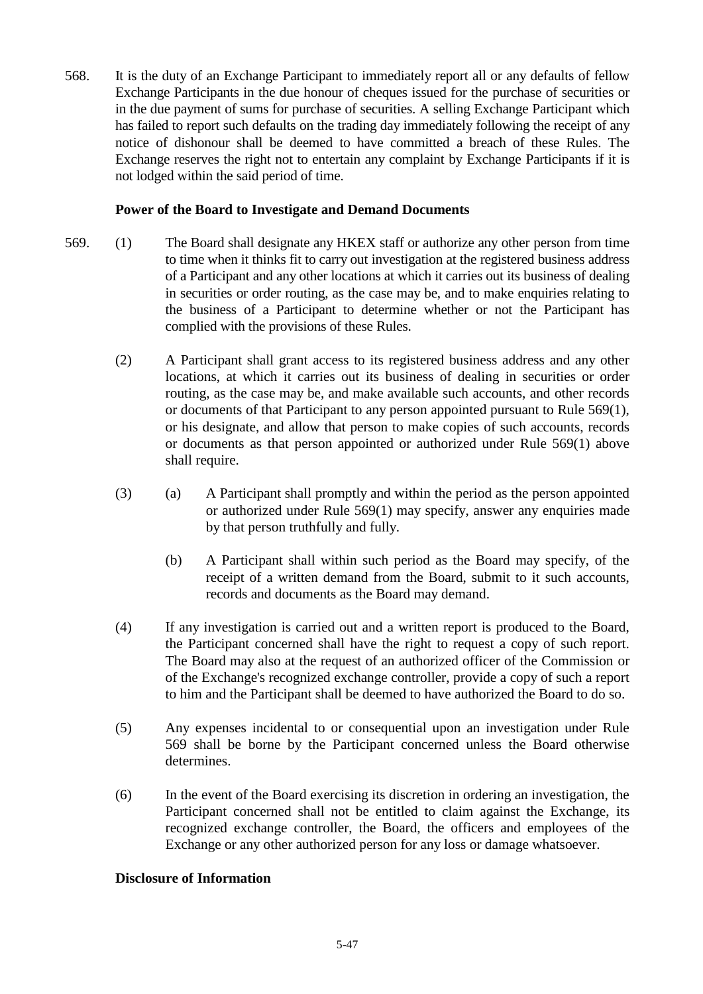568. It is the duty of an Exchange Participant to immediately report all or any defaults of fellow Exchange Participants in the due honour of cheques issued for the purchase of securities or in the due payment of sums for purchase of securities. A selling Exchange Participant which has failed to report such defaults on the trading day immediately following the receipt of any notice of dishonour shall be deemed to have committed a breach of these Rules. The Exchange reserves the right not to entertain any complaint by Exchange Participants if it is not lodged within the said period of time.

### **Power of the Board to Investigate and Demand Documents**

- 569. (1) The Board shall designate any HKEX staff or authorize any other person from time to time when it thinks fit to carry out investigation at the registered business address of a Participant and any other locations at which it carries out its business of dealing in securities or order routing, as the case may be, and to make enquiries relating to the business of a Participant to determine whether or not the Participant has complied with the provisions of these Rules.
	- (2) A Participant shall grant access to its registered business address and any other locations, at which it carries out its business of dealing in securities or order routing, as the case may be, and make available such accounts, and other records or documents of that Participant to any person appointed pursuant to Rule 569(1), or his designate, and allow that person to make copies of such accounts, records or documents as that person appointed or authorized under Rule 569(1) above shall require.
	- (3) (a) A Participant shall promptly and within the period as the person appointed or authorized under Rule 569(1) may specify, answer any enquiries made by that person truthfully and fully.
		- (b) A Participant shall within such period as the Board may specify, of the receipt of a written demand from the Board, submit to it such accounts, records and documents as the Board may demand.
	- (4) If any investigation is carried out and a written report is produced to the Board, the Participant concerned shall have the right to request a copy of such report. The Board may also at the request of an authorized officer of the Commission or of the Exchange's recognized exchange controller, provide a copy of such a report to him and the Participant shall be deemed to have authorized the Board to do so.
	- (5) Any expenses incidental to or consequential upon an investigation under Rule 569 shall be borne by the Participant concerned unless the Board otherwise determines.
	- (6) In the event of the Board exercising its discretion in ordering an investigation, the Participant concerned shall not be entitled to claim against the Exchange, its recognized exchange controller, the Board, the officers and employees of the Exchange or any other authorized person for any loss or damage whatsoever.

## **Disclosure of Information**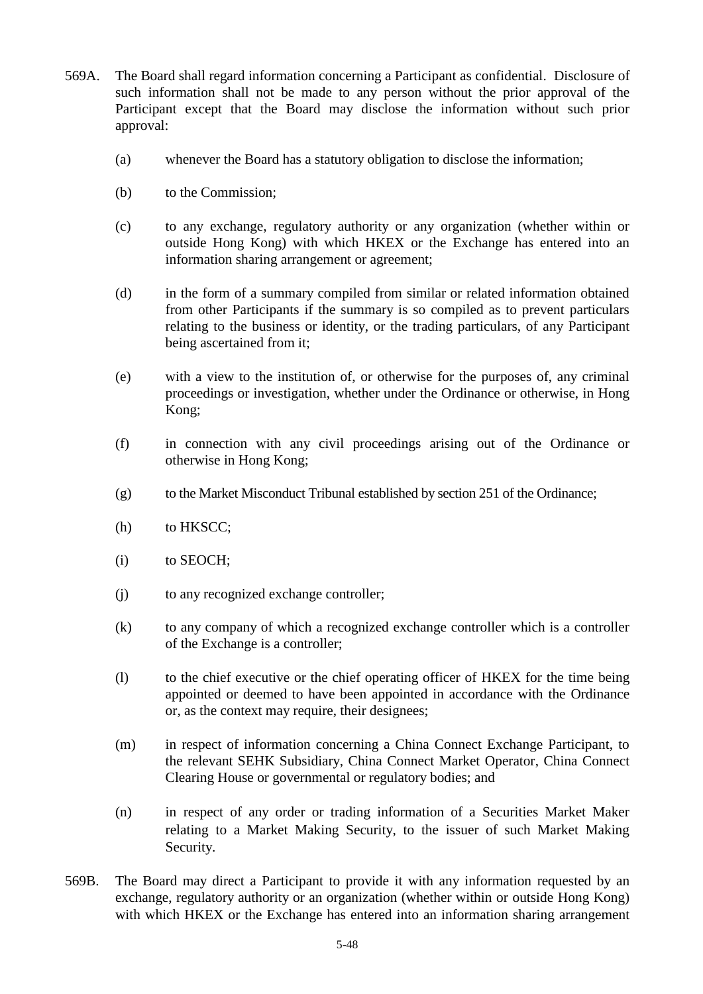- 569A. The Board shall regard information concerning a Participant as confidential. Disclosure of such information shall not be made to any person without the prior approval of the Participant except that the Board may disclose the information without such prior approval:
	- (a) whenever the Board has a statutory obligation to disclose the information;
	- (b) to the Commission;
	- (c) to any exchange, regulatory authority or any organization (whether within or outside Hong Kong) with which HKEX or the Exchange has entered into an information sharing arrangement or agreement;
	- (d) in the form of a summary compiled from similar or related information obtained from other Participants if the summary is so compiled as to prevent particulars relating to the business or identity, or the trading particulars, of any Participant being ascertained from it;
	- (e) with a view to the institution of, or otherwise for the purposes of, any criminal proceedings or investigation, whether under the Ordinance or otherwise, in Hong Kong;
	- (f) in connection with any civil proceedings arising out of the Ordinance or otherwise in Hong Kong;
	- (g) to the Market Misconduct Tribunal established by section 251 of the Ordinance;
	- (h) to HKSCC;
	- (i) to SEOCH;
	- (j) to any recognized exchange controller;
	- (k) to any company of which a recognized exchange controller which is a controller of the Exchange is a controller;
	- (l) to the chief executive or the chief operating officer of HKEX for the time being appointed or deemed to have been appointed in accordance with the Ordinance or, as the context may require, their designees;
	- (m) in respect of information concerning a China Connect Exchange Participant, to the relevant SEHK Subsidiary, China Connect Market Operator, China Connect Clearing House or governmental or regulatory bodies; and
	- (n) in respect of any order or trading information of a Securities Market Maker relating to a Market Making Security, to the issuer of such Market Making Security.
- 569B. The Board may direct a Participant to provide it with any information requested by an exchange, regulatory authority or an organization (whether within or outside Hong Kong) with which HKEX or the Exchange has entered into an information sharing arrangement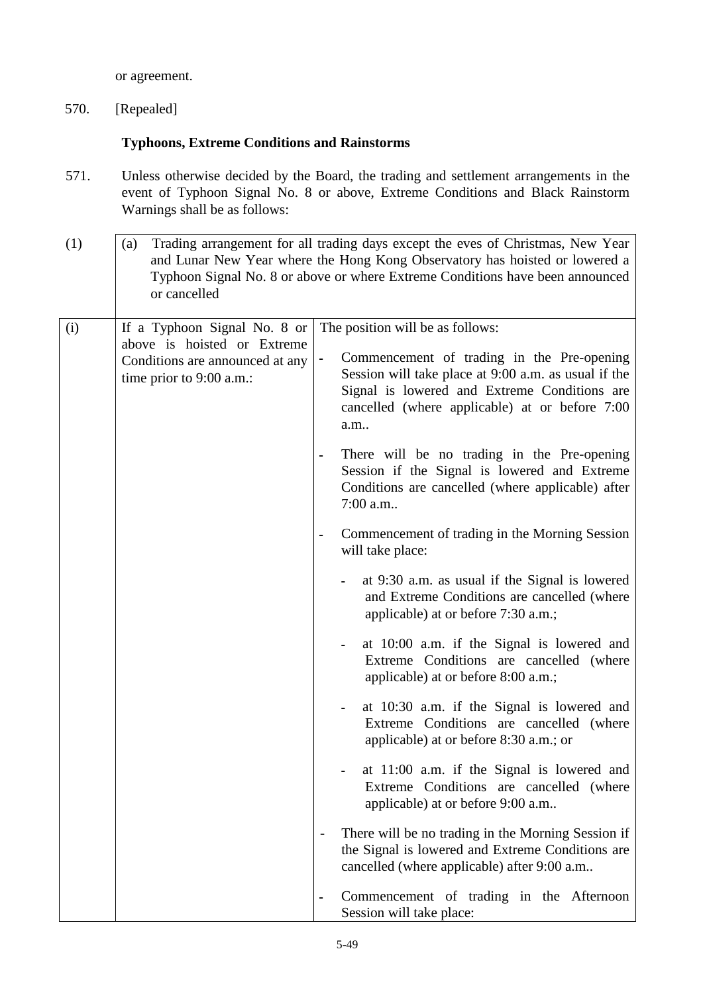or agreement.

570. [Repealed]

# **Typhoons, Extreme Conditions and Rainstorms**

- 571. Unless otherwise decided by the Board, the trading and settlement arrangements in the event of Typhoon Signal No. 8 or above, Extreme Conditions and Black Rainstorm Warnings shall be as follows:
- $(1)$  (a) Trading arrangement for all trading days except the eves of Christmas, New Year and Lunar New Year where the Hong Kong Observatory has hoisted or lowered a Typhoon Signal No. 8 or above or where Extreme Conditions have been announced or cancelled (i) If a Typhoon Signal No. 8 or above is hoisted or Extreme Conditions are announced at any time prior to 9:00 a.m.: The position will be as follows: ـ Commencement of trading in the Pre-opening Session will take place at 9:00 a.m. as usual if the Signal is lowered and Extreme Conditions are cancelled (where applicable) at or before 7:00 a.m.. There will be no trading in the Pre-opening Session if the Signal is lowered and Extreme Conditions are cancelled (where applicable) after 7:00 a.m.. ـ Commencement of trading in the Morning Session will take place: ـ at 9:30 a.m. as usual if the Signal is lowered and Extreme Conditions are cancelled (where applicable) at or before 7:30 a.m.; ـ at 10:00 a.m. if the Signal is lowered and Extreme Conditions are cancelled (where applicable) at or before 8:00 a.m.; ـ at 10:30 a.m. if the Signal is lowered and Extreme Conditions are cancelled (where applicable) at or before 8:30 a.m.; or ـ at 11:00 a.m. if the Signal is lowered and Extreme Conditions are cancelled (where applicable) at or before 9:00 a.m.. There will be no trading in the Morning Session if the Signal is lowered and Extreme Conditions are cancelled (where applicable) after 9:00 a.m.. Commencement of trading in the Afternoon Session will take place: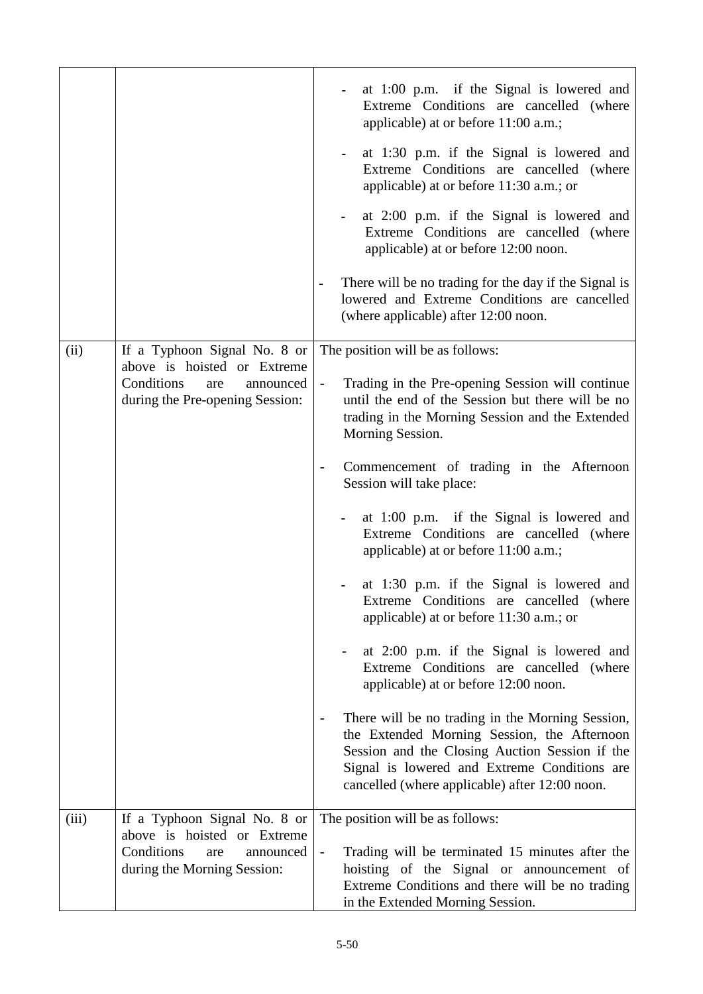|       |                                                                                                  | at 1:00 p.m. if the Signal is lowered and<br>Extreme Conditions are cancelled (where<br>applicable) at or before 11:00 a.m.;<br>at 1:30 p.m. if the Signal is lowered and<br>Extreme Conditions are cancelled (where<br>applicable) at or before 11:30 a.m.; or<br>at 2:00 p.m. if the Signal is lowered and<br>Extreme Conditions are cancelled (where<br>applicable) at or before 12:00 noon.<br>There will be no trading for the day if the Signal is<br>lowered and Extreme Conditions are cancelled<br>(where applicable) after 12:00 noon. |
|-------|--------------------------------------------------------------------------------------------------|--------------------------------------------------------------------------------------------------------------------------------------------------------------------------------------------------------------------------------------------------------------------------------------------------------------------------------------------------------------------------------------------------------------------------------------------------------------------------------------------------------------------------------------------------|
| (ii)  | If a Typhoon Signal No. 8 or                                                                     | The position will be as follows:                                                                                                                                                                                                                                                                                                                                                                                                                                                                                                                 |
|       | above is hoisted or Extreme<br>Conditions<br>announced<br>are<br>during the Pre-opening Session: | Trading in the Pre-opening Session will continue<br>$\Box$<br>until the end of the Session but there will be no<br>trading in the Morning Session and the Extended<br>Morning Session.                                                                                                                                                                                                                                                                                                                                                           |
|       |                                                                                                  | Commencement of trading in the Afternoon<br>Session will take place:                                                                                                                                                                                                                                                                                                                                                                                                                                                                             |
|       |                                                                                                  | at 1:00 p.m. if the Signal is lowered and<br>Extreme Conditions are cancelled (where<br>applicable) at or before 11:00 a.m.;                                                                                                                                                                                                                                                                                                                                                                                                                     |
|       |                                                                                                  | at 1:30 p.m. if the Signal is lowered and<br>Extreme Conditions are cancelled (where<br>applicable) at or before 11:30 a.m.; or                                                                                                                                                                                                                                                                                                                                                                                                                  |
|       |                                                                                                  | at 2:00 p.m. if the Signal is lowered and<br>Extreme Conditions are cancelled (where<br>applicable) at or before 12:00 noon.                                                                                                                                                                                                                                                                                                                                                                                                                     |
|       |                                                                                                  | There will be no trading in the Morning Session,<br>the Extended Morning Session, the Afternoon<br>Session and the Closing Auction Session if the<br>Signal is lowered and Extreme Conditions are<br>cancelled (where applicable) after 12:00 noon.                                                                                                                                                                                                                                                                                              |
| (iii) | If a Typhoon Signal No. 8 or<br>above is hoisted or Extreme                                      | The position will be as follows:                                                                                                                                                                                                                                                                                                                                                                                                                                                                                                                 |
|       | Conditions<br>announced<br>are<br>during the Morning Session:                                    | Trading will be terminated 15 minutes after the<br>$\overline{\phantom{a}}$<br>hoisting of the Signal or announcement of<br>Extreme Conditions and there will be no trading<br>in the Extended Morning Session.                                                                                                                                                                                                                                                                                                                                  |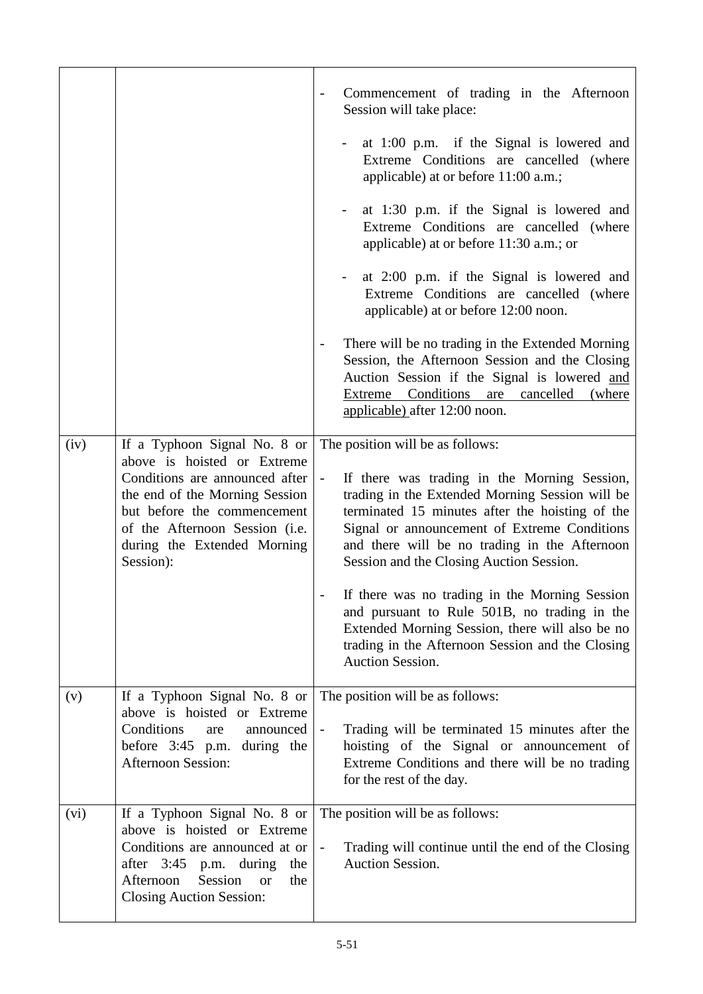|      |                                                                                                                                                                                                                                              | Commencement of trading in the Afternoon<br>Session will take place:                                                                                                                                                                                                                                                                                                                                                                                                                                                                                                                         |
|------|----------------------------------------------------------------------------------------------------------------------------------------------------------------------------------------------------------------------------------------------|----------------------------------------------------------------------------------------------------------------------------------------------------------------------------------------------------------------------------------------------------------------------------------------------------------------------------------------------------------------------------------------------------------------------------------------------------------------------------------------------------------------------------------------------------------------------------------------------|
|      |                                                                                                                                                                                                                                              | at 1:00 p.m. if the Signal is lowered and<br>Extreme Conditions are cancelled (where<br>applicable) at or before 11:00 a.m.;                                                                                                                                                                                                                                                                                                                                                                                                                                                                 |
|      |                                                                                                                                                                                                                                              | at 1:30 p.m. if the Signal is lowered and<br>$\blacksquare$<br>Extreme Conditions are cancelled (where<br>applicable) at or before 11:30 a.m.; or                                                                                                                                                                                                                                                                                                                                                                                                                                            |
|      |                                                                                                                                                                                                                                              | at 2:00 p.m. if the Signal is lowered and<br>Extreme Conditions are cancelled (where<br>applicable) at or before 12:00 noon.                                                                                                                                                                                                                                                                                                                                                                                                                                                                 |
|      |                                                                                                                                                                                                                                              | There will be no trading in the Extended Morning<br>Session, the Afternoon Session and the Closing<br>Auction Session if the Signal is lowered and<br>Extreme Conditions are cancelled<br>(where)<br>applicable) after 12:00 noon.                                                                                                                                                                                                                                                                                                                                                           |
| (iv) | If a Typhoon Signal No. 8 or<br>above is hoisted or Extreme<br>Conditions are announced after<br>the end of the Morning Session<br>but before the commencement<br>of the Afternoon Session (i.e.<br>during the Extended Morning<br>Session): | The position will be as follows:<br>If there was trading in the Morning Session,<br>$\overline{\phantom{0}}$<br>trading in the Extended Morning Session will be<br>terminated 15 minutes after the hoisting of the<br>Signal or announcement of Extreme Conditions<br>and there will be no trading in the Afternoon<br>Session and the Closing Auction Session.<br>If there was no trading in the Morning Session<br>and pursuant to Rule 501B, no trading in the<br>Extended Morning Session, there will also be no<br>trading in the Afternoon Session and the Closing<br>Auction Session. |
| (v)  | If a Typhoon Signal No. 8 or<br>above is hoisted or Extreme<br>Conditions<br>are<br>announced<br>before $3:45$ p.m.<br>during the<br><b>Afternoon Session:</b>                                                                               | The position will be as follows:<br>Trading will be terminated 15 minutes after the<br>$\overline{\phantom{a}}$<br>hoisting of the Signal or announcement of<br>Extreme Conditions and there will be no trading<br>for the rest of the day.                                                                                                                                                                                                                                                                                                                                                  |
| (vi) | If a Typhoon Signal No. 8 or<br>above is hoisted or Extreme<br>Conditions are announced at or<br>after 3:45 p.m. during<br>the<br>Afternoon<br>Session<br>the<br><b>or</b><br><b>Closing Auction Session:</b>                                | The position will be as follows:<br>Trading will continue until the end of the Closing<br>$\overline{\phantom{0}}$<br><b>Auction Session.</b>                                                                                                                                                                                                                                                                                                                                                                                                                                                |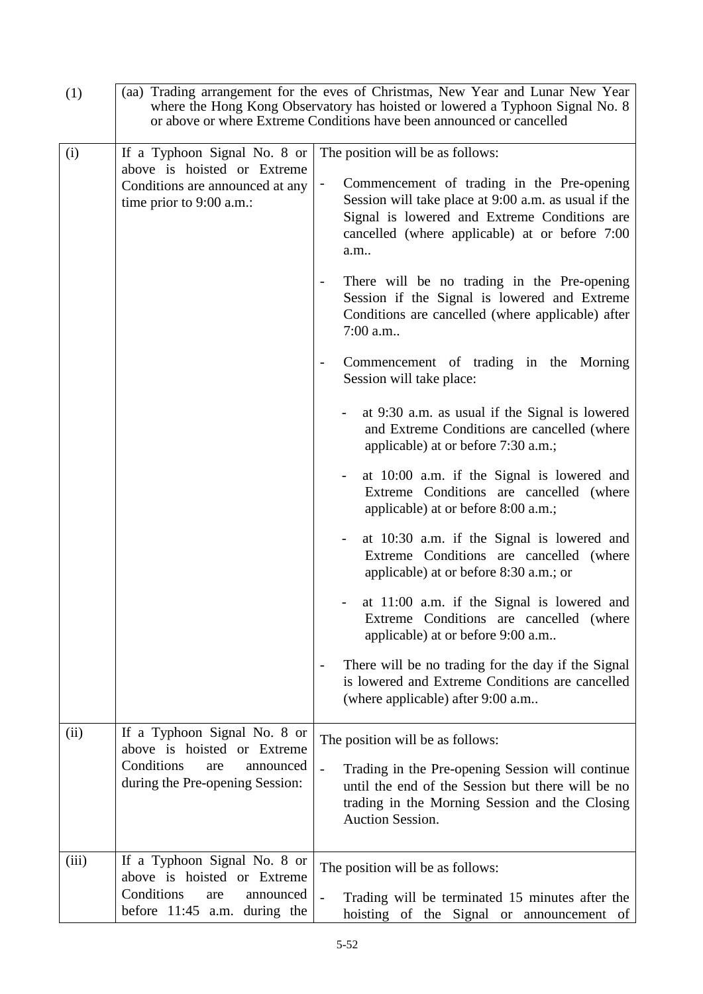| (1)   | (aa) Trading arrangement for the eves of Christmas, New Year and Lunar New Year<br>where the Hong Kong Observatory has hoisted or lowered a Typhoon Signal No. 8<br>or above or where Extreme Conditions have been announced or cancelled |                                                                                                                                                                                                                                                                                                                                                                                                                                                                                                                                                                                                                                                                                                                                                                                                                                                                                                                                                                                                                                                                                                                                                                                                                                                                                                  |
|-------|-------------------------------------------------------------------------------------------------------------------------------------------------------------------------------------------------------------------------------------------|--------------------------------------------------------------------------------------------------------------------------------------------------------------------------------------------------------------------------------------------------------------------------------------------------------------------------------------------------------------------------------------------------------------------------------------------------------------------------------------------------------------------------------------------------------------------------------------------------------------------------------------------------------------------------------------------------------------------------------------------------------------------------------------------------------------------------------------------------------------------------------------------------------------------------------------------------------------------------------------------------------------------------------------------------------------------------------------------------------------------------------------------------------------------------------------------------------------------------------------------------------------------------------------------------|
| (i)   | If a Typhoon Signal No. 8 or<br>above is hoisted or Extreme<br>Conditions are announced at any<br>time prior to 9:00 a.m.:                                                                                                                | The position will be as follows:<br>Commencement of trading in the Pre-opening<br>$\qquad \qquad \blacksquare$<br>Session will take place at 9:00 a.m. as usual if the<br>Signal is lowered and Extreme Conditions are<br>cancelled (where applicable) at or before 7:00<br>a.m<br>There will be no trading in the Pre-opening<br>$\overline{\phantom{a}}$<br>Session if the Signal is lowered and Extreme<br>Conditions are cancelled (where applicable) after<br>7:00 a.m<br>Commencement of trading in the Morning<br>Session will take place:<br>at 9:30 a.m. as usual if the Signal is lowered<br>and Extreme Conditions are cancelled (where<br>applicable) at or before 7:30 a.m.;<br>at 10:00 a.m. if the Signal is lowered and<br>Extreme Conditions are cancelled (where<br>applicable) at or before 8:00 a.m.;<br>at 10:30 a.m. if the Signal is lowered and<br>$\overline{\phantom{0}}$<br>Extreme Conditions are cancelled (where<br>applicable) at or before 8:30 a.m.; or<br>at 11:00 a.m. if the Signal is lowered and<br>Extreme Conditions are cancelled (where<br>applicable) at or before 9:00 a.m<br>There will be no trading for the day if the Signal<br>$\overline{\phantom{a}}$<br>is lowered and Extreme Conditions are cancelled<br>(where applicable) after 9:00 a.m |
| (ii)  | If a Typhoon Signal No. 8 or<br>above is hoisted or Extreme<br>Conditions<br>announced<br>are<br>during the Pre-opening Session:                                                                                                          | The position will be as follows:<br>Trading in the Pre-opening Session will continue<br>$\overline{a}$<br>until the end of the Session but there will be no<br>trading in the Morning Session and the Closing<br>Auction Session.                                                                                                                                                                                                                                                                                                                                                                                                                                                                                                                                                                                                                                                                                                                                                                                                                                                                                                                                                                                                                                                                |
| (iii) | If a Typhoon Signal No. 8 or<br>above is hoisted or Extreme<br>Conditions<br>announced<br>are<br>before 11:45 a.m. during the                                                                                                             | The position will be as follows:<br>Trading will be terminated 15 minutes after the<br>$\frac{1}{2}$<br>hoisting of the Signal or announcement<br>of                                                                                                                                                                                                                                                                                                                                                                                                                                                                                                                                                                                                                                                                                                                                                                                                                                                                                                                                                                                                                                                                                                                                             |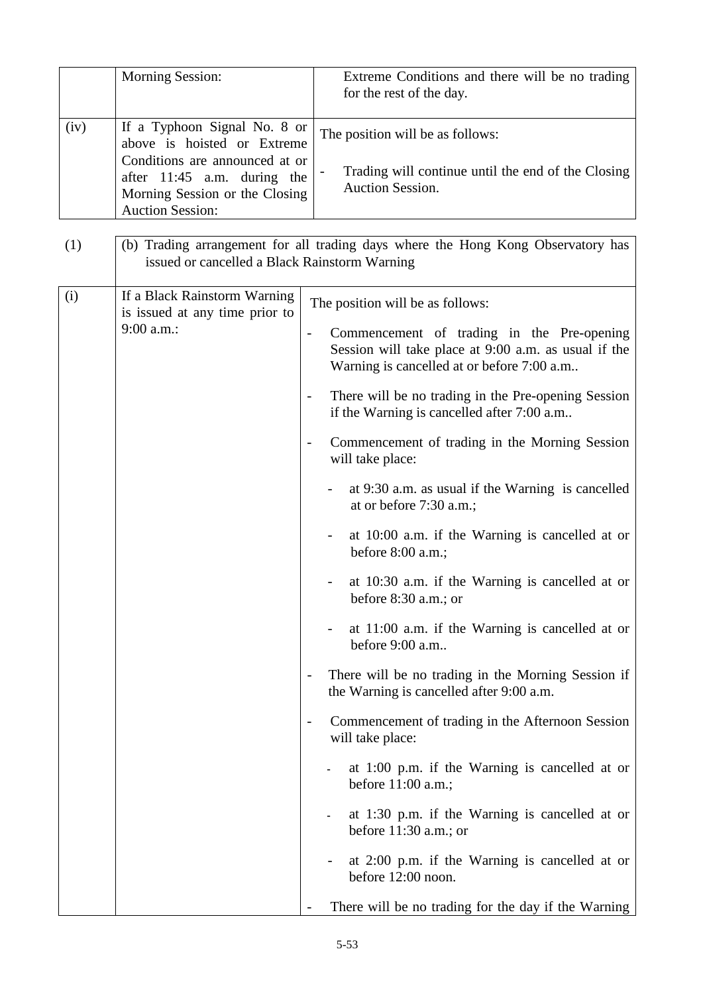|      | <b>Morning Session:</b>                                                                                                                                                                   | Extreme Conditions and there will be no trading<br>for the rest of the day.                                                                                                                                                                                                                                                                                                                                                                                                                                                                                                                                                                                                                                                                                                                                                                                                                                                                                                                                                                                                                                                              |
|------|-------------------------------------------------------------------------------------------------------------------------------------------------------------------------------------------|------------------------------------------------------------------------------------------------------------------------------------------------------------------------------------------------------------------------------------------------------------------------------------------------------------------------------------------------------------------------------------------------------------------------------------------------------------------------------------------------------------------------------------------------------------------------------------------------------------------------------------------------------------------------------------------------------------------------------------------------------------------------------------------------------------------------------------------------------------------------------------------------------------------------------------------------------------------------------------------------------------------------------------------------------------------------------------------------------------------------------------------|
| (iv) | If a Typhoon Signal No. 8 or<br>above is hoisted or Extreme<br>Conditions are announced at or<br>after 11:45 a.m. during the<br>Morning Session or the Closing<br><b>Auction Session:</b> | The position will be as follows:<br>Trading will continue until the end of the Closing<br>Auction Session.                                                                                                                                                                                                                                                                                                                                                                                                                                                                                                                                                                                                                                                                                                                                                                                                                                                                                                                                                                                                                               |
| (1)  | issued or cancelled a Black Rainstorm Warning                                                                                                                                             | (b) Trading arrangement for all trading days where the Hong Kong Observatory has                                                                                                                                                                                                                                                                                                                                                                                                                                                                                                                                                                                                                                                                                                                                                                                                                                                                                                                                                                                                                                                         |
| (i)  | If a Black Rainstorm Warning<br>is issued at any time prior to<br>$9:00$ a.m.:<br>$\qquad \qquad -$<br>$\qquad \qquad \blacksquare$<br>$\qquad \qquad \blacksquare$                       | The position will be as follows:<br>Commencement of trading in the Pre-opening<br>Session will take place at 9:00 a.m. as usual if the<br>Warning is cancelled at or before 7:00 a.m<br>There will be no trading in the Pre-opening Session<br>if the Warning is cancelled after 7:00 a.m<br>Commencement of trading in the Morning Session<br>will take place:<br>at 9:30 a.m. as usual if the Warning is cancelled<br>at or before 7:30 a.m.;<br>at 10:00 a.m. if the Warning is cancelled at or<br>before 8:00 a.m.;<br>at 10:30 a.m. if the Warning is cancelled at or<br>before 8:30 a.m.; or<br>at 11:00 a.m. if the Warning is cancelled at or<br>before 9:00 a.m<br>There will be no trading in the Morning Session if<br>the Warning is cancelled after 9:00 a.m.<br>Commencement of trading in the Afternoon Session<br>will take place:<br>at $1:00$ p.m. if the Warning is cancelled at or<br>before 11:00 a.m.;<br>at 1:30 p.m. if the Warning is cancelled at or<br>before $11:30$ a.m.; or<br>at 2:00 p.m. if the Warning is cancelled at or<br>before 12:00 noon.<br>There will be no trading for the day if the Warning |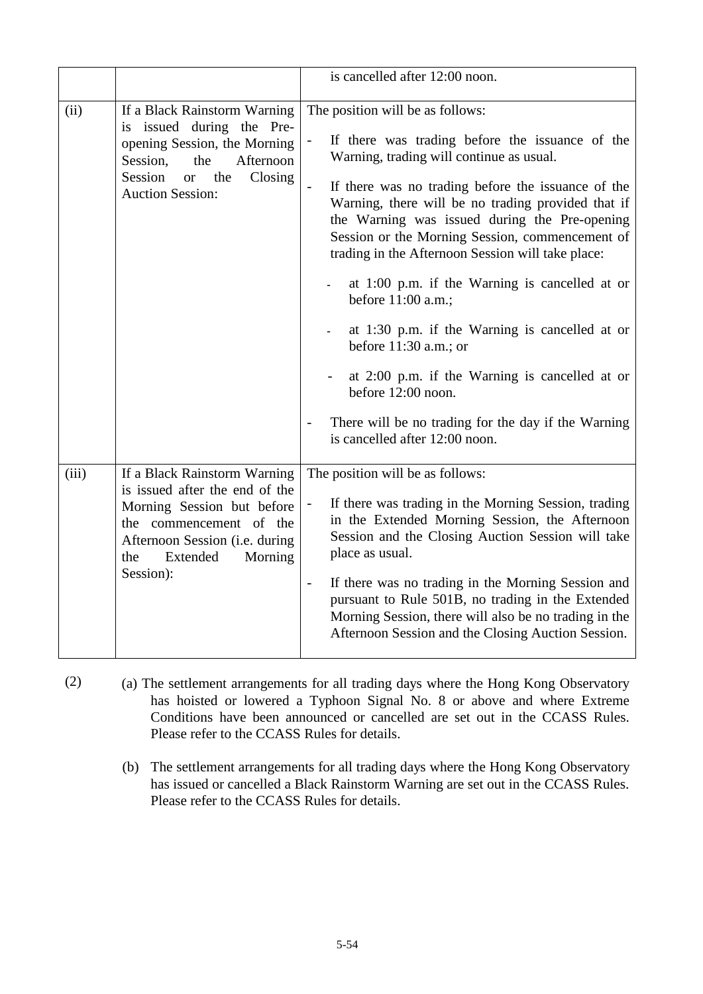|       |                                                                                                                                                                                                      | is cancelled after 12:00 noon.                                                                                                                                                                                                                                                                                                                                                                                                                                                                                                                                                                                                                                                                                                                 |
|-------|------------------------------------------------------------------------------------------------------------------------------------------------------------------------------------------------------|------------------------------------------------------------------------------------------------------------------------------------------------------------------------------------------------------------------------------------------------------------------------------------------------------------------------------------------------------------------------------------------------------------------------------------------------------------------------------------------------------------------------------------------------------------------------------------------------------------------------------------------------------------------------------------------------------------------------------------------------|
| (ii)  | If a Black Rainstorm Warning<br>is issued during the Pre-<br>opening Session, the Morning<br>Afternoon<br>Session,<br>the<br>Session<br>the<br>Closing<br><b>or</b><br><b>Auction Session:</b>       | The position will be as follows:<br>If there was trading before the issuance of the<br>Warning, trading will continue as usual.<br>$\overline{a}$<br>If there was no trading before the issuance of the<br>Warning, there will be no trading provided that if<br>the Warning was issued during the Pre-opening<br>Session or the Morning Session, commencement of<br>trading in the Afternoon Session will take place:<br>at $1:00$ p.m. if the Warning is cancelled at or<br>before 11:00 a.m.;<br>at 1:30 p.m. if the Warning is cancelled at or<br>before $11:30$ a.m.; or<br>at 2:00 p.m. if the Warning is cancelled at or<br>before 12:00 noon.<br>There will be no trading for the day if the Warning<br>is cancelled after 12:00 noon. |
| (iii) | If a Black Rainstorm Warning<br>is issued after the end of the<br>Morning Session but before<br>the commencement of the<br>Afternoon Session (i.e. during<br>the<br>Extended<br>Morning<br>Session): | The position will be as follows:<br>If there was trading in the Morning Session, trading<br>$\overline{a}$<br>in the Extended Morning Session, the Afternoon<br>Session and the Closing Auction Session will take<br>place as usual.<br>If there was no trading in the Morning Session and<br>$\overline{\phantom{a}}$<br>pursuant to Rule 501B, no trading in the Extended<br>Morning Session, there will also be no trading in the<br>Afternoon Session and the Closing Auction Session.                                                                                                                                                                                                                                                     |

(2) (a) The settlement arrangements for all trading days where the Hong Kong Observatory has hoisted or lowered a Typhoon Signal No. 8 or above and where Extreme Conditions have been announced or cancelled are set out in the CCASS Rules. Please refer to the CCASS Rules for details.

> (b) The settlement arrangements for all trading days where the Hong Kong Observatory has issued or cancelled a Black Rainstorm Warning are set out in the CCASS Rules. Please refer to the CCASS Rules for details.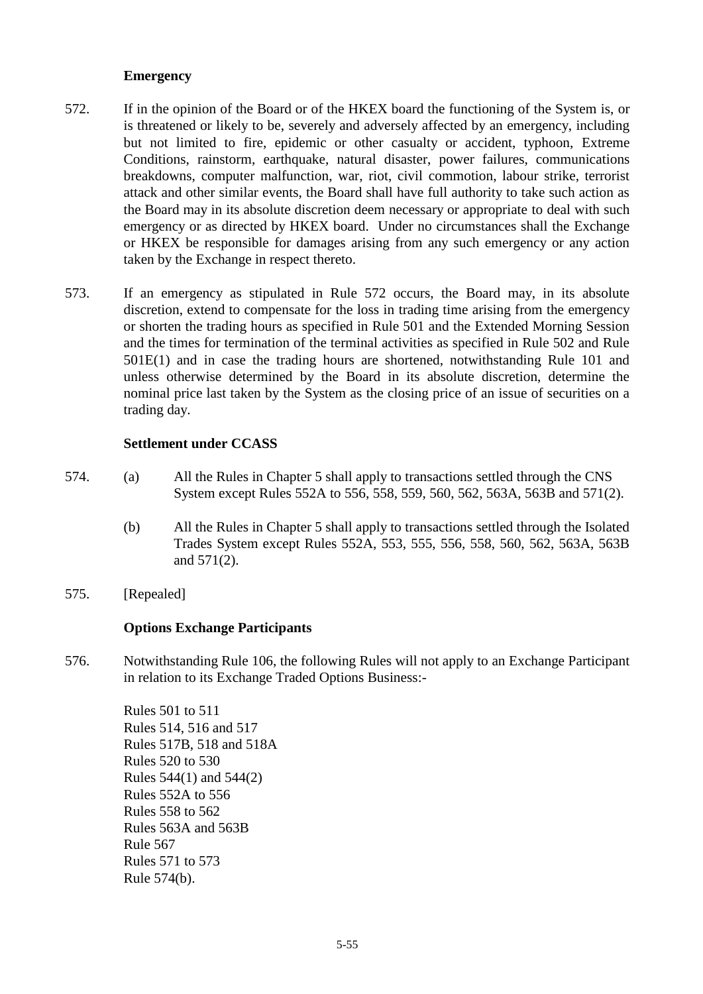### **Emergency**

- 572. If in the opinion of the Board or of the HKEX board the functioning of the System is, or is threatened or likely to be, severely and adversely affected by an emergency, including but not limited to fire, epidemic or other casualty or accident, typhoon, Extreme Conditions, rainstorm, earthquake, natural disaster, power failures, communications breakdowns, computer malfunction, war, riot, civil commotion, labour strike, terrorist attack and other similar events, the Board shall have full authority to take such action as the Board may in its absolute discretion deem necessary or appropriate to deal with such emergency or as directed by HKEX board. Under no circumstances shall the Exchange or HKEX be responsible for damages arising from any such emergency or any action taken by the Exchange in respect thereto.
- 573. If an emergency as stipulated in Rule 572 occurs, the Board may, in its absolute discretion, extend to compensate for the loss in trading time arising from the emergency or shorten the trading hours as specified in Rule 501 and the Extended Morning Session and the times for termination of the terminal activities as specified in Rule 502 and Rule 501E(1) and in case the trading hours are shortened, notwithstanding Rule 101 and unless otherwise determined by the Board in its absolute discretion, determine the nominal price last taken by the System as the closing price of an issue of securities on a trading day.

### **Settlement under CCASS**

- 574. (a) All the Rules in Chapter 5 shall apply to transactions settled through the CNS System except Rules 552A to 556, 558, 559, 560, 562, 563A, 563B and 571(2).
	- (b) All the Rules in Chapter 5 shall apply to transactions settled through the Isolated Trades System except Rules 552A, 553, 555, 556, 558, 560, 562, 563A, 563B and 571(2).
- 575. [Repealed]

### **Options Exchange Participants**

576. Notwithstanding Rule 106, the following Rules will not apply to an Exchange Participant in relation to its Exchange Traded Options Business:-

> Rules 501 to 511 Rules 514, 516 and 517 Rules 517B, 518 and 518A Rules 520 to 530 Rules 544(1) and 544(2) Rules 552A to 556 Rules 558 to 562 Rules 563A and 563B Rule 567 Rules 571 to 573 Rule 574(b).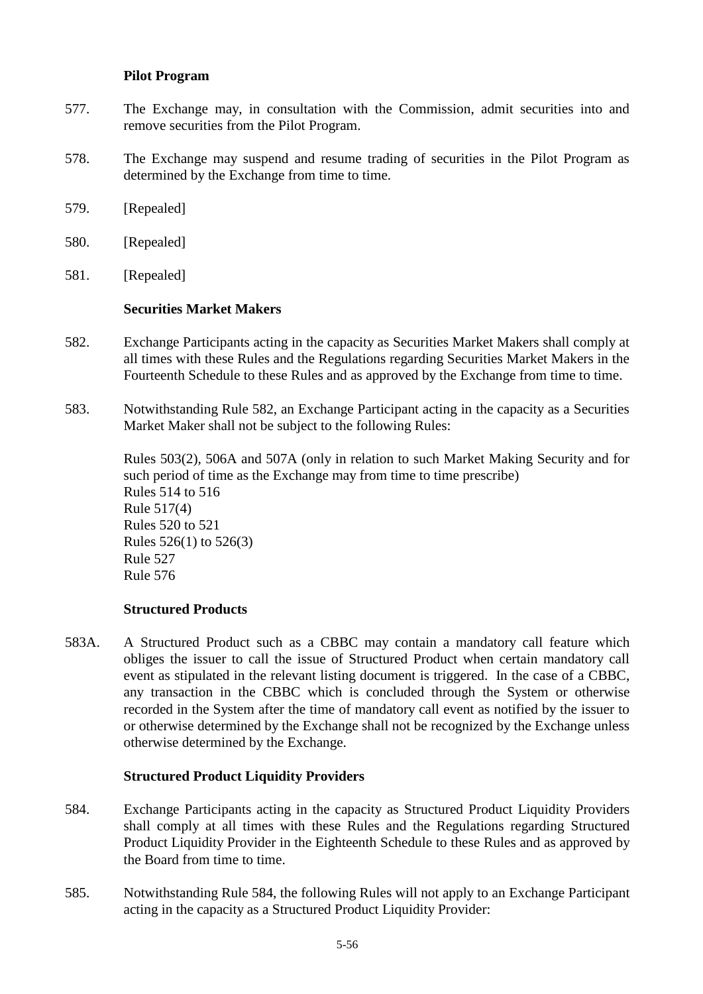### **Pilot Program**

- 577. The Exchange may, in consultation with the Commission, admit securities into and remove securities from the Pilot Program.
- 578. The Exchange may suspend and resume trading of securities in the Pilot Program as determined by the Exchange from time to time.
- 579. [Repealed]
- 580. [Repealed]
- 581. [Repealed]

### **Securities Market Makers**

- 582. Exchange Participants acting in the capacity as Securities Market Makers shall comply at all times with these Rules and the Regulations regarding Securities Market Makers in the Fourteenth Schedule to these Rules and as approved by the Exchange from time to time.
- 583. Notwithstanding Rule 582, an Exchange Participant acting in the capacity as a Securities Market Maker shall not be subject to the following Rules:

Rules 503(2), 506A and 507A (only in relation to such Market Making Security and for such period of time as the Exchange may from time to time prescribe) Rules 514 to 516 Rule 517(4) Rules 520 to 521 Rules 526(1) to 526(3) Rule 527 Rule 576

### **Structured Products**

583A. A Structured Product such as a CBBC may contain a mandatory call feature which obliges the issuer to call the issue of Structured Product when certain mandatory call event as stipulated in the relevant listing document is triggered. In the case of a CBBC, any transaction in the CBBC which is concluded through the System or otherwise recorded in the System after the time of mandatory call event as notified by the issuer to or otherwise determined by the Exchange shall not be recognized by the Exchange unless otherwise determined by the Exchange.

### **Structured Product Liquidity Providers**

- 584. Exchange Participants acting in the capacity as Structured Product Liquidity Providers shall comply at all times with these Rules and the Regulations regarding Structured Product Liquidity Provider in the Eighteenth Schedule to these Rules and as approved by the Board from time to time.
- 585. Notwithstanding Rule 584, the following Rules will not apply to an Exchange Participant acting in the capacity as a Structured Product Liquidity Provider: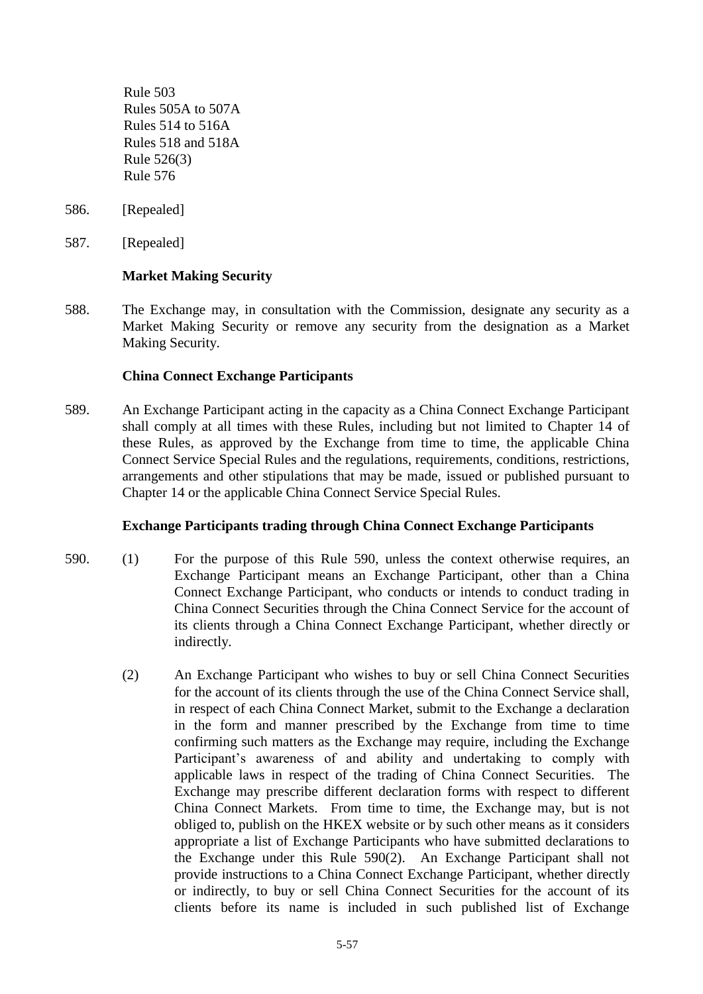Rule 503 Rules 505A to 507A Rules 514 to 516A Rules 518 and 518A Rule 526(3) Rule 576

- 586. [Repealed]
- 587. [Repealed]

### **Market Making Security**

588. The Exchange may, in consultation with the Commission, designate any security as a Market Making Security or remove any security from the designation as a Market Making Security.

### **China Connect Exchange Participants**

589. An Exchange Participant acting in the capacity as a China Connect Exchange Participant shall comply at all times with these Rules, including but not limited to Chapter 14 of these Rules, as approved by the Exchange from time to time, the applicable China Connect Service Special Rules and the regulations, requirements, conditions, restrictions, arrangements and other stipulations that may be made, issued or published pursuant to Chapter 14 or the applicable China Connect Service Special Rules.

### **Exchange Participants trading through China Connect Exchange Participants**

- 590. (1) For the purpose of this Rule 590, unless the context otherwise requires, an Exchange Participant means an Exchange Participant, other than a China Connect Exchange Participant, who conducts or intends to conduct trading in China Connect Securities through the China Connect Service for the account of its clients through a China Connect Exchange Participant, whether directly or indirectly.
	- (2) An Exchange Participant who wishes to buy or sell China Connect Securities for the account of its clients through the use of the China Connect Service shall, in respect of each China Connect Market, submit to the Exchange a declaration in the form and manner prescribed by the Exchange from time to time confirming such matters as the Exchange may require, including the Exchange Participant's awareness of and ability and undertaking to comply with applicable laws in respect of the trading of China Connect Securities. The Exchange may prescribe different declaration forms with respect to different China Connect Markets. From time to time, the Exchange may, but is not obliged to, publish on the HKEX website or by such other means as it considers appropriate a list of Exchange Participants who have submitted declarations to the Exchange under this Rule 590(2). An Exchange Participant shall not provide instructions to a China Connect Exchange Participant, whether directly or indirectly, to buy or sell China Connect Securities for the account of its clients before its name is included in such published list of Exchange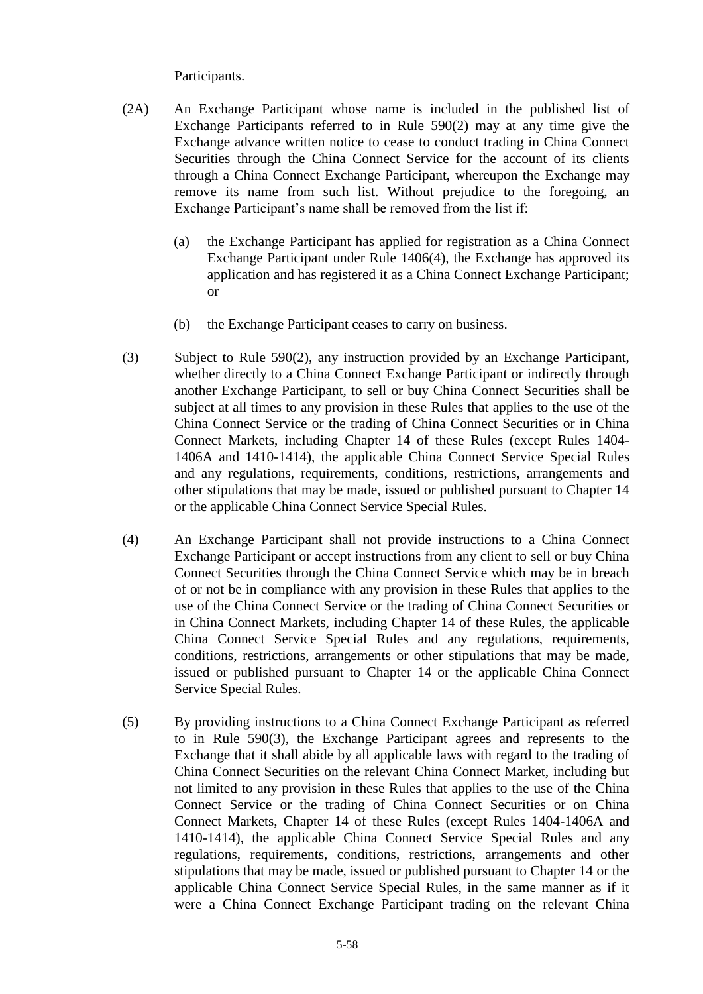Participants.

- (2A) An Exchange Participant whose name is included in the published list of Exchange Participants referred to in Rule 590(2) may at any time give the Exchange advance written notice to cease to conduct trading in China Connect Securities through the China Connect Service for the account of its clients through a China Connect Exchange Participant, whereupon the Exchange may remove its name from such list. Without prejudice to the foregoing, an Exchange Participant's name shall be removed from the list if:
	- (a) the Exchange Participant has applied for registration as a China Connect Exchange Participant under Rule 1406(4), the Exchange has approved its application and has registered it as a China Connect Exchange Participant; or
	- (b) the Exchange Participant ceases to carry on business.
- (3) Subject to Rule 590(2), any instruction provided by an Exchange Participant, whether directly to a China Connect Exchange Participant or indirectly through another Exchange Participant, to sell or buy China Connect Securities shall be subject at all times to any provision in these Rules that applies to the use of the China Connect Service or the trading of China Connect Securities or in China Connect Markets, including Chapter 14 of these Rules (except Rules 1404- 1406A and 1410-1414), the applicable China Connect Service Special Rules and any regulations, requirements, conditions, restrictions, arrangements and other stipulations that may be made, issued or published pursuant to Chapter 14 or the applicable China Connect Service Special Rules.
- (4) An Exchange Participant shall not provide instructions to a China Connect Exchange Participant or accept instructions from any client to sell or buy China Connect Securities through the China Connect Service which may be in breach of or not be in compliance with any provision in these Rules that applies to the use of the China Connect Service or the trading of China Connect Securities or in China Connect Markets, including Chapter 14 of these Rules, the applicable China Connect Service Special Rules and any regulations, requirements, conditions, restrictions, arrangements or other stipulations that may be made, issued or published pursuant to Chapter 14 or the applicable China Connect Service Special Rules.
- (5) By providing instructions to a China Connect Exchange Participant as referred to in Rule 590(3), the Exchange Participant agrees and represents to the Exchange that it shall abide by all applicable laws with regard to the trading of China Connect Securities on the relevant China Connect Market, including but not limited to any provision in these Rules that applies to the use of the China Connect Service or the trading of China Connect Securities or on China Connect Markets, Chapter 14 of these Rules (except Rules 1404-1406A and 1410-1414), the applicable China Connect Service Special Rules and any regulations, requirements, conditions, restrictions, arrangements and other stipulations that may be made, issued or published pursuant to Chapter 14 or the applicable China Connect Service Special Rules, in the same manner as if it were a China Connect Exchange Participant trading on the relevant China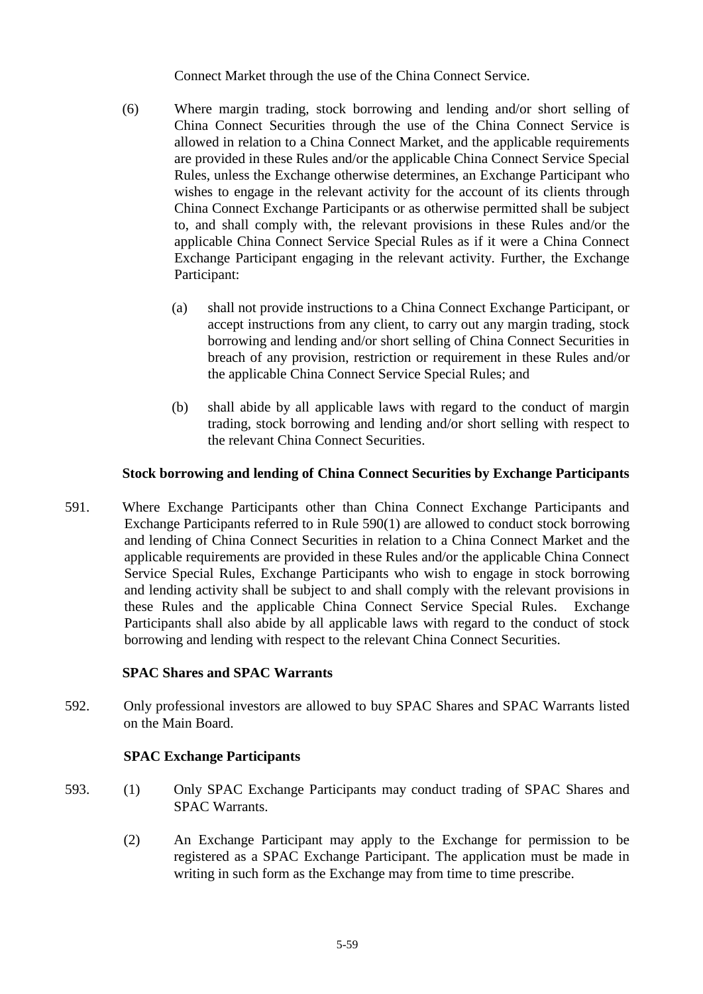Connect Market through the use of the China Connect Service.

- (6) Where margin trading, stock borrowing and lending and/or short selling of China Connect Securities through the use of the China Connect Service is allowed in relation to a China Connect Market, and the applicable requirements are provided in these Rules and/or the applicable China Connect Service Special Rules, unless the Exchange otherwise determines, an Exchange Participant who wishes to engage in the relevant activity for the account of its clients through China Connect Exchange Participants or as otherwise permitted shall be subject to, and shall comply with, the relevant provisions in these Rules and/or the applicable China Connect Service Special Rules as if it were a China Connect Exchange Participant engaging in the relevant activity. Further, the Exchange Participant:
	- (a) shall not provide instructions to a China Connect Exchange Participant, or accept instructions from any client, to carry out any margin trading, stock borrowing and lending and/or short selling of China Connect Securities in breach of any provision, restriction or requirement in these Rules and/or the applicable China Connect Service Special Rules; and
	- (b) shall abide by all applicable laws with regard to the conduct of margin trading, stock borrowing and lending and/or short selling with respect to the relevant China Connect Securities.

## **Stock borrowing and lending of China Connect Securities by Exchange Participants**

591. Where Exchange Participants other than China Connect Exchange Participants and Exchange Participants referred to in Rule 590(1) are allowed to conduct stock borrowing and lending of China Connect Securities in relation to a China Connect Market and the applicable requirements are provided in these Rules and/or the applicable China Connect Service Special Rules, Exchange Participants who wish to engage in stock borrowing and lending activity shall be subject to and shall comply with the relevant provisions in these Rules and the applicable China Connect Service Special Rules. Exchange Participants shall also abide by all applicable laws with regard to the conduct of stock borrowing and lending with respect to the relevant China Connect Securities.

### **SPAC Shares and SPAC Warrants**

592. Only professional investors are allowed to buy SPAC Shares and SPAC Warrants listed on the Main Board.

## **SPAC Exchange Participants**

- 593. (1) Only SPAC Exchange Participants may conduct trading of SPAC Shares and SPAC Warrants.
	- (2) An Exchange Participant may apply to the Exchange for permission to be registered as a SPAC Exchange Participant. The application must be made in writing in such form as the Exchange may from time to time prescribe.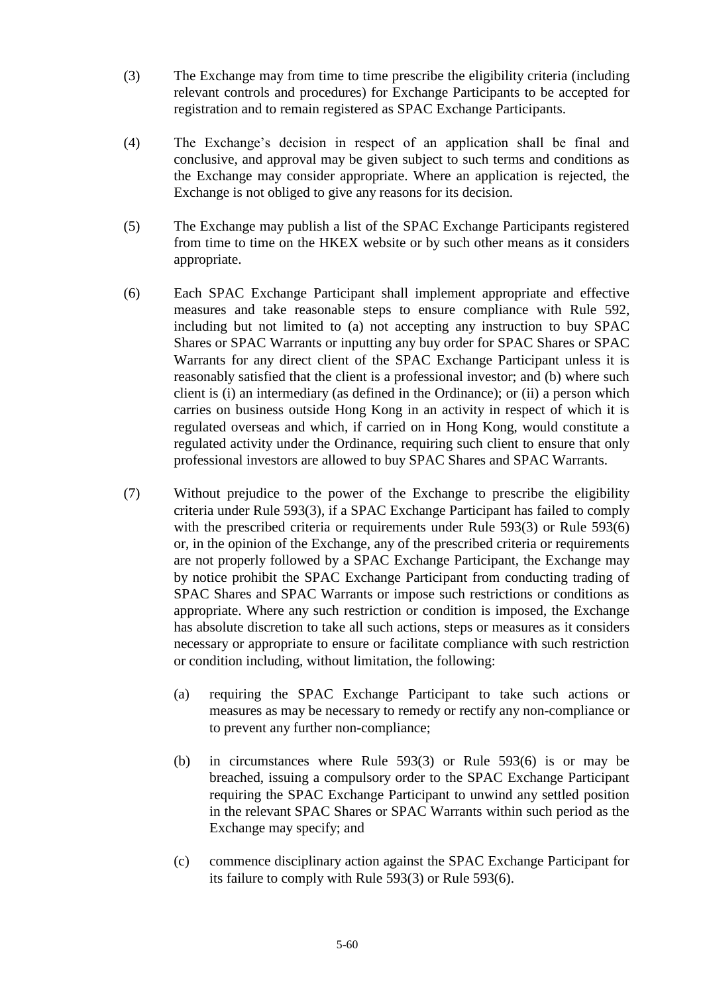- (3) The Exchange may from time to time prescribe the eligibility criteria (including relevant controls and procedures) for Exchange Participants to be accepted for registration and to remain registered as SPAC Exchange Participants.
- (4) The Exchange's decision in respect of an application shall be final and conclusive, and approval may be given subject to such terms and conditions as the Exchange may consider appropriate. Where an application is rejected, the Exchange is not obliged to give any reasons for its decision.
- (5) The Exchange may publish a list of the SPAC Exchange Participants registered from time to time on the HKEX website or by such other means as it considers appropriate.
- (6) Each SPAC Exchange Participant shall implement appropriate and effective measures and take reasonable steps to ensure compliance with Rule 592, including but not limited to (a) not accepting any instruction to buy SPAC Shares or SPAC Warrants or inputting any buy order for SPAC Shares or SPAC Warrants for any direct client of the SPAC Exchange Participant unless it is reasonably satisfied that the client is a professional investor; and (b) where such client is (i) an intermediary (as defined in the Ordinance); or (ii) a person which carries on business outside Hong Kong in an activity in respect of which it is regulated overseas and which, if carried on in Hong Kong, would constitute a regulated activity under the Ordinance, requiring such client to ensure that only professional investors are allowed to buy SPAC Shares and SPAC Warrants.
- (7) Without prejudice to the power of the Exchange to prescribe the eligibility criteria under Rule 593(3), if a SPAC Exchange Participant has failed to comply with the prescribed criteria or requirements under Rule 593(3) or Rule 593(6) or, in the opinion of the Exchange, any of the prescribed criteria or requirements are not properly followed by a SPAC Exchange Participant, the Exchange may by notice prohibit the SPAC Exchange Participant from conducting trading of SPAC Shares and SPAC Warrants or impose such restrictions or conditions as appropriate. Where any such restriction or condition is imposed, the Exchange has absolute discretion to take all such actions, steps or measures as it considers necessary or appropriate to ensure or facilitate compliance with such restriction or condition including, without limitation, the following:
	- (a) requiring the SPAC Exchange Participant to take such actions or measures as may be necessary to remedy or rectify any non-compliance or to prevent any further non-compliance;
	- (b) in circumstances where Rule 593(3) or Rule 593(6) is or may be breached, issuing a compulsory order to the SPAC Exchange Participant requiring the SPAC Exchange Participant to unwind any settled position in the relevant SPAC Shares or SPAC Warrants within such period as the Exchange may specify; and
	- (c) commence disciplinary action against the SPAC Exchange Participant for its failure to comply with Rule 593(3) or Rule 593(6).